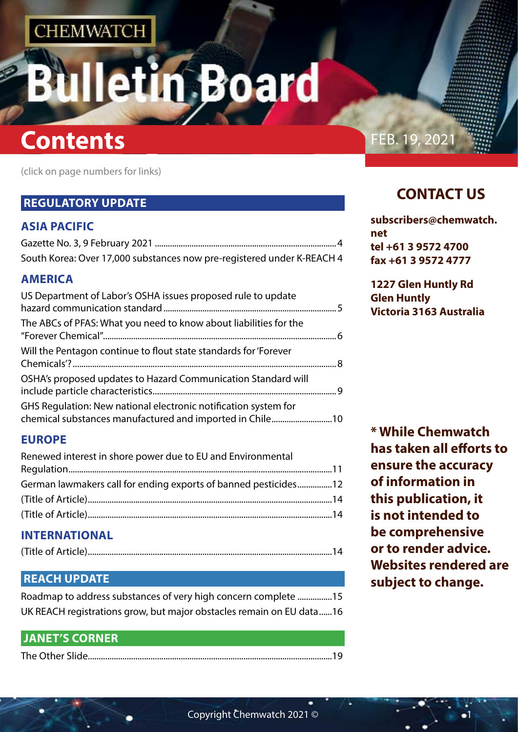# n Board

# **Contents Contents FEB. 19, 2021**

(click on page numbers for links)

## **[REGULATORY UPDATE](#page-2-0)**

## **[ASIA PACIFIC](#page-2-0)**

| South Korea: Over 17,000 substances now pre-registered under K-REACH 4 |  |
|------------------------------------------------------------------------|--|

## **[AMERICA](#page-2-0)**

| US Department of Labor's OSHA issues proposed rule to update      |  |
|-------------------------------------------------------------------|--|
| The ABCs of PFAS: What you need to know about liabilities for the |  |
| Will the Pentagon continue to flout state standards for 'Forever  |  |
| OSHA's proposed updates to Hazard Communication Standard will     |  |
| GHS Regulation: New national electronic notification system for   |  |

## **[EUROPE](#page-5-0)**

| Renewed interest in shore power due to EU and Environmental     |  |
|-----------------------------------------------------------------|--|
|                                                                 |  |
| German lawmakers call for ending exports of banned pesticides12 |  |
|                                                                 |  |
|                                                                 |  |
|                                                                 |  |

## **[INTERNATIONAL](#page-7-0)**

|--|--|

## **[REACH UPDATE](#page-7-0)**

[Roadmap to address substances of very high concern complete](#page-7-0) ................15 [UK REACH registrations grow, but major obstacles remain on EU data......16](#page-8-0)

## **[JANET'S CORNER](#page-9-0)**

|--|

## **CONTACT US**

**[subscribers@chemwatch.](mailto:subscribers@chemwatch.net) [net](mailto:subscribers@chemwatch.net) tel +61 3 9572 4700 fax +61 3 9572 4777**

**1227 Glen Huntly Rd Glen Huntly Victoria 3163 Australia**

**\* While Chemwatch has taken all efforts to ensure the accuracy of information in this publication, it is not intended to be comprehensive or to render advice. Websites rendered are subject to change.**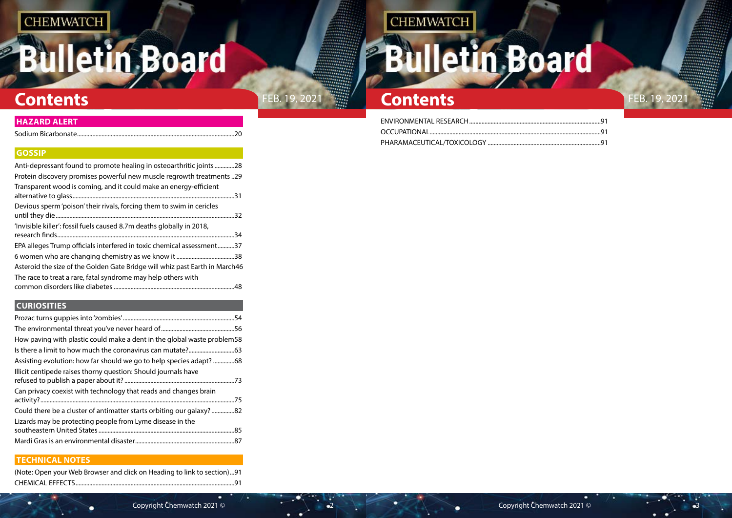# **Bulletin Board**



| 91 |
|----|
| 91 |
| 91 |



## **[HAZARD ALERT](#page-10-0)**

[Sodium Bicarbonate.......................................................................................................20](#page-10-0)

## **[GOSSIP](#page-11-0)**

| Anti-depressant found to promote healing in osteoarthritic joints28          |
|------------------------------------------------------------------------------|
| Protein discovery promises powerful new muscle regrowth treatments 29        |
| Transparent wood is coming, and it could make an energy-efficient            |
| Devious sperm 'poison' their rivals, forcing them to swim in cericles<br>.32 |
| 'Invisible killer': fossil fuels caused 8.7m deaths globally in 2018,<br>34  |
| EPA alleges Trump officials interfered in toxic chemical assessment37        |
|                                                                              |
| Asteroid the size of the Golden Gate Bridge will whiz past Earth in March46  |
| The race to treat a rare, fatal syndrome may help others with                |
|                                                                              |

## **[CURIOSITIES](#page-27-0)**

| How paving with plastic could make a dent in the global waste problem58   |     |
|---------------------------------------------------------------------------|-----|
|                                                                           |     |
| Assisting evolution: how far should we go to help species adapt? 68       |     |
| Illicit centipede raises thorny question: Should journals have            | .73 |
| Can privacy coexist with technology that reads and changes brain          | .75 |
| 8282 Could there be a cluster of antimatter starts orbiting our galaxy?82 |     |
| Lizards may be protecting people from Lyme disease in the                 |     |
|                                                                           | .85 |
|                                                                           |     |

## **[TECHNICAL NOTES](#page-45-0)**

| (Note: Open your Web Browser and click on Heading to link to section)91 |
|-------------------------------------------------------------------------|
|                                                                         |

# **Contents** FEB. 19, 2021 **Contents** FEB. 19, 2021 **Contents**

**CHEMWATCH**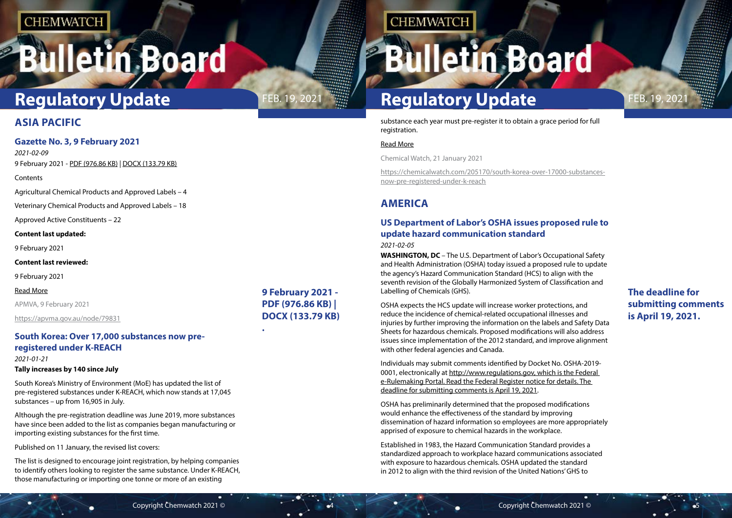# <span id="page-2-0"></span>**Bulletin Board**

## **The deadline for submitting comments is April 19, 2021.**

**9 February 2021 - PDF (976.86 KB) | DOCX (133.79 KB)**

**.**

# FEB. 19, 2021 **Regulatory Update** FEB. 19, 2021

substance each year must pre-register it to obtain a [grace period](https://chemicalwatch.com/67457/south-koreas-draft-implementation-rules-arrive-for-updated-k-reach) for full registration.

## [Read More](https://chemicalwatch.com/205170/south-korea-over-17000-substances-now-pre-registered-under-k-reach)

Chemical Watch, 21 January 2021

**CHEMWATCH** 

[https://chemicalwatch.com/205170/south-korea-over-17000-substances](https://chemicalwatch.com/205170/south-korea-over-17000-substances-now-pre-registered-under-k-reach)[now-pre-registered-under-k-reach](https://chemicalwatch.com/205170/south-korea-over-17000-substances-now-pre-registered-under-k-reach)

## **AMERICA**

## **US Department of Labor's OSHA issues proposed rule to update hazard communication standard**

*2021-02-05*

**WASHINGTON, DC** – The U.S. Department of Labor's Occupational Safety and Health Administration (OSHA) today issued a proposed rule to update the agency's Hazard Communication Standard (HCS) to align with the seventh revision of the Globally Harmonized System of Classification and Labelling of Chemicals (GHS).

OSHA expects the HCS update will increase worker protections, and reduce the incidence of chemical-related occupational illnesses and injuries by further improving the information on the labels and Safety Data Sheets for hazardous chemicals. Proposed modifications will also address issues since implementation of the 2012 standard, and improve alignment with other federal agencies and Canada.

Individuals may submit comments identified by Docket No. OSHA-2019- 0001, electronically at [http://www.regulations.gov,](http://www.regulations.gov/) which is the Federal e-Rulemaking Portal. Read the [Federal Register notice](https://www.federalregister.gov/public-inspection/2020-28987/hazard-communication-standard) for details. The deadline for submitting comments is April 19, 2021.

OSHA has preliminarily determined that the proposed modifications would enhance the effectiveness of the standard by improving dissemination of hazard information so employees are more appropriately apprised of exposure to chemical hazards in the workplace.

Established in 1983, the Hazard Communication Standard provides a standardized approach to workplace hazard communications associated with exposure to hazardous chemicals. OSHA updated the standard in 2012 to align with the third revision of the United Nations' GHS to



## **ASIA PACIFIC**

## **Gazette No. 3, 9 February 2021**

*2021-02-09* 9 February 2021 - [PDF \(976.86 KB\)](https://apvma.gov.au/sites/default/files/gazette_20210209.pdf) | [DOCX \(133.79 KB\)](https://apvma.gov.au/sites/default/files/gazette_20210209.docx)

**Contents** 

Agricultural Chemical Products and Approved Labels – 4

Veterinary Chemical Products and Approved Labels – 18

Approved Active Constituents – 22

### **Content last updated:**

9 February 2021

**Content last reviewed:**

9 February 2021

[Read More](https://apvma.gov.au/node/79831)

APMVA, 9 February 2021

<https://apvma.gov.au/node/79831>

## **South Korea: Over 17,000 substances now preregistered under K-REACH**

*2021-01-21*

## **Tally increases by 140 since July**

South Korea's Ministry of Environment (MoE) has updated the list of pre-registered substances under K-REACH, which now stands at 17,045 substances – up from 16,905 in [July.](https://chemicalwatch.com/130527/south-korea-almost-17000-substances-pre-registered-under-k-reach)

Although the pre-registration deadline was June 2019, more substances have since been added to the list as companies began manufacturing or importing existing substances for the first time.

Published on 11 January, the revised list covers:

The list is designed to encourage joint registration, by helping companies to identify others looking to register the same substance. Under K-REACH, those manufacturing or importing one tonne or more of an existing

# **Regulatory Update**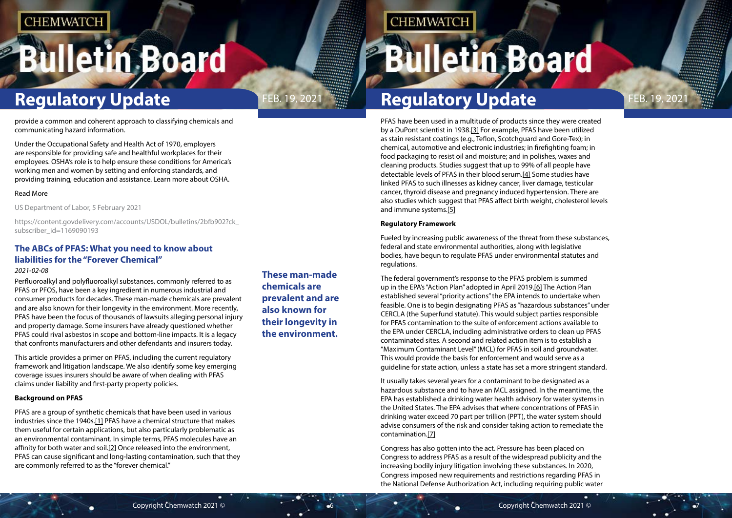# <span id="page-3-0"></span>**Bulletin Board**

**These man-made chemicals are prevalent and are also known for their longevity in the environment.**

# **CHEMWATCH**

# **Bulletin Board**

# FEB. 19, 2021 **Regulatory Update** FEB. 19, 2021

# **Regulatory Update Regulatory Update**

PFAS have been used in a multitude of products since they were created by a DuPont scientist in 1938.[3] For example, PFAS have been utilized as stain resistant coatings (e.g., Teflon, Scotchguard and Gore-Tex); in chemical, automotive and electronic industries; in firefighting foam; in food packaging to resist oil and moisture; and in polishes, waxes and cleaning products. Studies suggest that up to 99% of all people have detectable levels of PFAS in their blood serum.[4] Some studies have linked PFAS to such illnesses as kidney cancer, liver damage, testicular cancer, thyroid disease and pregnancy induced hypertension. There are also studies which suggest that PFAS affect birth weight, cholesterol levels and immune systems.[5]

### **Regulatory Framework**

Fueled by increasing public awareness of the threat from these substances, federal and state environmental authorities, along with legislative bodies, have begun to regulate PFAS under environmental statutes and regulations.

The federal government's response to the PFAS problem is summed up in the EPA's "Action Plan" adopted in April 2019.[6] The Action Plan established several "priority actions" the EPA intends to undertake when feasible. One is to begin designating PFAS as "hazardous substances" under CERCLA (the Superfund statute). This would subject parties responsible for PFAS contamination to the suite of enforcement actions available to the EPA under CERCLA, including administrative orders to clean up PFAS contaminated sites. A second and related action item is to establish a "Maximum Contaminant Level" (MCL) for PFAS in soil and groundwater. This would provide the basis for enforcement and would serve as a guideline for state action, unless a state has set a more stringent standard.

https://content.govdelivery.com/accounts/USDOL/bulletins/2bfb902?ck\_ subscriber\_id=1169090193

> It usually takes several years for a contaminant to be designated as a hazardous substance and to have an MCL assigned. In the meantime, the EPA has established a drinking water health advisory for water systems in the United States. The EPA advises that where concentrations of PFAS in drinking water exceed 70 part per trillion (PPT), the water system should advise consumers of the risk and consider taking action to remediate the contamination.[7]

> Congress has also gotten into the act. Pressure has been placed on Congress to address PFAS as a result of the widespread publicity and the increasing bodily injury litigation involving these substances. In 2020, Congress imposed new requirements and restrictions regarding PFAS in the National Defense Authorization Act, including requiring public water



provide a common and coherent approach to classifying chemicals and communicating hazard information.

Under the Occupational Safety and Health Act of 1970, employers are responsible for providing safe and healthful workplaces for their employees. OSHA's role is to help ensure these conditions for America's working men and women by setting and enforcing standards, and providing training, education and assistance. [Learn more about OSHA.](https://www.osha.gov/)

### [Read More](https://content.govdelivery.com/accounts/USDOL/bulletins/2bfb902?ck_subscriber_id=1169090193)

US Department of Labor, 5 February 2021

## **The ABCs of PFAS: What you need to know about liabilities for the "Forever Chemical"**

### *2021-02-08*

Perfluoroalkyl and polyfluoroalkyl substances, commonly referred to as PFAS or PFOS, have been a key ingredient in numerous industrial and consumer products for decades. These man-made chemicals are prevalent and are also known for their longevity in the environment. More recently, PFAS have been the focus of thousands of lawsuits alleging personal injury and property damage. Some insurers have already questioned whether PFAS could rival asbestos in scope and bottom-line impacts. It is a legacy that confronts manufacturers and other defendants and insurers today.

This article provides a primer on PFAS, including the current regulatory framework and litigation landscape. We also identify some key emerging coverage issues insurers should be aware of when dealing with PFAS claims under liability and first-party property policies.

### **Background on PFAS**

PFAS are a group of synthetic chemicals that have been used in various industries since the 1940s.[1] PFAS have a chemical structure that makes them useful for certain applications, but also particularly problematic as an environmental contaminant. In simple terms, PFAS molecules have an affinity for both water and soil.[2] Once released into the environment, PFAS can cause significant and long-lasting contamination, such that they are commonly referred to as the "forever chemical."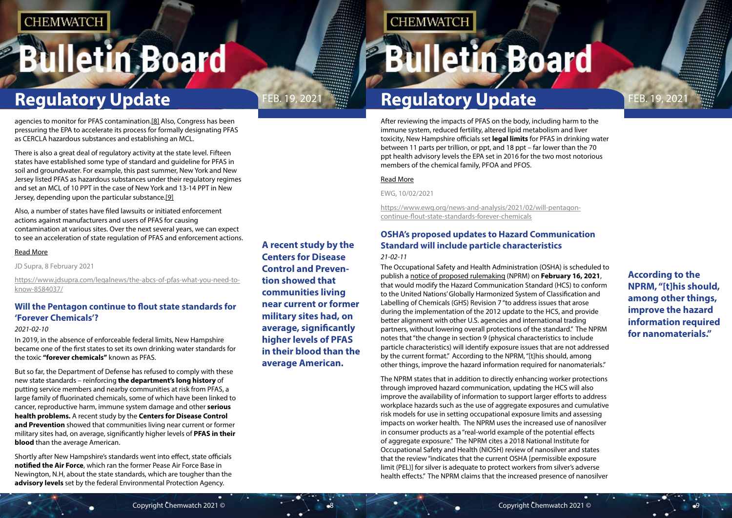# <span id="page-4-0"></span>**Bulletin Board**

# **Regulatory Update**

**According to the NPRM, "[t]his should, among other things, improve the hazard information required for nanomaterials."**

## **A recent study by the Centers for Disease Control and Prevention showed that communities living near current or former military sites had, on average, significantly higher levels of PFAS in their blood than the average American.**

## **CHEMWATCH**

# **Bulletin Board**

# FEB. 19, 2021 **Regulatory Update** FEB. 19, 2021

After reviewing the impacts of PFAS on the body, including harm to the immune system, reduced fertility, altered lipid metabolism and liver toxicity, New Hampshire officials set **[legal limits](https://www4.des.state.nh.us/nh-pfas-investigation/wp-content/uploads/Stakeholder-Talk-07-09-2019.pdf)** for PFAS in drinking water between 11 parts per trillion, or ppt, and 18 ppt – far lower than the 70 ppt health advisory levels the EPA set in 2016 for the two most notorious members of the chemical family, PFOA and PFOS.

### [Read More](https://www.ewg.org/news-and-analysis/2021/02/will-pentagon-continue-flout-state-standards-forever-chemicals)

EWG, 10/02/2021

[https://www.ewg.org/news-and-analysis/2021/02/will-pentagon](https://www.ewg.org/news-and-analysis/2021/02/will-pentagon-continue-flout-state-standards-forever-chemicals)[continue-flout-state-standards-forever-chemicals](https://www.ewg.org/news-and-analysis/2021/02/will-pentagon-continue-flout-state-standards-forever-chemicals)

## **OSHA's proposed updates to Hazard Communication Standard will include particle characteristics** *21-02-11*

The Occupational Safety and Health Administration (OSHA) is scheduled to publish a [notice of proposed rulemaking](https://www.federalregister.gov/public-inspection/2020-28987/hazard-communication-standard) (NPRM) on **February 16, 2021**, that would modify the Hazard Communication Standard (HCS) to conform to the United Nations' Globally Harmonized System of Classification and Labelling of Chemicals (GHS) Revision 7 "to address issues that arose during the implementation of the 2012 update to the HCS, and provide better alignment with other U.S. agencies and international trading partners, without lowering overall protections of the standard." The NPRM notes that "the change in section 9 (physical characteristics to include particle characteristics) will identify exposure issues that are not addressed by the current format." According to the NPRM, "[t]his should, among other things, improve the hazard information required for nanomaterials."

The NPRM states that in addition to directly enhancing worker protections through improved hazard communication, updating the HCS will also improve the availability of information to support larger efforts to address workplace hazards such as the use of aggregate exposures and cumulative risk models for use in setting occupational exposure limits and assessing impacts on worker health. The NPRM uses the increased use of nanosilver in consumer products as a "real-world example of the potential effects of aggregate exposure." The NPRM cites a 2018 National Institute for Occupational Safety and Health (NIOSH) review of nanosilver and states that the review "indicates that the current OSHA [permissible exposure limit (PEL)] for silver is adequate to protect workers from silver's adverse health effects." The NPRM claims that the increased presence of nanosilver



agencies to monitor for PFAS contamination.[8] Also, Congress has been pressuring the EPA to accelerate its process for formally designating PFAS as CERCLA hazardous substances and establishing an MCL.

There is also a great deal of regulatory activity at the state level. Fifteen states have established some type of standard and guideline for PFAS in soil and groundwater. For example, this past summer, New York and New Jersey listed PFAS as hazardous substances under their regulatory regimes and set an MCL of 10 PPT in the case of New York and 13-14 PPT in New Jersey, depending upon the particular substance.[9]

Also, a number of states have filed lawsuits or initiated enforcement actions against manufacturers and users of PFAS for causing contamination at various sites. Over the next several years, we can expect to see an acceleration of state regulation of PFAS and enforcement actions.

### [Read More](https://www.jdsupra.com/legalnews/the-abcs-of-pfas-what-you-need-to-know-8584037/)

JD Supra, 8 February 2021

[https://www.jdsupra.com/legalnews/the-abcs-of-pfas-what-you-need-to](https://www.jdsupra.com/legalnews/the-abcs-of-pfas-what-you-need-to-know-8584037/)[know-8584037/](https://www.jdsupra.com/legalnews/the-abcs-of-pfas-what-you-need-to-know-8584037/)

### **Will the Pentagon continue to flout state standards for 'Forever Chemicals'?**

### *2021-02-10*

In 2019, in the absence of enforceable federal limits, New Hampshire became one of the first states to set its own drinking water standards for the toxic **["forever chemicals"](https://www.ewg.org/pfaschemicals/)** known as PFAS.

But so far, the Department of Defense has refused to comply with these new state standards – reinforcing **[the department's long history](https://www.ewg.org/dodpfastimeline/)** of putting service members and nearby communities at risk from PFAS, a large family of fluorinated chemicals, some of which have been linked to cancer, reproductive harm, immune system damage and other **[serious](http://www.c8sciencepanel.org/prob_link.html)  [health problems.](http://www.c8sciencepanel.org/prob_link.html)** A recent study by the **[Centers for Disease Control](https://www.atsdr.cdc.gov/pfas/activities/assessments/sites.html)  [and Prevention](https://www.atsdr.cdc.gov/pfas/activities/assessments/sites.html)** showed that communities living near current or former military sites had, on average, significantly higher levels of **[PFAS in their](https://www.atsdr.cdc.gov/pfas/communities/factsheet/Spokane-County-Community-Level-Results-Factsheet.html)  [blood](https://www.atsdr.cdc.gov/pfas/communities/factsheet/Spokane-County-Community-Level-Results-Factsheet.html)** than the average American.

Shortly after New Hampshire's standards went into effect, state officials **[notified the Air Force](https://static1.squarespace.com/static/565b6fe8e4b0f0c1a028adc4/t/5f6c14b09ca0975099d57f44/1600918705014/AGQS+Notification+and+Compliance+Request+8.20.20.pdf)**, which ran the former Pease Air Force Base in Newington, N.H, about the state standards, which are tougher than the **[advisory levels](https://www.epa.gov/sites/production/files/2016-06/documents/drinkingwaterhealthadvisories_pfoa_pfos_updated_5.31.16.pdf)** set by the federal Environmental Protection Agency.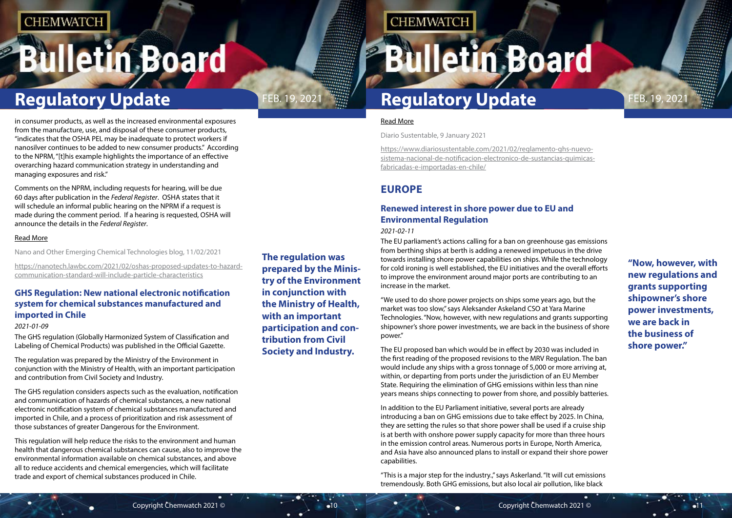# <span id="page-5-0"></span>**Bulletin Board**

**"Now, however, with new regulations and grants supporting shipowner's shore power investments, we are back in the business of shore power."**

## **The regulation was prepared by the Ministry of the Environment in conjunction with the Ministry of Health, with an important participation and contribution from Civil Society and Industry.**

# **CHEMWATCH Bulletin Board**

# FEB. 19, 2021  $\frac{1}{2}$  Regulatory Update PEB. 19, 2021

# **Regulatory Update Regulatory Update**

### [Read More](https://www.diariosustentable.com/2021/02/reglamento-ghs-nuevo-sistema-nacional-de-notificacion-electronico-de-sustancias-quimicas-fabricadas-e-importadas-en-chile/)

Diario Sustentable, 9 January 2021

[https://www.diariosustentable.com/2021/02/reglamento-ghs-nuevo](https://www.diariosustentable.com/2021/02/reglamento-ghs-nuevo-sistema-nacional-de-notificacion-electronico-de-sustancias-quimicas-fabricadas-e-importadas-en-chile/)[sistema-nacional-de-notificacion-electronico-de-sustancias-quimicas](https://www.diariosustentable.com/2021/02/reglamento-ghs-nuevo-sistema-nacional-de-notificacion-electronico-de-sustancias-quimicas-fabricadas-e-importadas-en-chile/)[fabricadas-e-importadas-en-chile/](https://www.diariosustentable.com/2021/02/reglamento-ghs-nuevo-sistema-nacional-de-notificacion-electronico-de-sustancias-quimicas-fabricadas-e-importadas-en-chile/)

## **EUROPE**

## **Renewed interest in shore power due to EU and Environmental Regulation**

### *2021-02-11*

The EU parliament's actions calling for a ban on greenhouse gas emissions from berthing ships at berth is adding a renewed impetuous in the drive towards installing shore power capabilities on ships. While the technology for cold ironing is well established, the EU initiatives and the overall efforts to improve the environment around major ports are contributing to an increase in the market.

"We used to do shore power projects on ships some years ago, but the market was too slow," says Aleksander Askeland CSO at Yara Marine Technologies. "Now, however, with new regulations and grants supporting shipowner's shore power investments, we are back in the business of shore power."

The EU proposed ban which would be in effect by 2030 was included in the first reading of the proposed revisions to the MRV Regulation. The ban would include any ships with a gross tonnage of 5,000 or more arriving at, within, or departing from ports under the jurisdiction of an EU Member State. Requiring the elimination of GHG emissions within less than nine years means ships connecting to power from shore, and possibly batteries.

In addition to the EU Parliament initiative, several ports are already introducing a ban on GHG emissions due to take effect by 2025. In China, they are setting the rules so that shore power shall be used if a cruise ship is at berth with onshore power supply capacity for more than three hours in the emission control areas. Numerous ports in Europe, North America, and Asia have also announced plans to install or expand their shore power capabilities.

"This is a major step for the industry.," says Askerland. "It will cut emissions tremendously. Both GHG emissions, but also local air pollution, like black



in consumer products, as well as the increased environmental exposures from the manufacture, use, and disposal of these consumer products, "indicates that the OSHA PEL may be inadequate to protect workers if nanosilver continues to be added to new consumer products." According to the NPRM, "[t]his example highlights the importance of an effective overarching hazard communication strategy in understanding and managing exposures and risk."

Comments on the NPRM, including requests for hearing, will be due 60 days after publication in the *Federal Register*. OSHA states that it will schedule an informal public hearing on the NPRM if a request is made during the comment period. If a hearing is requested, OSHA will announce the details in the *Federal Register*.

### [Read More](https://nanotech.lawbc.com/2021/02/oshas-proposed-updates-to-hazard-communication-standard-will-include-particle-characteristics/?utm_source=Bergeson+%26+Campbell%2C+P.C.+-+Nano+and+Other+Emerging+Chemical+Technologies+Blog&utm_campaign=382b47e708-RSS_EMAIL_CAMPAIGN&utm_medium=email&utm_term=0_9a895e87b2-382b47e708-73807113)

Nano and Other Emerging Chemical Technologies blog, 11/02/2021

[https://nanotech.lawbc.com/2021/02/oshas-proposed-updates-to-hazard](https://nanotech.lawbc.com/2021/02/oshas-proposed-updates-to-hazard-communication-standard-will-include-particle-characteristics)[communication-standard-will-include-particle-characteristics](https://nanotech.lawbc.com/2021/02/oshas-proposed-updates-to-hazard-communication-standard-will-include-particle-characteristics)

## **GHS Regulation: New national electronic notification system for chemical substances manufactured and imported in Chile**

### *2021-01-09*

The GHS regulation (Globally Harmonized System of Classification and Labeling of Chemical Products) was published in the Official Gazette.

The regulation was prepared by the Ministry of the Environment in conjunction with the Ministry of Health, with an important participation and contribution from Civil Society and Industry.

The GHS regulation considers aspects such as the evaluation, notification and communication of hazards of chemical substances, a new national electronic notification system of chemical substances manufactured and imported in Chile, and a process of prioritization and risk assessment of those substances of greater Dangerous for the Environment.

This regulation will help reduce the risks to the environment and human health that dangerous chemical substances can cause, also to improve the environmental information available on chemical substances, and above all to reduce accidents and chemical emergencies, which will facilitate trade and export of chemical substances produced in Chile.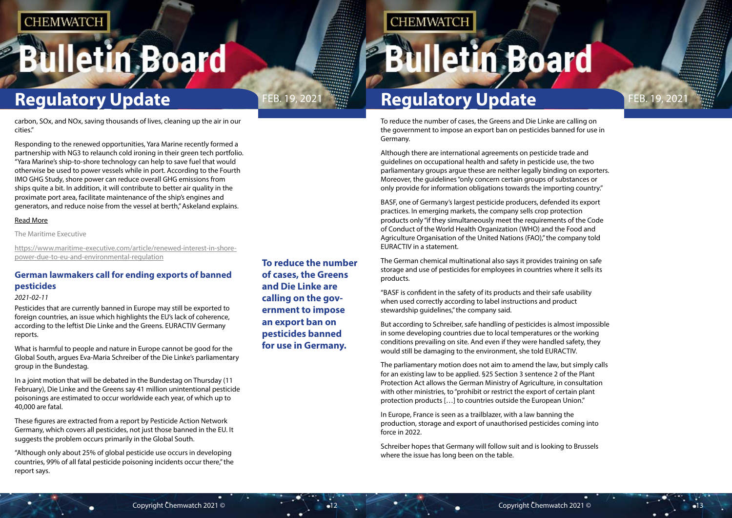# <span id="page-6-0"></span>**Bulletin Board**

# **Regulatory Update**

**To reduce the number of cases, the Greens and Die Linke are calling on the government to impose an export ban on pesticides banned for use in Germany.**

# **Illetin Board**

# FEB. 19, 2021  $\frac{1}{2}$  Regulatory Update FEB. 19, 2021

**CHEMWATCH** 

To reduce the number of cases, the Greens and Die Linke are calling on the government to impose an export ban on pesticides banned for use in Germany.

Although there are international agreements on pesticide trade and guidelines on occupational health and safety in pesticide use, the two parliamentary groups argue these are neither legally binding on exporters. Moreover, the guidelines "only concern certain groups of substances or only provide for information obligations towards the importing country."

BASF, one of Germany's largest pesticide producers, defended its export practices. In emerging markets, the company sells crop protection products only "if they simultaneously meet the requirements of the Code of Conduct of the World Health Organization (WHO) and the Food and Agriculture Organisation of the United Nations (FAO)," the company told EURACTIV in a statement.

The German chemical multinational also says it provides training on safe storage and use of pesticides for employees in countries where it sells its products.

"BASF is confident in the safety of its products and their safe usability when used correctly according to label instructions and product stewardship guidelines," the company said.

But according to Schreiber, safe handling of pesticides is almost impossible in some developing countries due to local temperatures or the working conditions prevailing on site. And even if they were handled safety, they would still be damaging to the environment, she told EURACTIV.

The parliamentary motion does not aim to amend the law, but simply calls for an existing law to be applied. [§25 Section 3 sentence 2](https://www.gesetze-im-internet.de/pflschg_2012/BJNR014810012.html) of the Plant Protection Act allows the German Ministry of Agriculture, in consultation with other ministries, to "prohibit or restrict the export of certain plant protection products […] to countries outside the European Union."

In Europe, France is seen as a trailblazer, with a [law](https://www.legifrance.gouv.fr/loda/id/JORFTEXT000037547946/) banning the production, storage and export of unauthorised pesticides coming into force in 2022.

Schreiber hopes that Germany will follow suit and is looking to Brussels where the issue has long been on the table.



carbon, SOx, and NOx, saving thousands of lives, cleaning up the air in our cities."

Responding to the renewed opportunities, Yara Marine recently formed a partnership with NG3 to relaunch cold ironing in their green tech portfolio. "Yara Marine's ship-to-shore technology can help to save fuel that would otherwise be used to power vessels while in port. According to the Fourth IMO GHG Study, shore power can reduce overall GHG emissions from ships quite a bit. In addition, it will contribute to better air quality in the proximate port area, facilitate maintenance of the ship's engines and generators, and reduce noise from the vessel at berth," Askeland explains.

### [Read More](https://www.maritime-executive.com/article/renewed-interest-in-shore-power-due-to-eu-and-environmental-regulation)

The Maritime Executive

[https://www.maritime-executive.com/article/renewed-interest-in-shore](https://www.maritime-executive.com/article/renewed-interest-in-shore-power-due-to-eu-and-environmental-regulation)[power-due-to-eu-and-environmental-regulation](https://www.maritime-executive.com/article/renewed-interest-in-shore-power-due-to-eu-and-environmental-regulation)

## **German lawmakers call for ending exports of banned pesticides**

### *2021-02-11*

Pesticides that are currently banned in Europe may still be exported to foreign countries, an issue which highlights the EU's lack of coherence, according to the leftist Die Linke and the Greens. EURACTIV Germany reports.

What is harmful to people and nature in Europe cannot be good for the Global South, argues Eva-Maria Schreiber of the Die Linke's parliamentary group in the Bundestag.

In a [joint motion](https://dip21.bundestag.de/dip21/btd/19/239/1923988.pdf) that will be debated in the Bundestag on Thursday (11 February), Die Linke and the Greens say 41 million unintentional pesticide poisonings are estimated to occur worldwide each year, of which up to 40,000 are fatal.

These figures are extracted from a [report](https://pan-germany.org/download/giftige-exporte-ausfuhr-hochgefaehrlicher-pestizide-von-deutschland-in-die-welt/) by Pesticide Action Network Germany, which covers all pesticides, not just those banned in the EU. It suggests the problem occurs primarily in the Global South.

"Although only about 25% of global pesticide use occurs in developing countries, 99% of all fatal pesticide poisoning incidents occur there," the report says.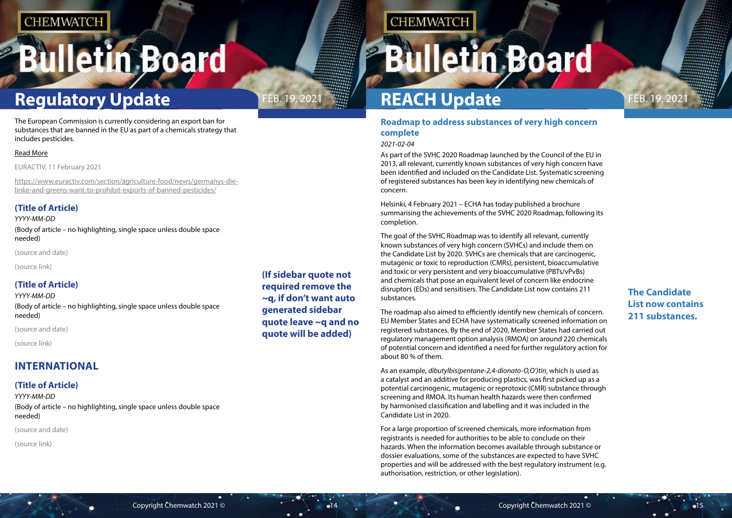# <span id="page-7-0"></span>**Bulletin Board**



Feb. 19, 2021

## **CHEMWATCH**

# **Illetin Board**

## **The Candidate List now contains 211 substances.**

**(If sidebar quote not required remove the ~q, if don't want auto generated sidebar quote leave ~q and no quote will be added)**

# **Regulatory Update**

## **Roadmap to address substances of very high concern complete**

*2021-02-04*

As part of the SVHC 2020 Roadmap launched by the Council of the EU in 2013, all relevant, currently known substances of very high concern have been identified and included on the Candidate List. Systematic screening of registered substances has been key in identifying new chemicals of concern.

Helsinki, 4 February 2021 – ECHA has today published a brochure summarising the achievements of the SVHC 2020 Roadmap, following its completion.

The goal of the SVHC Roadmap was to identify all relevant, currently known substances of very high concern (SVHCs) and include them on the Candidate List by 2020. SVHCs are chemicals that are carcinogenic, mutagenic or toxic to reproduction (CMRs), persistent, bioaccumulative and toxic or very persistent and very bioaccumulative (PBTs/vPvBs) and chemicals that pose an equivalent level of concern like endocrine disruptors (EDs) and sensitisers. The Candidate List now contains 211 substances.

The roadmap also aimed to efficiently identify new chemicals of concern. EU Member States and ECHA have systematically screened information on registered substances. By the end of 2020, Member States had carried out regulatory management option analysis (RMOA) on around 220 chemicals of potential concern and identified a need for further regulatory action for about 80 % of them.

As an example, *dibutylbis(pentane-2,4-dionato-O,O')tin*, which is used as a catalyst and an additive for producing plastics, was first picked up as a potential carcinogenic, mutagenic or reprotoxic (CMR) substance through screening and RMOA. Its human health hazards were then confirmed by harmonised classification and labelling and it was included in the Candidate List in 2020.

For a large proportion of screened chemicals, more information from registrants is needed for authorities to be able to conclude on their hazards. When the information becomes available through substance or dossier evaluations, some of the substances are expected to have SVHC properties and will be addressed with the best regulatory instrument (e.g. authorisation, restriction, or other legislation).

# **REACH Update**

The European Commission is currently considering an export ban for substances that are banned in the EU as part of a chemicals strategy that includes pesticides.

### [Read More](https://www.euractiv.com/section/agriculture-food/news/germanys-die-linke-and-greens-want-to-prohibit-exports-of-banned-pesticides/)

EURACTIV, 11 February 2021

[https://www.euractiv.com/section/agriculture-food/news/germanys-die](https://www.euractiv.com/section/agriculture-food/news/germanys-die-linke-and-greens-want-to-prohibit-exports-of-banned-pesticides/)[linke-and-greens-want-to-prohibit-exports-of-banned-pesticides/](https://www.euractiv.com/section/agriculture-food/news/germanys-die-linke-and-greens-want-to-prohibit-exports-of-banned-pesticides/)

## **(Title of Article)**

*YYYY-MM-DD* (Body of article – no highlighting, single space unless double space needed)

(source and date)

(source link)

## **(Title of Article)**

*YYYY-MM-DD* (Body of article – no highlighting, single space unless double space needed)

(source and date)

(source link)

## **INTERNATIONAL**

**(Title of Article)**

*YYYY-MM-DD* (Body of article – no highlighting, single space unless double space needed)

(source and date)

(source link)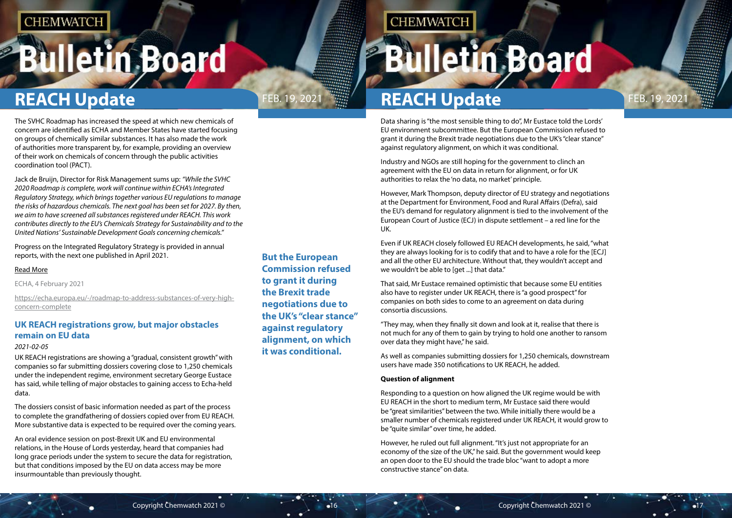# **Bulletin Board**

<span id="page-8-0"></span>

## **But the European Commission refused to grant it during the Brexit trade negotiations due to the UK's "clear stance" against regulatory alignment, on which it was conditional.**

## **CHEMWATCH**

# **Bulletin Board**

Data sharing is "the most sensible thing to do", Mr Eustace told the Lords' EU environment subcommittee. But the European Commission refused to grant it during the Brexit trade negotiations due to the UK's "clear stance" against regulatory alignment, on which it was conditional.

Industry and [NGOs](https://chemicalwatch.com/209708/ngo-platform-why-uk-chemical-regulators-should-align-with-eu-decisions-on-chemical-control) are still hoping for the government to clinch an agreement with the EU on data in return for alignment, or for UK authorities to [relax](https://chemicalwatch.com/201985/uk-reach-downstream-industry-proposal-seeks-to-lighten-data-burden) the 'no data, no market' principle.

However, Mark Thompson, deputy director of EU strategy and negotiations at the Department for Environment, Food and Rural Affairs (Defra), said the EU's demand for regulatory alignment is tied to the involvement of the European Court of Justice (ECJ) in dispute settlement – a red line for the UK.

Even if UK REACH closely followed EU REACH developments, he said, "what they are always looking for is to codify that and to have a role for the [ECJ] and all the other EU architecture. Without that, they wouldn't accept and we wouldn't be able to [get ...] that data."

That said, Mr Eustace remained optimistic that because some EU entities also have to [register](https://chemicalwatch.com/205247/industry-sees-limited-impact-from-eu-reach-revocations-of-uk-dossiers) under UK REACH, there is "a good prospect" for companies on both sides to come to an agreement on data during consortia discussions.

"They may, when they finally sit down and look at it, realise that there is not much for any of them to gain by trying to hold one another to ransom over data they might have," he said.

As well as companies submitting dossiers for 1,250 chemicals, downstream users have made 350 notifications to UK REACH, he added.

### **Question of alignment**

Responding to a question on how aligned the UK regime would be with EU REACH in the short to medium term, Mr Eustace said there would be "great similarities" between the two. While initially there would be a smaller number of chemicals registered under UK REACH, it would grow to be "quite similar" over time, he added.

However, he ruled out full alignment. "It's just not appropriate for an economy of the size of the UK," he said. But the government would keep an open door to the EU should the trade bloc "want to adopt a more constructive stance" on data.

The SVHC Roadmap has increased the speed at which new chemicals of concern are identified as ECHA and Member States have started focusing on groups of chemically similar substances. It has also made the work of authorities more transparent by, for example, providing an overview of their work on chemicals of concern through the public activities coordination tool (PACT).

Jack de Bruijn, Director for Risk Management sums up: *"While the SVHC 2020 Roadmap is complete, work will continue within ECHA's Integrated Regulatory Strategy, which brings together various EU regulations to manage the risks of hazardous chemicals. The next goal has been set for 2027. By then, we aim to have screened all substances registered under REACH. This work contributes directly to the EU's Chemicals Strategy for Sustainability and to the United Nations' Sustainable Development Goals concerning chemicals."*

Progress on the Integrated Regulatory Strategy is provided in annual reports, with the next one published in April 2021.

### [Read More](https://echa.europa.eu/-/roadmap-to-address-substances-of-very-high-concern-complete)

ECHA, 4 February 2021

[https://echa.europa.eu/-/roadmap-to-address-substances-of-very-high](https://echa.europa.eu/-/roadmap-to-address-substances-of-very-high-concern-complete)[concern-complete](https://echa.europa.eu/-/roadmap-to-address-substances-of-very-high-concern-complete)

## **UK REACH registrations grow, but major obstacles remain on EU data**

### *2021-02-05*

UK REACH registrations are showing a "gradual, consistent growth" with companies so far submitting dossiers covering close to 1,250 chemicals under the independent regime, environment secretary George Eustace has said, while telling of major [obstacles](https://chemicalwatch.com/197431/brexit-deal-fails-to-address-data-sharing-concerns-leaves-way-open-to-regulatory-divergence) to gaining access to Echa-held data.

The dossiers consist of basic information needed as part of the process to complete the grandfathering of dossiers copied over from EU REACH. More [substantive](https://chemicalwatch.com/150605/uk-reach-data-submission-deadlines-extended-to-up-to-six-years) data is expected to be required over the coming years.

An oral evidence session on post-Brexit UK and EU environmental relations, in the House of Lords yesterday, heard that companies had long grace periods under the system to secure the data for registration, but that conditions imposed by the EU on data access may be more insurmountable than previously thought.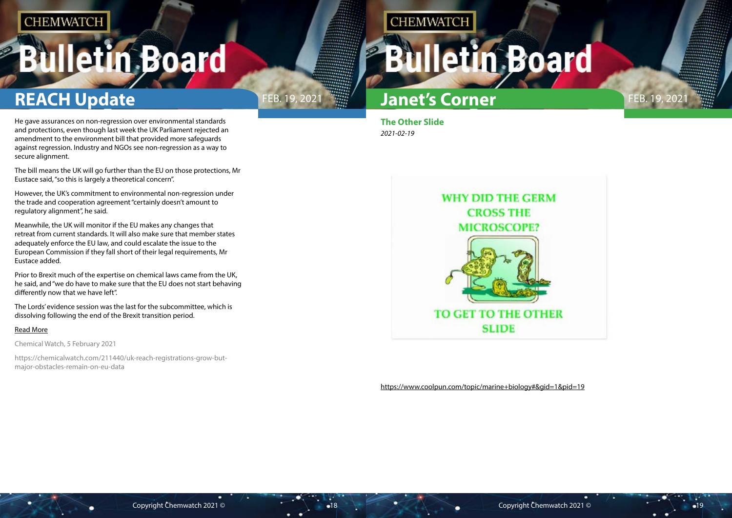# <span id="page-9-0"></span>**Bulletin Board**

# **REACH Update** FEB. 19, 2021

## Feb. 19, 2021



**The Other Slide** *2021-02-19*

https://www.coolpun.com/topic/marine+biology#&gid=1&pid=19



**Janet's Corner**

**CHEMWATCH** 

# **CROSS THE**



He gave assurances on non-regression over environmental standards and protections, even though last week the UK Parliament [rejected](https://chemicalwatch.com/208396/uk-parliament-rejects-non-regression-on-reach-protections) an amendment to the environment bill that provided more safeguards against regression. Industry and NGOs see non-regression as a way to secure alignment.

The bill means the UK will go further than the EU on those protections, Mr Eustace said, "so this is largely a theoretical concern".

However, the UK's commitment to environmental non-regression under the trade and cooperation agreement "certainly doesn't amount to regulatory alignment", he said.

Meanwhile, the UK will monitor if the EU makes any changes that retreat from current standards. It will also make sure that member states adequately enforce the EU law, and could escalate the issue to the European Commission if they fall short of their legal requirements, Mr Eustace added.

Prior to Brexit much of the expertise on chemical laws came from the UK, he said, and "we do have to make sure that the EU does not start behaving differently now that we have left".

The Lords' evidence session was the last for the subcommittee, which is dissolving following the end of the Brexit transition period.

### Read More

Chemical Watch, 5 February 2021

https://chemicalwatch.com/211440/uk-reach-registrations-grow-butmajor-obstacles-remain-on-eu-data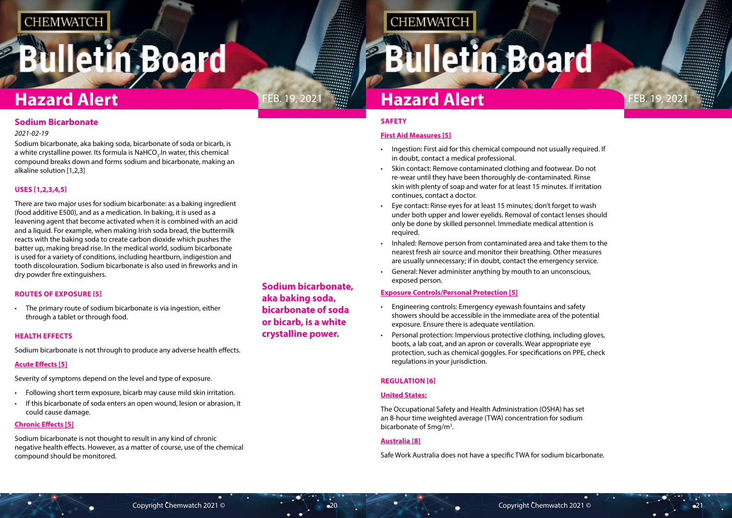# <span id="page-10-0"></span>**Bulletin Board**



**Sodium bicarbonate, aka baking soda, bicarbonate of soda or bicarb, is a white crystalline power.**

# **CHEMWATCH**

# **Iletin Board**

### **SAFETY**

### **First Aid Measures [5]**

- Ingestion: First aid for this chemical compound not usually required. If in doubt, contact a medical professional.
- Skin contact: Remove contaminated clothing and footwear. Do not re-wear until they have been thoroughly de-contaminated. Rinse skin with plenty of soap and water for at least 15 minutes. If irritation continues, contact a doctor.
- Eye contact: Rinse eyes for at least 15 minutes; don't forget to wash under both upper and lower eyelids. Removal of contact lenses should only be done by skilled personnel. Immediate medical attention is required.
- Inhaled: Remove person from contaminated area and take them to the nearest fresh air source and monitor their breathing. Other measures are usually unnecessary; if in doubt, contact the emergency service.
- General: Never administer anything by mouth to an unconscious, exposed person.

The Occupational Safety and Health Administration (OSHA) has set an 8-hour time weighted average (TWA) concentration for sodium bicarbonate of 5mg/m<sup>3</sup>.

### **Exposure Controls/Personal Protection [5]**

- Engineering controls: Emergency eyewash fountains and safety showers should be accessible in the immediate area of the potential exposure. Ensure there is adequate ventilation.
- Personal protection: Impervious protective clothing, including gloves, boots, a lab coat, and an apron or coveralls. Wear appropriate eye protection, such as chemical goggles. For specifications on PPE, check regulations in your jurisdiction.

### **REGULATION [6]**

### **United States:**

### **Australia [8]**

Safe Work Australia does not have a specific TWA for sodium bicarbonate.

**Sodium Bicarbonate**

### *2021-02-19*

Sodium bicarbonate, aka baking soda, bicarbonate of soda or bicarb, is a white crystalline power. Its formula is NaHCO<sub>3</sub>.In water, this chemical compound breaks down and forms sodium and bicarbonate, making an alkaline solution [1,2,3]

### **USES [1,2,3,4,5]**

There are two major uses for sodium bicarbonate: as a baking ingredient (food additive E500), and as a medication. In baking, it is used as a leavening agent that become activated when it is combined with an acid and a liquid. For example, when making Irish soda bread, the buttermilk reacts with the baking soda to create carbon dioxide which pushes the batter up, making bread rise. In the medical world, sodium bicarbonate is used for a variety of conditions, including heartburn, indigestion and tooth discolouration. Sodium bicarbonate is also used in fireworks and in dry powder fire extinguishers.

### **ROUTES OF EXPOSURE [5]**

• The primary route of sodium bicarbonate is via ingestion, either through a tablet or through food.

### **HEALTH EFFECTS**

Sodium bicarbonate is not through to produce any adverse health effects.

## **Acute Effects [5]**

Severity of symptoms depend on the level and type of exposure.

- Following short term exposure, bicarb may cause mild skin irritation.
- If this bicarbonate of soda enters an open wound, lesion or abrasion, it could cause damage.

### **Chronic Effects [5]**

Sodium bicarbonate is not thought to result in any kind of chronic negative health effects. However, as a matter of course, use of the chemical compound should be monitored.

# **Hazard Alert**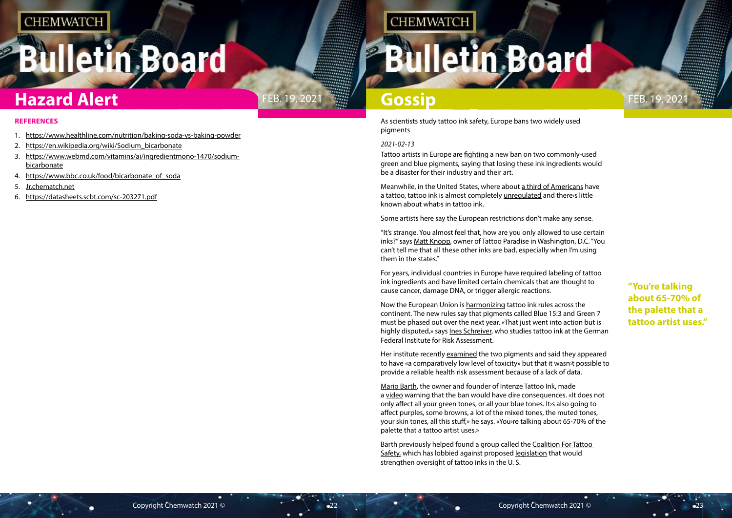# <span id="page-11-0"></span>**Bulletin Board**



Feb. 19, 2021

**"You're talking about 65-70% of the palette that a tattoo artist uses."**

# **Hazard Alert**

As scientists study tattoo ink safety, Europe bans two widely used pigments

### *2021-02-13*

Tattoo artists in Europe are [fighting](https://www.europarl.europa.eu/petitions/en/petition/content/1072%252F2020/html/Petition-No%25C2%25A01072%252F2020-by-Erich-M%25C3%25A4hnert-%2528Austrian%2529-on-maintaining-different-pigments-in-Regulation-%2528EC%2529-No%25C2%25A01907%252F2006-%2528REAC?fbclid=IwAR1OLzlRqU7wLe3MMOcwFJdK7s8KpagR7UGg3GCnPmGCWhea5wKxOUebe2o) a new ban on two commonly-used green and blue pigments, saying that losing these ink ingredients would be a disaster for their industry and their art.

Meanwhile, in the United States, where about [a third of Americans](https://www.ipsos.com/en-us/news-polls/more-americans-have-tattoos-today) have a tattoo, tattoo ink is almost completely [unregulated](https://www.fda.gov/cosmetics/cosmetic-products/tattoos-permanent-makeup-fact-sheet) and there›s little known about what›s in tattoo ink.

Some artists here say the European restrictions don't make any sense.

"It's strange. You almost feel that, how are you only allowed to use certain inks?" says [Matt Knopp](https://tattooparadisedc.com/section/44509_Matt_Knopp.html), owner of Tattoo Paradise in Washington, D.C. "You can't tell me that all these other inks are bad, especially when I'm using them in the states."

For years, individual countries in Europe have required labeling of tattoo ink ingredients and have limited certain chemicals that are thought to cause cancer, damage DNA, or trigger allergic reactions.

Now the European Union is [harmonizing](https://ec.europa.eu/growth/content/chemicals-eu-takes-action-safer-tattooing-inks-and-permanent-make_en) tattoo ink rules across the continent. The new rules say that pigments called Blue 15:3 and Green 7 must be phased out over the next year. «That just went into action but is highly disputed,» says [Ines Schreiver](https://www.schreiverlab.com/team/), who studies tattoo ink at the German Federal Institute for Risk Assessment.

Her institute recently [examined](https://www.eurekalert.org/pub_releases/2020-10/bfif-tir100620.php) the two pigments and said they appeared to have «a comparatively low level of toxicity» but that it wasn›t possible to provide a reliable health risk assessment because of a lack of data.

[Mario Barth,](https://mariobarthtattoo.com/pages/about) the owner and founder of Intenze Tattoo Ink, made a [video](https://www.instagram.com/p/CLI7MbclVx-/) warning that the ban would have dire consequences. «It does not only affect all your green tones, or all your blue tones. It›s also going to affect purples, some browns, a lot of the mixed tones, the muted tones, your skin tones, all this stuff,» he says. «You›re talking about 65-70% of the palette that a tattoo artist uses.»

Barth previously helped found a group called the [Coalition For Tattoo](https://coalitionfortattoosafety.org/)  [Safety,](https://coalitionfortattoosafety.org/) which has lobbied against proposed [legislation](https://www.feinstein.senate.gov/public/index.cfm/2019/3/feinstein-collins-introduce-bill-to-strengthen-oversight-of-personal-care-products) that would strengthen oversight of tattoo inks in the U. S.

# **Gossip**

**CHEMWATCH** 

### **REFERENCES**

- 1. <https://www.healthline.com/nutrition/baking-soda-vs-baking-powder>
- 2. [https://en.wikipedia.org/wiki/Sodium\\_bicarbonate](https://en.wikipedia.org/wiki/Sodium_bicarbonate)
- 3. [https://www.webmd.com/vitamins/ai/ingredientmono-1470/sodium](https://www.webmd.com/vitamins/ai/ingredientmono-1470/sodium-bicarbonate)[bicarbonate](https://www.webmd.com/vitamins/ai/ingredientmono-1470/sodium-bicarbonate)
- 4. [https://www.bbc.co.uk/food/bicarbonate\\_of\\_soda](https://www.bbc.co.uk/food/bicarbonate_of_soda)
- 5. [Jr.chematch.net](https://jr.chemwatch.net/)
- 6. <https://datasheets.scbt.com/sc-203271.pdf>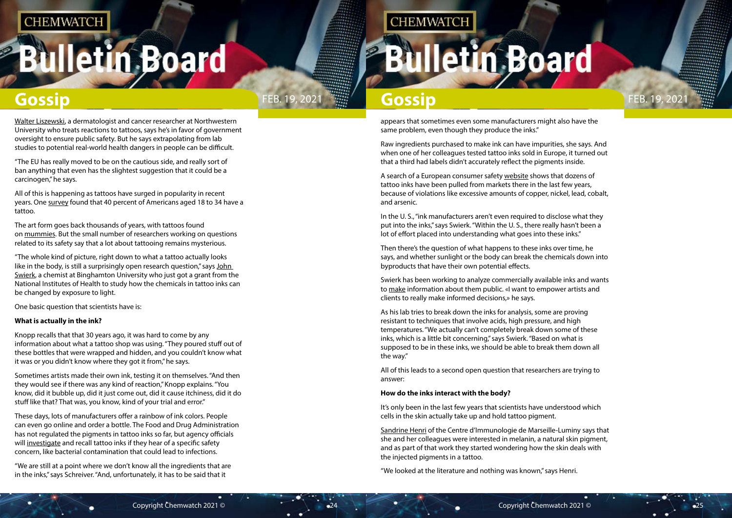# **Iletin Board**

**CHEMWATCH** 



### appears that sometimes even some manufacturers might also have the same problem, even though they produce the inks."

Raw ingredients purchased to make ink can have impurities, she says. And when one of her colleagues tested tattoo inks sold in Europe, it turned out that a third had labels didn't accurately reflect the pigments inside.

A search of a European consumer safety [website](https://ec.europa.eu/consumers/consumers_safety/safety_products/rapex/alerts/repository/content/pages/rapex/index_en.htm) shows that dozens of tattoo inks have been pulled from markets there in the last few years, because of violations like excessive amounts of copper, nickel, lead, cobalt, and arsenic.

In the U. S., "ink manufacturers aren't even required to disclose what they put into the inks," says Swierk. "Within the U. S., there really hasn't been a lot of effort placed into understanding what goes into these inks."

Then there's the question of what happens to these inks over time, he says, and whether sunlight or the body can break the chemicals down into byproducts that have their own potential effects.

Swierk has been working to analyze commercially available inks and wants to [make](http://whatsinmyink.com/) information about them public. «I want to empower artists and clients to really make informed decisions,» he says.

As his lab tries to break down the inks for analysis, some are proving resistant to techniques that involve acids, high pressure, and high temperatures. "We actually can't completely break down some of these inks, which is a little bit concerning," says Swierk. "Based on what is supposed to be in these inks, we should be able to break them down all the way."

All of this leads to a second open question that researchers are trying to answer:

### **How do the inks interact with the body?**

It's only been in the last few years that scientists have understood which cells in the skin actually take up and hold tattoo pigment.

[Sandrine Henri](http://www.cnrs.fr/fr/personne/sandrine-henri) of the Centre d'Immunologie de Marseille-Luminy says that she and her colleagues were interested in melanin, a natural skin pigment, and as part of that work they started wondering how the skin deals with the injected pigments in a tattoo.

"We looked at the literature and nothing was known," says Henri.

[Walter Liszewski](https://www.feinberg.northwestern.edu/sites/dermatology/faculty/profile.html?xid=44813), a dermatologist and cancer researcher at Northwestern University who treats reactions to tattoos, says he's in favor of government oversight to ensure public safety. But he says extrapolating from lab studies to potential real-world health dangers in people can be difficult.

"The EU has really moved to be on the cautious side, and really sort of ban anything that even has the slightest suggestion that it could be a carcinogen," he says.

All of this is happening as tattoos have surged in popularity in recent years. One [survey](https://www.ipsos.com/en-us/news-polls/more-americans-have-tattoos-today) found that 40 percent of Americans aged 18 to 34 have a tattoo.

The art form goes back thousands of years, with tattoos found on [mummies.](https://www.npr.org/sections/thetwo-way/2018/03/02/590347574/some-of-the-oldest-ever-tattoos-found-on-egyptian-mummies) But the small number of researchers working on questions related to its safety say that a lot about tattooing remains mysterious.

"The whole kind of picture, right down to what a tattoo actually looks like in the body, is still a surprisingly open research question," says [John](https://www.binghamton.edu/chemistry/faculty/profile.html?id=jswierk)  [Swierk](https://www.binghamton.edu/chemistry/faculty/profile.html?id=jswierk), a chemist at Binghamton University who just got a grant from the National Institutes of Health to study how the chemicals in tattoo inks can be changed by exposure to light.

One basic question that scientists have is:

### **What is actually in the ink?**

Knopp recalls that that 30 years ago, it was hard to come by any information about what a tattoo shop was using. "They poured stuff out of these bottles that were wrapped and hidden, and you couldn't know what it was or you didn't know where they got it from," he says.

Sometimes artists made their own ink, testing it on themselves. "And then they would see if there was any kind of reaction," Knopp explains. "You know, did it bubble up, did it just come out, did it cause itchiness, did it do stuff like that? That was, you know, kind of your trial and error."

These days, lots of manufacturers offer a rainbow of ink colors. People can even go online and order a bottle. The Food and Drug Administration has not regulated the pigments in tattoo inks so far, but agency officials will [investigate](https://www.fda.gov/cosmetics/cosmetics-recalls-alerts/fda-advises-consumers-tattoo-artists-and-retailers-avoid-using-or-selling-certain-tattoo-inks) and recall tattoo inks if they hear of a specific safety concern, like bacterial contamination that could lead to infections.

"We are still at a point where we don't know all the ingredients that are in the inks," says Schreiver. "And, unfortunately, it has to be said that it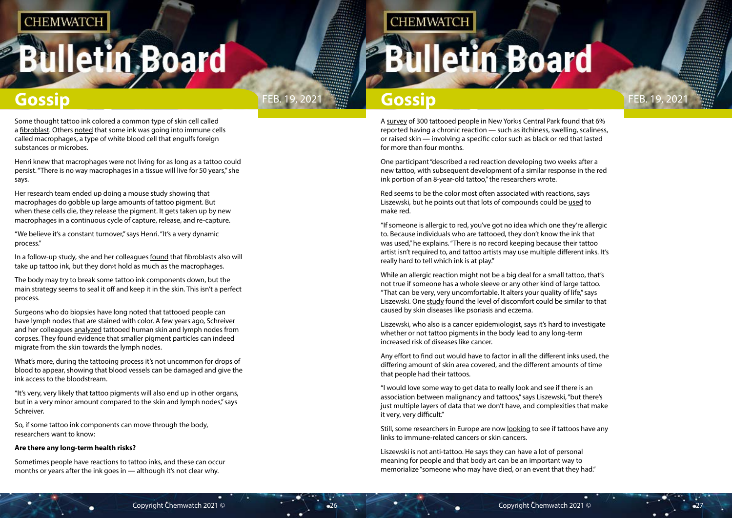# **Illetin Board**



A [survey](https://onlinelibrary.wiley.com/doi/abs/10.1111/cod.12425) of 300 tattooed people in New York›s Central Park found that 6% reported having a chronic reaction — such as itchiness, swelling, scaliness, or raised skin — involving a specific color such as black or red that lasted for more than four months.

One participant "described a red reaction developing two weeks after a new tattoo, with subsequent development of a similar response in the red ink portion of an 8-year-old tattoo," the researchers wrote.

Red seems to be the color most often associated with reactions, says Liszewski, but he points out that lots of compounds could be [used](https://www.jaad.org/article/S0190-9622(19)30189-6/abstract) to make red.

"If someone is allergic to red, you've got no idea which one they're allergic to. Because individuals who are tattooed, they don't know the ink that was used," he explains. "There is no record keeping because their tattoo artist isn't required to, and tattoo artists may use multiple different inks. It's really hard to tell which ink is at play."

While an allergic reaction might not be a big deal for a small tattoo, that's not true if someone has a whole sleeve or any other kind of large tattoo. "That can be very, very uncomfortable. It alters your quality of life," says Liszewski. One [study](https://pubmed.ncbi.nlm.nih.gov/25066612/) found the level of discomfort could be similar to that caused by skin diseases like psoriasis and eczema.

Liszewski, who also is a cancer epidemiologist, says it's hard to investigate whether or not tattoo pigments in the body lead to any long-term increased risk of diseases like cancer.

Any effort to find out would have to factor in all the different inks used, the differing amount of skin area covered, and the different amounts of time that people had their tattoos.

"I would love some way to get data to really look and see if there is an association between malignancy and tattoos," says Liszewski, "but there's just multiple layers of data that we don't have, and complexities that make it very, very difficult."

Still, some researchers in Europe are now [looking](https://sci-hub.do/https:/doi.org/10.1016/j.canep.2019.101655) to see if tattoos have any links to immune-related cancers or skin cancers.

Liszewski is not anti-tattoo. He says they can have a lot of personal meaning for people and that body art can be an important way to memorialize "someone who may have died, or an event that they had."

Some thought tattoo ink colored a common type of skin cell called a [fibroblast.](https://pubmed.ncbi.nlm.nih.gov/3654039/) Others noted that some ink was going into immune cells called macrophages, a type of white blood cell that engulfs foreign substances or microbes.

Henri knew that macrophages were not living for as long as a tattoo could persist. "There is no way macrophages in a tissue will live for 50 years," she says.

Her research team ended up doing a mouse [study](https://rupress.org/jem/article/215/4/1115/42419/Unveiling-skin-macrophage-dynamics-explains-both) showing that macrophages do gobble up large amounts of tattoo pigment. But when these cells die, they release the pigment. It gets taken up by new macrophages in a continuous cycle of capture, release, and re-capture.

"We believe it's a constant turnover," says Henri. "It's a very dynamic process."

In a follow-up study, she and her colleagues [found](https://www.karger.com/Article/Abstract/506540) that fibroblasts also will take up tattoo ink, but they don›t hold as much as the macrophages.

The body may try to break some tattoo ink components down, but the main strategy seems to seal it off and keep it in the skin. This isn't a perfect process.

Surgeons who do biopsies have long noted that tattooed people can have lymph nodes that are stained with color. A few years ago, Schreiver and her colleagues [analyzed](https://www.nature.com/articles/s41598-017-11721-z?utm_medium=affiliate&utm_source=commission_junction&utm_campaign=3_nsn6445_deeplink_PID100052172&utm_content=deeplink) tattooed human skin and lymph nodes from corpses. They found evidence that smaller pigment particles can indeed migrate from the skin towards the lymph nodes.

What's more, during the tattooing process it's not uncommon for drops of blood to appear, showing that blood vessels can be damaged and give the ink access to the bloodstream.

"It's very, very likely that tattoo pigments will also end up in other organs, but in a very minor amount compared to the skin and lymph nodes," says Schreiver.

So, if some tattoo ink components can move through the body, researchers want to know:

### **Are there any long-term health risks?**

Sometimes people have reactions to tattoo inks, and these can occur months or years after the ink goes in — although it's not clear why.

**CHEMWATCH**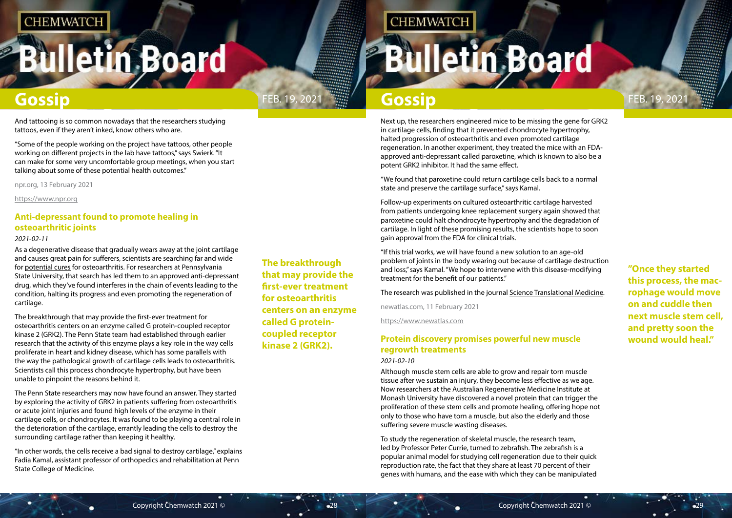# **Bulletin Board**

**"Once they started this process, the macrophage would move on and cuddle then next muscle stem cell, and pretty soon the wound would heal."**

<span id="page-14-0"></span>

**The breakthrough that may provide the first-ever treatment for osteoarthritis centers on an enzyme called G proteincoupled receptor kinase 2 (GRK2).**

## **CHEMWATCH**

# **Bulletin Board**

Next up, the researchers engineered mice to be missing the gene for GRK2 in cartilage cells, finding that it prevented chondrocyte hypertrophy, halted progression of osteoarthritis and even promoted cartilage regeneration. In another experiment, they treated the mice with an FDAapproved anti-depressant called paroxetine, which is known to also be a potent GRK2 inhibitor. It had the same effect.

"We found that paroxetine could return cartilage cells back to a normal state and preserve the cartilage surface," says Kamal.

Follow-up experiments on cultured osteoarthritic cartilage harvested from patients undergoing knee replacement surgery again showed that paroxetine could halt chondrocyte hypertrophy and the degradation of cartilage. In light of these promising results, the scientists hope to soon gain approval from the FDA for clinical trials.

"If this trial works, we will have found a new solution to an age-old problem of joints in the body wearing out because of cartilage destruction and loss," says Kamal. "We hope to intervene with this disease-modifying treatment for the benefit of our patients."

The research was published in the journal [Science Translational Medicine](https://stm.sciencemag.org/content/13/580/eaau8491.editor-summary)*.*

newatlas.com, 11 February 2021

https://www.newatlas.com

## **Protein discovery promises powerful new muscle regrowth treatments**

### *2021-02-10*

Although muscle stem cells are able to grow and repair torn muscle tissue after we sustain an injury, they become less effective as we age. Now researchers at the Australian Regenerative Medicine Institute at Monash University have discovered a novel protein that can trigger the proliferation of these stem cells and promote healing, offering hope not only to those who have torn a muscle, but also the elderly and those suffering severe muscle wasting diseases.

To study the regeneration of skeletal muscle, the research team, led by Professor Peter Currie, turned to zebrafish. The zebrafish is a popular animal model for studying cell regeneration due to their quick reproduction rate, the fact that they share at least 70 percent of their genes with humans, and the ease with which they can be manipulated

And tattooing is so common nowadays that the researchers studying tattoos, even if they aren't inked, know others who are.

"Some of the people working on the project have tattoos, other people working on different projects in the lab have tattoos," says Swierk. "It can make for some very uncomfortable group meetings, when you start talking about some of these potential health outcomes."

npr.org, 13 February 2021

https://www.npr.org

## **Anti-depressant found to promote healing in osteoarthritic joints**

### *2021-02-11*

As a degenerative disease that gradually wears away at the joint cartilage and causes great pain for sufferers, scientists are searching far and wide for [potential cures](https://newatlas.com/medical/nanoparticle-injections-arthritis-knees-slow-cartilage-loss/?itm_source=newatlas&itm_medium=article-body) for osteoarthritis. For researchers at Pennsylvania State University, that search has led them to an approved anti-depressant drug, which they've found interferes in the chain of events leading to the condition, halting its progress and even promoting the regeneration of cartilage.

The breakthrough that may provide the first-ever treatment for osteoarthritis centers on an enzyme called G protein-coupled receptor kinase 2 (GRK2). The Penn State team had established through earlier research that the activity of this enzyme plays a key role in the way cells proliferate in heart and kidney disease, which has some parallels with the way the pathological growth of cartilage cells leads to osteoarthritis. Scientists call this process chondrocyte hypertrophy, but have been unable to pinpoint the reasons behind it.

The Penn State researchers may now have found an answer. They started by exploring the activity of GRK2 in patients suffering from osteoarthritis or acute joint injuries and found high levels of the enzyme in their cartilage cells, or chondrocytes. It was found to be playing a central role in the deterioration of the cartilage, errantly leading the cells to destroy the surrounding cartilage rather than keeping it healthy.

"In other words, the cells receive a bad signal to destroy cartilage," explains Fadia Kamal, assistant professor of orthopedics and rehabilitation at Penn State College of Medicine.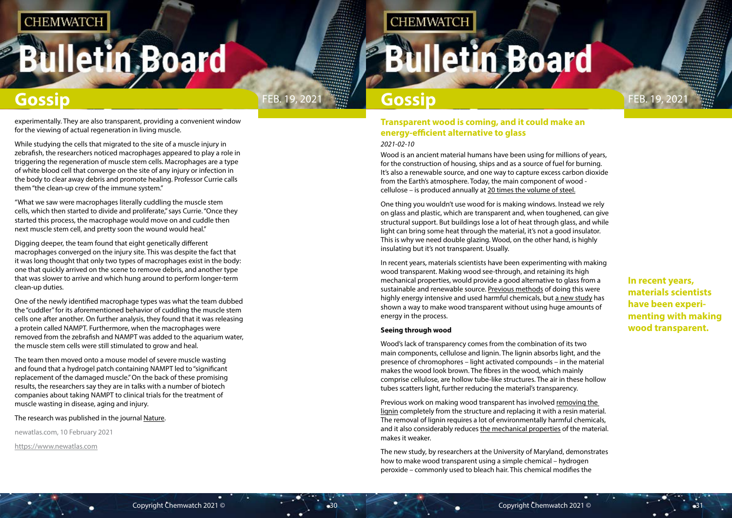# **Bulletin Board**

<span id="page-15-0"></span>

**In recent years, materials scientists have been experimenting with making wood transparent.**

## **Transparent wood is coming, and it could make an energy-efficient alternative to glass**

### *2021-02-10*

Wood is an ancient material humans have been using for millions of years, for the construction of housing, ships and as a source of fuel for burning. It's also a renewable source, and one way to capture excess carbon dioxide from the Earth's atmosphere. Today, the main component of wood cellulose – is produced annually at [20 times the volume of steel.](https://www.ncbi.nlm.nih.gov/pmc/articles/PMC5746563/)

One thing you wouldn't use wood for is making windows. Instead we rely on glass and plastic, which are transparent and, when toughened, can give structural support. But buildings lose a lot of heat through glass, and while light can bring some heat through the material, it's not a good insulator. This is why we need double glazing. Wood, on the other hand, is highly insulating but it's not transparent. Usually.

Previous work on making wood transparent has involved removing the [lignin](https://chemistry-europe.onlinelibrary.wiley.com/doi/10.1002/cssc.201701089) completely from the structure and replacing it with a resin material. The removal of lignin requires a lot of environmentally harmful chemicals, and it also considerably reduces [the mechanical properties](https://royalsocietypublishing.org/doi/10.1098/rsta.2017.0182) of the material. makes it weaker.

In recent years, materials scientists have been experimenting with making wood transparent. Making wood see-through, and retaining its high mechanical properties, would provide a good alternative to glass from a sustainable and renewable source. [Previous methods](https://onlinelibrary.wiley.com/doi/full/10.1002/adom.201800059) of doing this were highly energy intensive and used harmful chemicals, but [a new study](https://advances.sciencemag.org/content/7/5/eabd7342) has shown a way to make wood transparent without using huge amounts of energy in the process.

### **Seeing through wood**

Wood's lack of transparency comes from the combination of its two main components, cellulose and lignin. The lignin absorbs light, and the presence of chromophores – light activated compounds – in the material makes the wood look brown. The fibres in the wood, which mainly comprise cellulose, are hollow tube-like structures. The air in these hollow tubes scatters light, further reducing the material's transparency.

The new study, by researchers at the University of Maryland, demonstrates how to make wood transparent using a simple chemical – hydrogen peroxide – commonly used to bleach hair. This chemical modifies the

experimentally. They are also transparent, providing a convenient window for the viewing of actual regeneration in living muscle.

While studying the cells that migrated to the site of a muscle injury in zebrafish, the researchers noticed macrophages appeared to play a role in triggering the regeneration of muscle stem cells. Macrophages are a type of white blood cell that converge on the site of any injury or infection in the body to clear away debris and promote healing. Professor Currie calls them "the clean-up crew of the immune system."

"What we saw were macrophages literally cuddling the muscle stem cells, which then started to divide and proliferate," says Currie. "Once they started this process, the macrophage would move on and cuddle then next muscle stem cell, and pretty soon the wound would heal."

Digging deeper, the team found that eight genetically different macrophages converged on the injury site. This was despite the fact that it was long thought that only two types of macrophages exist in the body: one that quickly arrived on the scene to remove debris, and another type that was slower to arrive and which hung around to perform longer-term clean-up duties.

One of the newly identified macrophage types was what the team dubbed the "cuddler" for its aforementioned behavior of cuddling the muscle stem cells one after another. On further analysis, they found that it was releasing a protein called NAMPT. Furthermore, when the macrophages were removed from the zebrafish and NAMPT was added to the aquarium water, the muscle stem cells were still stimulated to grow and heal.

The team then moved onto a mouse model of severe muscle wasting and found that a hydrogel patch containing NAMPT led to "significant replacement of the damaged muscle." On the back of these promising results, the researchers say they are in talks with a number of biotech companies about taking NAMPT to clinical trials for the treatment of muscle wasting in disease, aging and injury.

### The research was published in the journal [Nature](https://www.nature.com/articles/s41586-021-03199-7).

newatlas.com, 10 February 2021

https://www.newatlas.com

**CHEMWATCH**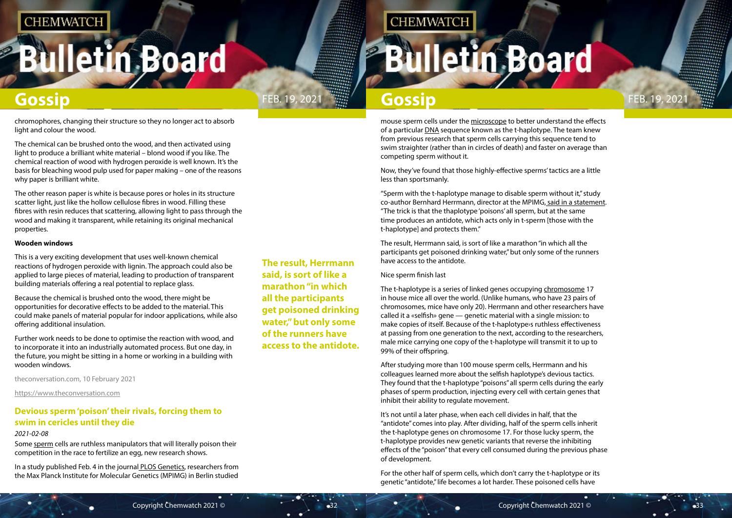# **Bulletin Board**

<span id="page-16-0"></span>

## **The result, Herrmann said, is sort of like a marathon "in which all the participants get poisoned drinking water," but only some of the runners have access to the antidote.**

# **CHEMWATCH**

# **Illetin Board**

mouse sperm cells under the [microscope](https://www.livescience.com/best-microscopes-for-kids.html) to better understand the effects of a particular **[DNA](https://www.livescience.com/37247-dna.html)** sequence known as the t-haplotype. The team knew from previous research that sperm cells carrying this sequence tend to swim straighter (rather than in circles of death) and faster on average than competing sperm without it.

Now, they've found that those highly-effective sperms' tactics are a little less than sportsmanly.

"Sperm with the t-haplotype manage to disable sperm without it," study co-author Bernhard Herrmann, director at the MPIMG, [said in a statement](https://www.mpg.de/16367201/0201-moge-not-all-sperm-are-equal-151795-x). "The trick is that the thaplotype 'poisons' all sperm, but at the same time produces an antidote, which acts only in t-sperm [those with the t-haplotype] and protects them."

The result, Herrmann said, is sort of like a marathon "in which all the participants get poisoned drinking water," but only some of the runners have access to the antidote.

Nice sperm finish last

The chemical can be brushed onto the wood, and then activated using light to produce a brilliant white material – blond wood if you like. The chemical reaction of wood with hydrogen peroxide is well known. It's the basis for bleaching wood pulp used for paper making – one of the reasons why paper is brilliant white.

> The t-haplotype is a series of linked genes occupying [chromosome](https://www.livescience.com/27248-chromosomes.html) 17 in house mice all over the world. (Unlike humans, who have 23 pairs of chromosomes, mice have only 20). Herrmann and other researchers have called it a «selfish» gene — genetic material with a single mission: to make copies of itself. Because of the t-haplotype›s ruthless effectiveness at passing from one generation to the next, according to the researchers, male mice carrying one copy of the t-haplotype will transmit it to up to 99% of their offspring.

> After studying more than 100 mouse sperm cells, Herrmann and his colleagues learned more about the selfish haplotype's devious tactics. They found that the t-haplotype "poisons" all sperm cells during the early phases of sperm production, injecting every cell with certain genes that inhibit their ability to regulate movement.

It's not until a later phase, when each cell divides in half, that the "antidote" comes into play. After dividing, half of the sperm cells inherit the t-haplotype genes on chromosome 17. For those lucky sperm, the t-haplotype provides new genetic variants that reverse the inhibiting effects of the "poison" that every cell consumed during the previous phase of development.

For the other half of sperm cells, which don't carry the t-haplotype or its genetic "antidote," life becomes a lot harder. These poisoned cells have

chromophores, changing their structure so they no longer act to absorb light and colour the wood.

The other reason paper is white is because pores or holes in its structure scatter light, just like the hollow cellulose fibres in wood. Filling these fibres with resin reduces that scattering, allowing light to pass through the wood and making it transparent, while retaining its original mechanical properties.

### **Wooden windows**

This is a very exciting development that uses well-known chemical reactions of hydrogen peroxide with lignin. The approach could also be applied to large pieces of material, leading to production of transparent building materials offering a real potential to replace glass.

Because the chemical is brushed onto the wood, there might be opportunities for decorative effects to be added to the material. This could make panels of material popular for indoor applications, while also offering additional insulation.

Further work needs to be done to optimise the reaction with wood, and to incorporate it into an industrially automated process. But one day, in the future, you might be sitting in a home or working in a building with wooden windows.

theconversation.com, 10 February 2021

https://www.theconversation.com

## **Devious sperm 'poison' their rivals, forcing them to swim in cericles until they die**

### *2021-02-08*

Some [sperm](https://www.livescience.com/23845-sexy-swimmers-sperm-facts.html) cells are ruthless manipulators that will literally poison their competition in the race to fertilize an egg, new research shows.

In a study published Feb. 4 in the journal [PLOS Genetics,](https://journals.plos.org/plosgenetics/article?id=10.1371/journal.pgen.1009308) researchers from the Max Planck Institute for Molecular Genetics (MPIMG) in Berlin studied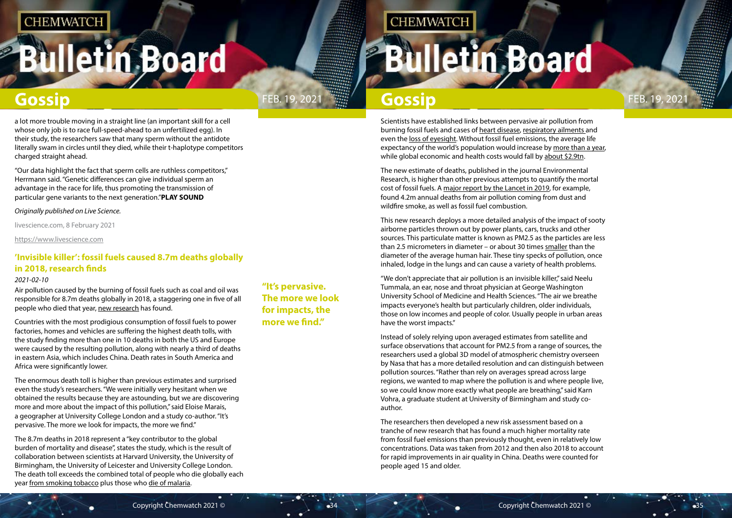# <span id="page-17-0"></span>**Bulletin Board**

Scientists have established links between pervasive air pollution from burning fossil fuels and cases of [heart disease](https://www.ncbi.nlm.nih.gov/pmc/articles/PMC4740122/), [respiratory ailments a](https://www.ncbi.nlm.nih.gov/pmc/articles/PMC4740125/)nd even the [loss of eyesight.](https://www.theguardian.com/environment/2021/jan/26/air-pollution-linked-to-higher-risk-of-irreversible-sight-loss) Without fossil fuel emissions, the average life expectancy of the world's population would increase by more than a year, while global economic and health costs would fall by [about \\$2.9tn](https://e360.yale.edu/digest/air-pollution-from-fossil-fuels-costs-8-billion-per-day-new-research-finds).

**"It's pervasive. The more we look for impacts, the more we find."**

# FEB. 19, 2021  $\frac{1}{2}$  **Gossip Gives Cossip Cossi**ption **Cossi**ption **Cossi**ption **Cossi**ption **Cossi**ption **Cossiption Cossiption Cossi**ption **Cossi**ption **Cossi**ption **Cossi**ption **Cossi**ption **Cossi**ption **C**

**CHEMWATCH** 

# **Gossip Gossip**

The new estimate of deaths, published in the journal Environmental Research, is higher than other previous attempts to quantify the mortal cost of fossil fuels. A [major report by the Lancet in 2019,](http://www.healthdata.org/gbd/2019) for example, found 4.2m annual deaths from air pollution coming from dust and wildfire smoke, as well as fossil fuel combustion.

This new research deploys a more detailed analysis of the impact of sooty airborne particles thrown out by power plants, cars, trucks and other sources. This particulate matter is known as PM2.5 as the particles are less than 2.5 micrometers in diameter – or about 30 times [smaller](https://www.epa.gov/pm-pollution/particulate-matter-pm-basics) than the diameter of the average human hair. These tiny specks of pollution, once inhaled, lodge in the lungs and can cause a variety of health problems.

"We don't appreciate that air pollution is an invisible killer," said Neelu Tummala, an ear, nose and throat physician at George Washington University School of Medicine and Health Sciences. "The air we breathe impacts everyone's health but particularly children, older individuals, those on low incomes and people of color. Usually people in urban areas have the worst impacts."

Instead of solely relying upon averaged estimates from satellite and surface observations that account for PM2.5 from a range of sources, the researchers used a global 3D model of atmospheric chemistry overseen by Nasa that has a more detailed resolution and can distinguish between pollution sources. "Rather than rely on averages spread across large regions, we wanted to map where the pollution is and where people live, so we could know more exactly what people are breathing," said Karn Vohra, a graduate student at University of Birmingham and study coauthor.

The researchers then developed a new risk assessment based on a tranche of new research that has found a much higher mortality rate from fossil fuel emissions than previously thought, even in relatively low concentrations. Data was taken from 2012 and then also 2018 to account for rapid improvements in air quality in China. Deaths were counted for people aged 15 and older.

# **Illetin Board**

a lot more trouble moving in a straight line (an important skill for a cell whose only job is to race full-speed-ahead to an unfertilized egg). In their study, the researchers saw that many sperm without the antidote literally swam in circles until they died, while their t-haplotype competitors charged straight ahead.

"Our data highlight the fact that sperm cells are ruthless competitors," Herrmann said. "Genetic differences can give individual sperm an advantage in the race for life, thus promoting the transmission of particular gene variants to the next generation."**PLAY SOUND**

*Originally published on Live Science.*

livescience.com, 8 February 2021

https://www.livescience.com

## **'Invisible killer': fossil fuels caused 8.7m deaths globally in 2018, research finds**

### *2021-02-10*

Air pollution caused by the burning of fossil fuels such as coal and oil was responsible for 8.7m deaths globally in 2018, a staggering one in five of all people who died that year, [new research](https://www.sciencedirect.com/science/article/abs/pii/S0013935121000487) has found.

Countries with the most prodigious consumption of fossil fuels to power factories, homes and vehicles are suffering the highest death tolls, with the study finding more than one in 10 deaths in both the US and Europe were caused by the resulting pollution, along with nearly a third of deaths in eastern Asia, which includes China. Death rates in South America and Africa were significantly lower.

The enormous death toll is higher than previous estimates and surprised even the study's researchers. "We were initially very hesitant when we obtained the results because they are astounding, but we are discovering more and more about the impact of this pollution," said Eloise Marais, a geographer at University College London and a study co-author. "It's pervasive. The more we look for impacts, the more we find."

The 8.7m deaths in 2018 represent a "key contributor to the global burden of mortality and disease", states the study, which is the result of collaboration between scientists at Harvard University, the University of Birmingham, the University of Leicester and University College London. The death toll exceeds the combined total of people who die globally each year from smoking tobacco plus those who [die of malaria](https://www.who.int/news-room/fact-sheets/detail/malaria).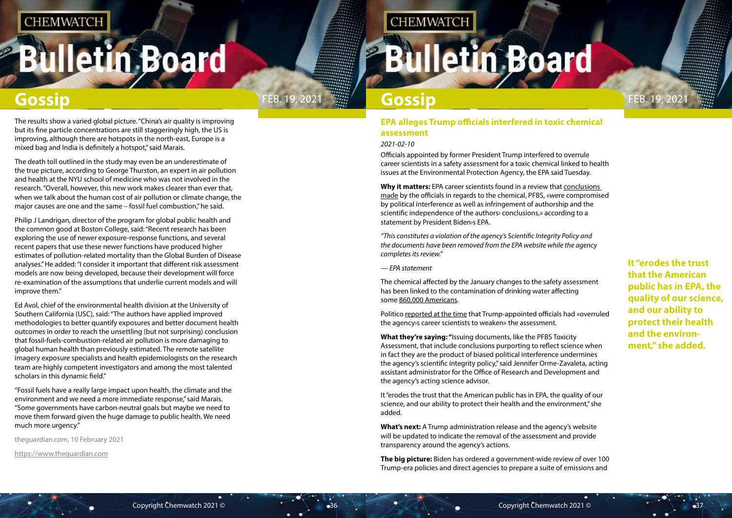# **Bulletin Board**

<span id="page-18-0"></span>

**It "erodes the trust that the American public has in EPA, the quality of our science, and our ability to protect their health and the environment," she added.**

## **EPA alleges Trump officials interfered in toxic chemical assessment**

### *2021-02-10*

Officials appointed by former President Trump interfered to overrule career scientists in a safety assessment for a toxic chemical linked to health issues at the Environmental Protection Agency, the EPA said Tuesday.

**Why it matters:** EPA career scientists found in a review that [conclusions](https://www.epa.gov/newsreleases/epa-delivers-results-pfas-action-plan)  [made](https://www.epa.gov/newsreleases/epa-delivers-results-pfas-action-plan) by the officials in regards to the chemical, PFBS, «were compromised by political interference as well as infringement of authorship and the scientific independence of the authors› conclusions,» according to a statement by President Biden›s EPA.

*"This constitutes a violation of the agency's Scientific Integrity Policy and the documents have been removed from the EPA website while the agency completes its review."*

*— EPA statement*

The chemical affected by the January changes to the safety assessment has been linked to the contamination of drinking water affecting some [860,000 Americans.](https://www.ewg.org/tapwater/contaminant.php?contamcode=E202)

Politico [reported at the time](https://www.politico.com/news/2021/01/13/trump-epa-toxic-chemical-458962) that Trump-appointed officials had «overruled the agency›s career scientists to weaken» the assessment.

**What they're saying: "**Issuing documents, like the PFBS Toxicity Assessment, that include conclusions purporting to reflect science when in fact they are the product of biased political interference undermines the agency's scientific integrity policy," said Jennifer Orme-Zavaleta, acting assistant administrator for the Office of Research and Development and the agency's acting science advisor.

It "erodes the trust that the American public has in EPA, the quality of our science, and our ability to protect their health and the environment," she added.

**What's next:** A Trump administration release and the agency's website will be updated to indicate the removal of the assessment and provide transparency around the agency's actions.

**The big picture:** Biden has ordered a government-wide review of over 100 Trump-era policies and direct agencies to prepare a suite of emissions and

The results show a varied global picture. "China's air quality is improving but its fine particle concentrations are still staggeringly high, the US is improving, although there are hotspots in the north-east, Europe is a mixed bag and India is definitely a hotspot," said Marais.

The death toll outlined in the study may even be an underestimate of the true picture, according to George Thurston, an expert in air pollution and health at the NYU school of medicine who was not involved in the research. "Overall, however, this new work makes clearer than ever that, when we talk about the human cost of air pollution or climate change, the major causes are one and the same – fossil fuel combustion," he said.

Philip J Landrigan, director of the program for global public health and the common good at Boston College, said: "Recent research has been exploring the use of newer exposure-response functions, and several recent papers that use these newer functions have produced higher estimates of pollution-related mortality than the Global Burden of Disease analyses." He added: "I consider it important that different risk assessment models are now being developed, because their development will force re-examination of the assumptions that underlie current models and will improve them."

Ed Avol, chief of the environmental health division at the University of Southern California (USC), said: "The authors have applied improved methodologies to better quantify exposures and better document health outcomes in order to reach the unsettling (but not surprising) conclusion that fossil-fuels-combustion-related air pollution is more damaging to global human health than previously estimated. The remote satellite imagery exposure specialists and health epidemiologists on the research team are highly competent investigators and among the most talented scholars in this dynamic field."

"Fossil fuels have a really large impact upon health, the climate and the environment and we need a more immediate response," said Marais. "Some governments have carbon-neutral goals but maybe we need to move them forward given the huge damage to public health. We need much more urgency."

theguardian.com, 10 February 2021

https://www.theguardian.com

**CHEMWATCH**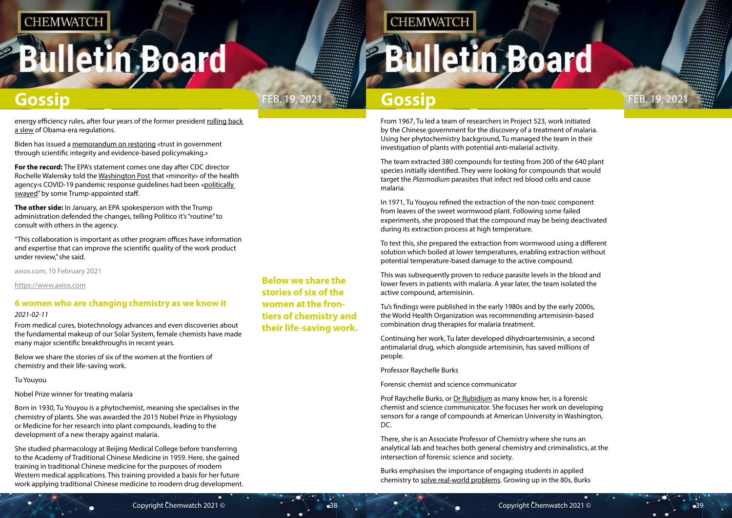# <span id="page-19-0"></span>**Illetin Board**

## **Below we share the stories of six of the women at the frontiers of chemistry and their life-saving work.**

# FEB. 19, 2021 **FEB. 19, 2021**

**CHEMWATCH** 

# **Gossip Gossip**

From 1967, Tu led a team of researchers in Project 523, work initiated by the Chinese government for the discovery of a treatment of malaria. Using her phytochemistry background, Tu managed the team in their investigation of plants with potential anti-malarial activity.

The team extracted 380 compounds for testing from 200 of the 640 plant species initially identified. They were looking for compounds that would target the *Plasmodium* parasites that infect red blood cells and cause malaria.

In 1971, Tu Youyou refined the extraction of the non-toxic component from leaves of the sweet wormwood plant. Following some failed experiments, she proposed that the compound may be being deactivated during its extraction process at high temperature.

Prof Raychelle Burks, or [Dr Rubidium](https://twitter.com/drrubidium?lang=en) as many know her, is a forensic chemist and science communicator. She focuses her work on developing sensors for a range of compounds at American University in Washington, DC.

To test this, she prepared the extraction from wormwood using a different solution which boiled at lower temperatures, enabling extraction without potential temperature-based damage to the active compound.

energy efficiency rules, after four years of the former president [rolling back](https://www.axios.com/trump-epa-obama-methane-emissions-rules-730ce0a5-ea9e-490f-a4cf-219e2559c3ff.html)  [a slew](https://www.axios.com/trump-epa-obama-methane-emissions-rules-730ce0a5-ea9e-490f-a4cf-219e2559c3ff.html) of Obama-era regulations.

> This was subsequently proven to reduce parasite levels in the blood and lower fevers in patients with malaria. A year later, the team isolated the active compound, artemisinin.

Tu's findings were published in the early 1980s and by the early 2000s, the World Health Organization was recommending artemisinin-based combination drug therapies for malaria treatment.

Continuing her work, Tu later developed dihydroartemisinin, a second antimalarial drug, which alongside artemisinin, has saved millions of people.

Professor Raychelle Burks

Forensic chemist and science communicator

There, she is an Associate Professor of Chemistry where she runs an analytical lab and teaches both general chemistry and criminalistics, at the intersection of forensic science and society.

Burks emphasises the importance of engaging students in applied chemistry to [solve real-world problems.](https://www.youtube.com/watch?v=5gheJloT3lM) Growing up in the 80s, Burks



Biden has issued a [memorandum on restoring](https://u7061146.ct.sendgrid.net/ls/click?upn=4tNED-2FM8iDZJQyQ53jATUTPvhRKMiRtNkT-2BDOWHhIUfqvTnXaLO05qTT0SCy12Mprrauh0tQmfot1v9FtNUvs5Xa5amvmemNn9HFplT1J1CjsFFvcrGdsY6ZqxtLIig57gd71axBPPu7x7iMqkAGQdumGISRgiRsTzbTIMR2F4w0PY9PVBtg5lHeXO48fW-2FczqIturzNXe5UuaKIrRZF1l6Y2m7Fr7dJuzVJoWJAGmQ4LxtgaYg3TyURa7pFFv93e5vn743JkQUohXQN4TV3ZgP1siBt0SfqAJaF00WivsJLAfrwmgZhz1bxXZ06XeaN8vHaLLgKAxl9sMueOQniQ6CRxGuLPfhLZ1FJzIL0tPrF0o5m6MuULTploJSz9g0SrcZODIUUoT2zx-2FsqUF3p3yq8bF0oBVyzyAF3xuA-2F2wBYUm1wvoh-2B7zXf4msaQzLtysLyUNCxv-2FQUnbCqYi7orvh7dhrB6ICq5srm9-2B9s6Z2fC-2FOJfQuFB9MwkMGKPJC2IgBYcNjTZFg6wQ0TyZxp6d-2BCVj4UA7M3z2ULY6LcIdyVojD4Ob0-2FLaWmrkHgN6ME8w-2F82RhExRmyH7UOMPFha8PL2EEwa6hJ11VRrm2Ab0E-2FSCnsG9qxQxxosmg25Al2L08g2vVS6LSE-2BSkG1Y56JyImy796Rkcf83mF0WAY-2BZ-2FoPa5IqgkLjAcAo2cSv6N-2Bljff4Otw0jvQOikJuhurX0-2FSSc7zVfL5BezpsoTJGJfS1N87Ynfufy6JRLK7ivy59Lg4_NzGC7-2FrI9Ljp7Sm64LWnuLIrpLwZsEg8-2BmVjtNhfRyMk0aIBCmtXfHi4D6HCZdETm1sQC1-2F2TKcXQed4uZoWj5G8uwVSImsvc787S5Pmpior7xhbWjwnSoyUISexAbcOzqaDFUQf-2F7TfLGA5lADLXobJh-2FKatf5thN48KbeQXPMGiFKQkBmhEhdfSLBTzPSfI-2BSPu-2F5ADOAPnVOH-2BQnQVZm32ckHtImvVYygwmfg-2FUuq595E7CFzUfBMSIgoXKOJytmAvCf81NWR9s7mRzRNgdtG3c15jaZXeVCr-2B3O1SZ0XpUNYEqkWp9TxQTFdN6lgK21Txknq8vIDwDyhRd2C9AQ2S5uKYkn3GjlgkT2Yi04-3D) «trust in government through scientific integrity and evidence-based policymaking.»

**For the record:** The EPA's statement comes one day after CDC director Rochelle Walensky told the [Washington Post](https://www.washingtonpost.com/nation/2021/02/08/coronavirus-covid-live-updates-us/) that «minority» of the health agency›s COVID-19 pandemic response guidelines had been [«politically](https://www.axios.com/cdc-chief-covid-19-guidelines-politically-swayed-trump-6b5ff4de-bf3d-4903-aecb-ca61f1b1f4f4.html)  [swayed"](https://www.axios.com/cdc-chief-covid-19-guidelines-politically-swayed-trump-6b5ff4de-bf3d-4903-aecb-ca61f1b1f4f4.html) by some Trump-appointed staff.

**The other side:** In January, an EPA spokesperson with the Trump administration defended the changes, telling Politico it's "routine" to consult with others in the agency.

"This collaboration is important as other program offices have information and expertise that can improve the scientific quality of the work product under review," she said.

axios.com, 10 February 2021

https://www.axios.com

## **6 women who are changing chemistry as we know it**

### *2021-02-11*

From medical cures, biotechnology advances and even discoveries about the fundamental makeup of our Solar System, female chemists have made many major scientific breakthroughs in recent years.

Below we share the stories of six of the women at the frontiers of chemistry and their life-saving work.

Tu Youyou

Nobel Prize winner for treating malaria

Born in 1930, Tu Youyou is a phytochemist, meaning she specialises in the chemistry of plants. She was awarded the 2015 Nobel Prize in Physiology or Medicine for her research into plant compounds, leading to the development of a new therapy against malaria.

She studied pharmacology at Beijing Medical College before transferring to the Academy of Traditional Chinese Medicine in 1959. Here, she gained training in traditional Chinese medicine for the purposes of modern Western medical applications. This training provided a basis for her future work applying traditional Chinese medicine to modern drug development.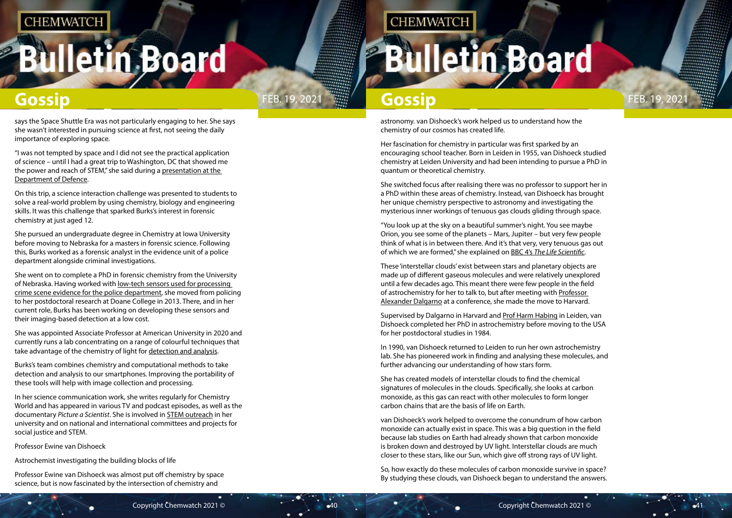# **Illetin Board**



astronomy. van Dishoeck's work helped us to understand how the chemistry of our cosmos has created life.

**CHEMWATCH** 

Her fascination for chemistry in particular was first sparked by an encouraging school teacher. Born in Leiden in 1955, van Dishoeck studied chemistry at Leiden University and had been intending to pursue a PhD in quantum or theoretical chemistry.

She switched focus after realising there was no professor to support her in a PhD within these areas of chemistry. Instead, van Dishoeck has brought her unique chemistry perspective to astronomy and investigating the mysterious inner workings of tenuous gas clouds gliding through space.

"You look up at the sky on a beautiful summer's night. You see maybe Orion, you see some of the planets – Mars, Jupiter – but very few people think of what is in between there. And it's that very, very tenuous gas out of which we are formed," she explained on BBC 4's *[The Life Scientific](https://www.bbc.co.uk/programmes/m0006dh4)*.

These 'interstellar clouds' exist between stars and planetary objects are made up of different gaseous molecules and were relatively unexplored until a few decades ago. This meant there were few people in the field of astrochemistry for her to talk to, but after meeting with [Professor](https://royalsociety.org/people/alexander-dalgarno-11298/)  [Alexander Dalgarno](https://royalsociety.org/people/alexander-dalgarno-11298/) at a conference, she made the move to Harvard.

Supervised by Dalgarno in Harvard and Prof Harm Habing in Leiden, van Dishoeck completed her PhD in astrochemistry before moving to the USA for her postdoctoral studies in 1984.

In 1990, van Dishoeck returned to Leiden to run her own astrochemistry lab. She has pioneered work in finding and analysing these molecules, and further advancing our understanding of how stars form.

She has created models of interstellar clouds to find the chemical signatures of molecules in the clouds. Specifically, she looks at carbon monoxide, as this gas can react with other molecules to form longer carbon chains that are the basis of life on Earth.

van Dishoeck's work helped to overcome the conundrum of how carbon monoxide can actually exist in space. This was a big question in the field because lab studies on Earth had already shown that carbon monoxide is broken down and destroyed by UV light. Interstellar clouds are much closer to these stars, like our Sun, which give off strong rays of UV light.

So, how exactly do these molecules of carbon monoxide survive in space? By studying these clouds, van Dishoeck began to understand the answers.

says the Space Shuttle Era was not particularly engaging to her. She says she wasn't interested in pursuing science at first, not seeing the daily importance of exploring space.

"I was not tempted by space and I did not see the practical application of science – until I had a great trip to Washington, DC that showed me the power and reach of STEM," she said during a [presentation at the](https://www.youtube.com/watch?v=5gheJloT3lM)  [Department of Defence.](https://www.youtube.com/watch?v=5gheJloT3lM)

On this trip, a science interaction challenge was presented to students to solve a real-world problem by using chemistry, biology and engineering skills. It was this challenge that sparked Burks's interest in forensic chemistry at just aged 12.

She pursued an undergraduate degree in Chemistry at Iowa University before moving to Nebraska for a masters in forensic science. Following this, Burks worked as a forensic analyst in the evidence unit of a police department alongside criminal investigations.

She went on to complete a PhD in forensic chemistry from the University of Nebraska. Having worked with [low-tech sensors used for processing](https://www.chemistryworld.com/careers/profile-consider-the-evidence/3006889.article?adredir=1)  [crime scene evidence for the police department,](https://www.chemistryworld.com/careers/profile-consider-the-evidence/3006889.article?adredir=1) she moved from policing to her postdoctoral research at Doane College in 2013. There, and in her current role, Burks has been working on developing these sensors and their imaging-based detection at a low cost.

She was appointed Associate Professor at American University in 2020 and currently runs a lab concentrating on a range of colourful techniques that take advantage of the chemistry of light for [detection and analysis](https://onlinelibrary.wiley.com/doi/full/10.1002/cem.2961?casa_token=z-i_EPlYw98AAAAA%3AWrryhroJ52XTS_DvF9kSUtsg4JJyPHG9CcbUzkwGY1BFhx6namChjtGt-z0uHpx_YqKQg3sbjUVPmgrG8g).

Burks's team combines chemistry and computational methods to take detection and analysis to our smartphones. Improving the portability of these tools will help with image collection and processing.

In her science communication work, she writes regularly for Chemistry World and has appeared in various TV and podcast episodes, as well as the documentary *Picture a Scientist*. She is involved in [STEM outreach](https://dl.acm.org/doi/abs/10.5555/3417608.3417613) in her university and on national and international committees and projects for social justice and STEM.

Professor Ewine van Dishoeck

Astrochemist investigating the building blocks of life

Professor Ewine van Dishoeck was almost put off chemistry by space science, but is now fascinated by the intersection of chemistry and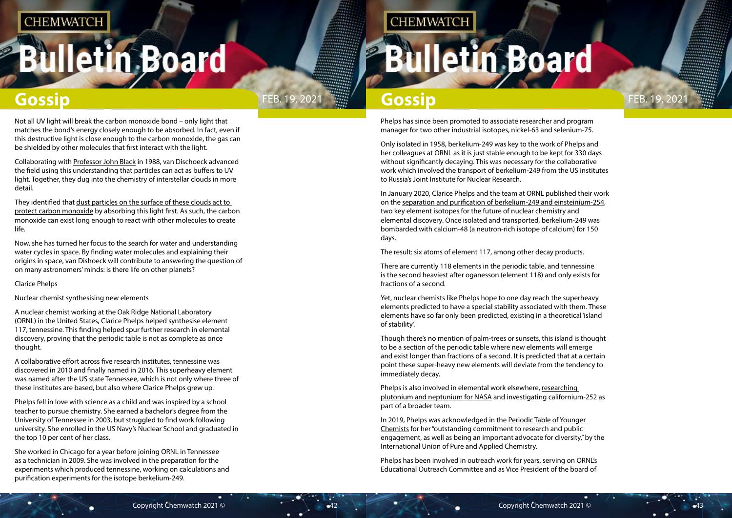# **Illetin Board**



Phelps has since been promoted to associate researcher and program manager for two other industrial isotopes, nickel-63 and selenium-75.

Only isolated in 1958, berkelium-249 was key to the work of Phelps and her colleagues at ORNL as it is just stable enough to be kept for 330 days without significantly decaying. This was necessary for the collaborative work which involved the transport of berkelium-249 from the US institutes to Russia's Joint Institute for Nuclear Research.

In January 2020, Clarice Phelps and the team at ORNL published their work on the [separation and purification of berkelium-249 and einsteinium-254,](https://info.ornl.gov/sites/publications/Files/Pub130252.pdf) two key element isotopes for the future of nuclear chemistry and elemental discovery. Once isolated and transported, berkelium-249 was bombarded with calcium-48 (a neutron-rich isotope of calcium) for 150 days.

The result: six atoms of element 117, among other decay products.

There are currently 118 elements in the periodic table, and tennessine is the second heaviest after oganesson (element 118) and only exists for fractions of a second.

Yet, nuclear chemists like Phelps hope to one day reach the superheavy elements predicted to have a special stability associated with them. These elements have so far only been predicted, existing in a theoretical 'island of stability'.

Though there's no mention of palm-trees or sunsets, this island is thought to be a section of the periodic table where new elements will emerge and exist longer than fractions of a second. It is predicted that at a certain point these super-heavy new elements will deviate from the tendency to immediately decay.

Phelps is also involved in elemental work elsewhere, [researching](https://www.osti.gov/biblio/1430620)  [plutonium and neptunium for NASA](https://www.osti.gov/biblio/1430620) and investigating californium-252 as part of a broader team.

In 2019, Phelps was acknowledged in the Periodic Table of Younger Chemists for her "outstanding commitment to research and public engagement, as well as being an important advocate for diversity," by the International Union of Pure and Applied Chemistry.

Phelps has been involved in outreach work for years, serving on ORNL's Educational Outreach Committee and as Vice President of the board of

Not all UV light will break the carbon monoxide bond – only light that matches the bond's energy closely enough to be absorbed. In fact, even if this destructive light is close enough to the carbon monoxide, the gas can be shielded by other molecules that first interact with the light.

Collaborating with [Professor John Black](https://orcid.org/0000-0001-7221-7207) in 1988, van Dischoeck advanced the field using this understanding that particles can act as buffers to UV light. Together, they dug into the chemistry of interstellar clouds in more detail.

They identified that [dust particles on the surface of these clouds act to](https://ui.adsabs.harvard.edu/abs/1988ApJ...334..771V/abstract)  [protect carbon monoxide](https://ui.adsabs.harvard.edu/abs/1988ApJ...334..771V/abstract) by absorbing this light first. As such, the carbon monoxide can exist long enough to react with other molecules to create life.

Now, she has turned her focus to the search for water and understanding water cycles in space. By finding water molecules and explaining their origins in space, van Dishoeck will contribute to answering the question of on many astronomers' minds: is there life on other planets?

Clarice Phelps

Nuclear chemist synthesising new elements

A nuclear chemist working at the Oak Ridge National Laboratory (ORNL) in the United States, Clarice Phelps helped synthesise element 117, tennessine. This finding helped spur further research in elemental discovery, proving that the periodic table is not as complete as once thought.

A collaborative effort across five research institutes, tennessine was discovered in 2010 and finally named in 2016. This superheavy element was named after the US state Tennessee, which is not only where three of these institutes are based, but also where Clarice Phelps grew up.

Phelps fell in love with science as a child and was inspired by a school teacher to pursue chemistry. She earned a bachelor's degree from the University of Tennessee in 2003, but struggled to find work following university. She enrolled in the US Navy's Nuclear School and graduated in the top 10 per cent of her class.

She worked in Chicago for a year before joining ORNL in Tennessee as a technician in 2009. She was involved in the preparation for the experiments which produced tennessine, working on calculations and purification experiments for the isotope berkelium-249.

**CHEMWATCH**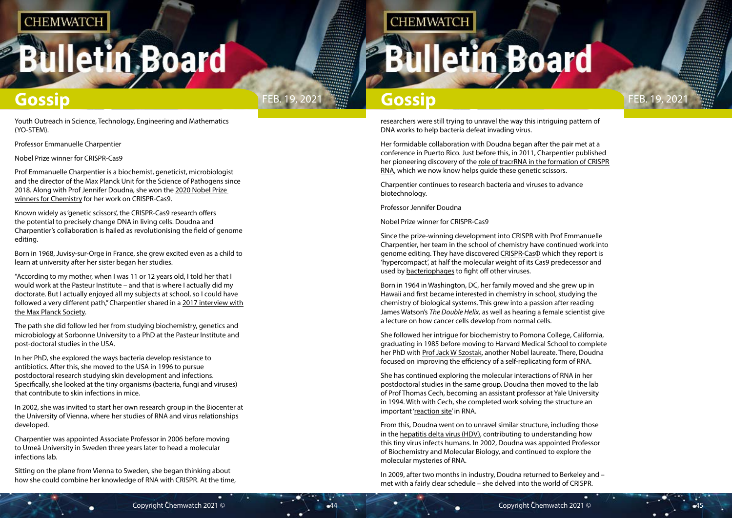# **Iletin Board**



researchers were still trying to unravel the way this intriguing pattern of DNA works to help bacteria defeat invading virus.

Since the prize-winning development into CRISPR with Prof Emmanuelle Charpentier, her team in the school of chemistry have continued work into genome editing. They have discovered [CRISPR-CasΦ](https://pubmed.ncbi.nlm.nih.gov/32675376/) which they report is 'hypercompact', at half the molecular weight of its Cas9 predecessor and used by **[bacteriophages](https://www.sciencefocus.com/the-human-body/bacteriophage-virus-treatment-superbug/)** to fight off other viruses.

Her formidable collaboration with Doudna began after the pair met at a conference in Puerto Rico. Just before this, in 2011, Charpentier published her pioneering discovery of the [role of tracrRNA in the formation of CRISPR](https://pubmed.ncbi.nlm.nih.gov/21455174/)  [RNA,](https://pubmed.ncbi.nlm.nih.gov/21455174/) which we now know helps guide these genetic scissors.

Charpentier continues to research bacteria and viruses to advance biotechnology.

Professor Jennifer Doudna

Nobel Prize winner for CRISPR-Cas9

She has continued exploring the molecular interactions of RNA in her postdoctoral studies in the same group. Doudna then moved to the lab of Prof Thomas Cech, becoming an assistant professor at Yale University in 1994. With with Cech, she completed work solving the structure an important ['reaction site'](https://pubmed.ncbi.nlm.nih.gov/8781224/) in RNA.

Born in 1964 in Washington, DC, her family moved and she grew up in Hawaii and first became interested in chemistry in school, studying the chemistry of biological systems. This grew into a passion after reading James Watson's *The Double Helix,* as well as hearing a female scientist give a lecture on how cancer cells develop from normal cells.

She followed her intrigue for biochemistry to Pomona College, California, graduating in 1985 before moving to Harvard Medical School to complete her PhD with [Prof Jack W Szostak](https://chemistry.harvard.edu/people/jack-szostak), another Nobel laureate. There, Doudna focused on improving the efficiency of a self-replicating form of RNA.

From this, Doudna went on to unravel similar structure, including those in the [hepatitis delta virus \(HDV\),](https://ui.adsabs.harvard.edu/abs/1998Natur.395..567F/abstract) contributing to understanding how this tiny virus infects humans. In 2002, Doudna was appointed Professor of Biochemistry and Molecular Biology, and continued to explore the molecular mysteries of RNA.

In 2009, after two months in industry, Doudna returned to Berkeley and – met with a fairly clear schedule – she delved into the world of CRISPR.

Youth Outreach in Science, Technology, Engineering and Mathematics (YO-STEM).

Professor Emmanuelle Charpentier

Nobel Prize winner for CRISPR-Cas9

Prof Emmanuelle Charpentier is a biochemist, geneticist, microbiologist and the director of the Max Planck Unit for the Science of Pathogens since 2018. Along with Prof Jennifer Doudna, she won the [2020 Nobel Prize](https://www.sciencefocus.com/news/crispr-scientists-awarded-2020-nobel-prize-for-chemistry/)  [winners for Chemistry](https://www.sciencefocus.com/news/crispr-scientists-awarded-2020-nobel-prize-for-chemistry/) for her work on CRISPR-Cas9.

Known widely as 'genetic scissors', the CRISPR-Cas9 research offers the potential to precisely change DNA in living cells. Doudna and Charpentier's collaboration is hailed as revolutionising the field of genome editing.

Born in 1968, Juvisy-sur-Orge in France, she grew excited even as a child to learn at university after her sister began her studies.

"According to my mother, when I was 11 or 12 years old, I told her that I would work at the Pasteur Institute – and that is where I actually did my doctorate. But I actually enjoyed all my subjects at school, so I could have followed a very different path," Charpentier shared in a 2017 interview with [the Max Planck Society.](https://www.mpg.de/10729312/emmanuelle-charpentier)

The path she did follow led her from studying biochemistry, genetics and microbiology at Sorbonne University to a PhD at the Pasteur Institute and post-doctoral studies in the USA.

In her PhD, she explored the ways bacteria develop resistance to antibiotics. After this, she moved to the USA in 1996 to pursue postdoctoral research studying skin development and infections. Specifically, she looked at the tiny organisms (bacteria, fungi and viruses) that contribute to skin infections in mice.

In 2002, she was invited to start her own research group in the Biocenter at the University of Vienna, where her studies of RNA and virus relationships developed.

Charpentier was appointed Associate Professor in 2006 before moving to Umeå University in Sweden three years later to head a molecular infections lab.

Sitting on the plane from Vienna to Sweden, she began thinking about how she could combine her knowledge of RNA with CRISPR. At the time,

**CHEMWATCH** 

# **lletin Board**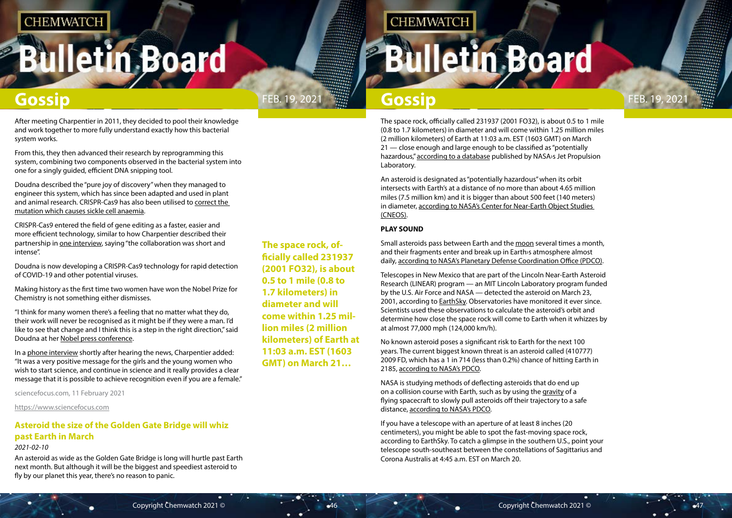# <span id="page-23-0"></span>**Bulletin Board**



## **The space rock, officially called 231937 (2001 FO32), is about 0.5 to 1 mile (0.8 to 1.7 kilometers) in diameter and will come within 1.25 million miles (2 million kilometers) of Earth at 11:03 a.m. EST (1603 GMT) on March 21…**

**CHEMWATCH** 

# **Gossip Gossip**

The space rock, officially called 231937 (2001 FO32), is about 0.5 to 1 mile (0.8 to 1.7 kilometers) in diameter and will come within 1.25 million miles (2 million kilometers) of Earth at 11:03 a.m. EST (1603 GMT) on March 21 — close enough and large enough to be classified as "potentially hazardous," according to a database published by NASA›s Jet Propulsion Laboratory.

An asteroid is designated as "potentially hazardous" when its orbit intersects with Earth's at a distance of no more than about 4.65 million miles (7.5 million km) and it is bigger than about 500 feet (140 meters) in diameter, [according to NASA's Center for Near-Earth Object Studies](https://cneos.jpl.nasa.gov/about/neo_groups.html)  [\(CNEOS\).](https://cneos.jpl.nasa.gov/about/neo_groups.html)

### **PLAY SOUND**

Small asteroids pass between Earth and the [moon](https://www.livescience.com/earths-moon.html) several times a month, and their fragments enter and break up in Earth›s atmosphere almost daily, [according to NASA's Planetary Defense Coordination Office \(PDCO\).](https://www.nasa.gov/planetarydefense/did-you-know)

Telescopes in New Mexico that are part of the Lincoln Near-Earth Asteroid Research (LINEAR) program — an MIT Lincoln Laboratory program funded by the U.S. Air Force and NASA — detected the asteroid on March 23, 2001, according to [EarthSky.](https://earthsky.org/astronomy-essentials/asteroid-2001-fo32-big-fast-pass-near-earth-2021) Observatories have monitored it ever since. Scientists used these observations to calculate the asteroid's orbit and determine how close the space rock will come to Earth when it whizzes by at almost 77,000 mph (124,000 km/h).

No known asteroid poses a significant risk to Earth for the next 100 years. The current biggest known threat is an asteroid called (410777) 2009 FD, which has a 1 in 714 (less than 0.2%) chance of hitting Earth in 2185, [according to NASA's PDCO](https://www.nasa.gov/planetarydefense/did-you-know).

NASA is studying methods of deflecting asteroids that do end up on a collision course with Earth, such as by using the [gravity](https://www.livescience.com/37115-what-is-gravity.html) of a flying spacecraft to slowly pull asteroids off their trajectory to a safe distance, [according to NASA's PDCO](https://www.nasa.gov/planetarydefense/did-you-know).

If you have a telescope with an aperture of at least 8 inches (20 centimeters), you might be able to spot the fast-moving space rock, according to EarthSky. To catch a glimpse in the southern U.S., point your telescope south-southeast between the constellations of Sagittarius and Corona Australis at 4:45 a.m. EST on March 20.

After meeting Charpentier in 2011, they decided to pool their knowledge and work together to more fully understand exactly how this bacterial system works.

From this, they then advanced their research by reprogramming this system, combining two components observed in the bacterial system into one for a singly guided, efficient DNA snipping tool.

Doudna described the "pure joy of discovery" when they managed to engineer this system, which has since been adapted and used in plant and animal research. CRISPR-Cas9 has also been utilised to [correct the](https://pubmed.ncbi.nlm.nih.gov/27406980/)  [mutation which causes sickle cell anaemia](https://pubmed.ncbi.nlm.nih.gov/27406980/).

CRISPR-Cas9 entered the field of gene editing as a faster, easier and more efficient technology, similar to how Charpentier described their partnership in <u>[one interview](https://www.youtube.com/watch?v=JWymv8e_A9E)</u>, saying "the collaboration was short and intense".

Doudna is now developing a CRISPR-Cas9 technology for rapid detection of COVID-19 and other potential viruses.

Making history as the first time two women have won the Nobel Prize for Chemistry is not something either dismisses.

"I think for many women there's a feeling that no matter what they do, their work will never be recognised as it might be if they were a man. I'd like to see that change and I think this is a step in the right direction," said Doudna at her [Nobel press conference](https://www.youtube.com/watch?v=NPpj4pc062g).

In a [phone interview](https://www.youtube.com/watch?v=JWymv8e_A9E) shortly after hearing the news, Charpentier added: "It was a very positive message for the girls and the young women who wish to start science, and continue in science and it really provides a clear message that it is possible to achieve recognition even if you are a female."

sciencefocus.com, 11 February 2021

https://www.sciencefocus.com

## **Asteroid the size of the Golden Gate Bridge will whiz past Earth in March**

### *2021-02-10*

An asteroid as wide as the Golden Gate Bridge is long will hurtle past Earth next month. But although it will be the biggest and speediest asteroid to fly by our planet this year, there's no reason to panic.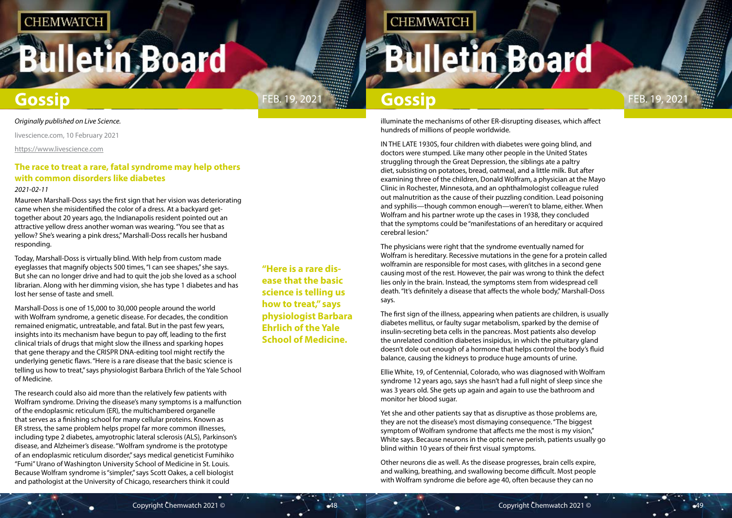# **Bulletin Board**

<span id="page-24-0"></span>

**"Here is a rare disease that the basic science is telling us how to treat," says physiologist Barbara Ehrlich of the Yale School of Medicine.**

**CHEMWATCH** 

illuminate the mechanisms of other ER-disrupting diseases, which affect hundreds of millions of people worldwide.

IN THE LATE 1930S, four children with diabetes were going blind, and doctors were stumped. Like many other people in the United States struggling through the Great Depression, the siblings ate a paltry diet, subsisting on potatoes, bread, oatmeal, and a little milk. But after examining three of the children, Donald Wolfram, a physician at the Mayo Clinic in Rochester, Minnesota, and an ophthalmologist colleague ruled out malnutrition as the cause of their puzzling condition. Lead poisoning and syphilis—though common enough—weren't to blame, either. When Wolfram and his partner wrote up the cases in 1938, they concluded that the symptoms could be "manifestations of an hereditary or acquired cerebral lesion."

The physicians were right that the syndrome eventually named for Wolfram is hereditary. Recessive mutations in the gene for a protein called wolframin are responsible for most cases, with glitches in a second gene causing most of the rest. However, the pair was wrong to think the defect lies only in the brain. Instead, the symptoms stem from widespread cell death. "It's definitely a disease that affects the whole body," Marshall-Doss says.

The first sign of the illness, appearing when patients are children, is usually diabetes mellitus, or faulty sugar metabolism, sparked by the demise of insulin-secreting beta cells in the pancreas. Most patients also develop the unrelated condition diabetes insipidus, in which the pituitary gland doesn't dole out enough of a hormone that helps control the body's fluid balance, causing the kidneys to produce huge amounts of urine.

Ellie White, 19, of Centennial, Colorado, who was diagnosed with Wolfram syndrome 12 years ago, says she hasn't had a full night of sleep since she was 3 years old. She gets up again and again to use the bathroom and monitor her blood sugar.

Yet she and other patients say that as disruptive as those problems are, they are not the disease's most dismaying consequence. "The biggest symptom of Wolfram syndrome that affects me the most is my vision," White says. Because neurons in the optic nerve perish, patients usually go blind within 10 years of their first visual symptoms.

Other neurons die as well. As the disease progresses, brain cells expire, and walking, breathing, and swallowing become difficult. Most people with Wolfram syndrome die before age 40, often because they can no

*Originally published on Live Science.*

livescience.com, 10 February 2021

https://www.livescience.com

## **The race to treat a rare, fatal syndrome may help others with common disorders like diabetes**

### *2021-02-11*

Maureen Marshall-Doss says the first sign that her vision was deteriorating came when she misidentified the color of a dress. At a backyard gettogether about 20 years ago, the Indianapolis resident pointed out an attractive yellow dress another woman was wearing. "You see that as yellow? She's wearing a pink dress," Marshall-Doss recalls her husband responding.

Today, Marshall-Doss is virtually blind. With help from custom made eyeglasses that magnify objects 500 times, "I can see shapes," she says. But she can no longer drive and had to quit the job she loved as a school librarian. Along with her dimming vision, she has type 1 diabetes and has lost her sense of taste and smell.

Marshall-Doss is one of 15,000 to 30,000 people around the world with Wolfram syndrome, a genetic disease. For decades, the condition remained enigmatic, untreatable, and fatal. But in the past few years, insights into its mechanism have begun to pay off, leading to the first clinical trials of drugs that might slow the illness and sparking hopes that gene therapy and the CRISPR DNA-editing tool might rectify the underlying genetic flaws. "Here is a rare disease that the basic science is telling us how to treat," says physiologist Barbara Ehrlich of the Yale School of Medicine.

The research could also aid more than the relatively few patients with Wolfram syndrome. Driving the disease's many symptoms is a malfunction of the endoplasmic reticulum (ER), the multichambered organelle that serves as a finishing school for many cellular proteins. Known as ER stress, the same problem helps propel far more common illnesses, including type 2 diabetes, amyotrophic lateral sclerosis (ALS), Parkinson's disease, and Alzheimer's disease. "Wolfram syndrome is the prototype of an endoplasmic reticulum disorder," says medical geneticist Fumihiko "Fumi" Urano of Washington University School of Medicine in St. Louis. Because Wolfram syndrome is "simpler," says Scott Oakes, a cell biologist and pathologist at the University of Chicago, researchers think it could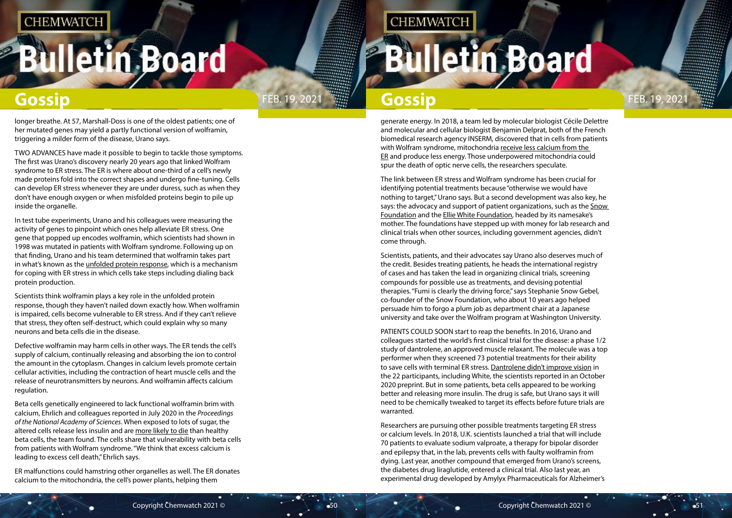# **Illetin Board**

**Gossip** FEB. 19, 2021 **Gossip Gossip** FEB. 19, 2021

**CHEMWATCH** 

generate energy. In 2018, a team led by molecular biologist Cécile Delettre and molecular and cellular biologist Benjamin Delprat, both of the French biomedical research agency INSERM, discovered that in cells from patients with Wolfram syndrome, mitochondria [receive less calcium from the](https://dx.doi.org/10.1126/scisignal.aaq1380)  [ER](https://dx.doi.org/10.1126/scisignal.aaq1380) and produce less energy. Those underpowered mitochondria could spur the death of optic nerve cells, the researchers speculate.

The link between ER stress and Wolfram syndrome has been crucial for identifying potential treatments because "otherwise we would have nothing to target," Urano says. But a second development was also key, he says: the advocacy and support of patient organizations, such as the [Snow](https://thesnowfoundation.org/)  [Foundation](https://thesnowfoundation.org/) and the [Ellie White Foundation](https://www.elliewhitefoundation.org/), headed by its namesake's mother. The foundations have stepped up with money for lab research and clinical trials when other sources, including government agencies, didn't come through.

Scientists, patients, and their advocates say Urano also deserves much of the credit. Besides treating patients, he heads the international registry of cases and has taken the lead in organizing clinical trials, screening compounds for possible use as treatments, and devising potential therapies. "Fumi is clearly the driving force," says Stephanie Snow Gebel, co-founder of the Snow Foundation, who about 10 years ago helped persuade him to forgo a plum job as department chair at a Japanese university and take over the Wolfram program at Washington University.

PATIENTS COULD SOON start to reap the benefits. In 2016, Urano and colleagues started the world's first clinical trial for the disease: a phase 1/2 study of dantrolene, an approved muscle relaxant. The molecule was a top performer when they screened 73 potential treatments for their ability to save cells with terminal ER stress. [Dantrolene didn't improve vision](https://www.medrxiv.org/content/10.1101/2020.10.07.20208694v1) in the 22 participants, including White, the scientists reported in an October 2020 preprint. But in some patients, beta cells appeared to be working better and releasing more insulin. The drug is safe, but Urano says it will need to be chemically tweaked to target its effects before future trials are warranted.

Researchers are pursuing other possible treatments targeting ER stress or calcium levels. In 2018, U.K. scientists launched a trial that will include 70 patients to evaluate sodium valproate, a therapy for bipolar disorder and epilepsy that, in the lab, prevents cells with faulty wolframin from dying. Last year, another compound that emerged from Urano's screens, the diabetes drug liraglutide, entered a clinical trial. Also last year, an experimental drug developed by Amylyx Pharmaceuticals for Alzheimer's

# **Iletin Board**

longer breathe. At 57, Marshall-Doss is one of the oldest patients; one of her mutated genes may yield a partly functional version of wolframin, triggering a milder form of the disease, Urano says.

TWO ADVANCES have made it possible to begin to tackle those symptoms. The first was Urano's discovery nearly 20 years ago that linked Wolfram syndrome to ER stress. The ER is where about one-third of a cell's newly made proteins fold into the correct shapes and undergo fine-tuning. Cells can develop ER stress whenever they are under duress, such as when they don't have enough oxygen or when misfolded proteins begin to pile up inside the organelle.

In test tube experiments, Urano and his colleagues were measuring the activity of genes to pinpoint which ones help alleviate ER stress. One gene that popped up encodes wolframin, which scientists had shown in 1998 was mutated in patients with Wolfram syndrome. Following up on that finding, Urano and his team determined that wolframin takes part in what's known as the [unfolded protein response](https://doi.org/10.1074/jbc.M507426200), which is a mechanism for coping with ER stress in which cells take steps including dialing back protein production.

Scientists think wolframin plays a key role in the unfolded protein response, though they haven't nailed down exactly how. When wolframin is impaired, cells become vulnerable to ER stress. And if they can't relieve that stress, they often self-destruct, which could explain why so many neurons and beta cells die in the disease.

Defective wolframin may harm cells in other ways. The ER tends the cell's supply of calcium, continually releasing and absorbing the ion to control the amount in the cytoplasm. Changes in calcium levels promote certain cellular activities, including the contraction of heart muscle cells and the release of neurotransmitters by neurons. And wolframin affects calcium regulation.

Beta cells genetically engineered to lack functional wolframin brim with calcium, Ehrlich and colleagues reported in July 2020 in the *Proceedings of the National Academy of Sciences*. When exposed to lots of sugar, the altered cells release less insulin and are [more likely to die](https://doi.org/10.1073/pnas.2007136117) than healthy beta cells, the team found. The cells share that vulnerability with beta cells from patients with Wolfram syndrome. "We think that excess calcium is leading to excess cell death," Ehrlich says.

ER malfunctions could hamstring other organelles as well. The ER donates calcium to the mitochondria, the cell's power plants, helping them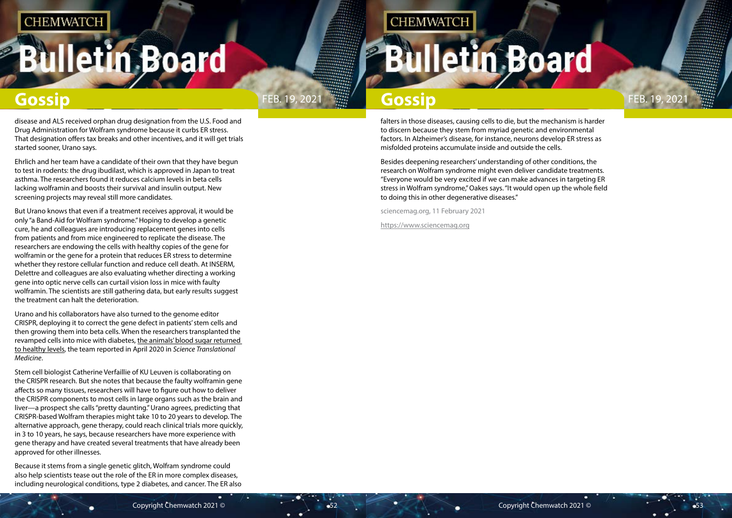# **Illetin Board**





falters in those diseases, causing cells to die, but the mechanism is harder to discern because they stem from myriad genetic and environmental factors. In Alzheimer's disease, for instance, neurons develop ER stress as misfolded proteins accumulate inside and outside the cells.

Besides deepening researchers' understanding of other conditions, the research on Wolfram syndrome might even deliver candidate treatments. "Everyone would be very excited if we can make advances in targeting ER stress in Wolfram syndrome," Oakes says. "It would open up the whole field to doing this in other degenerative diseases."

sciencemag.org, 11 February 2021

https://www.sciencemag.org

disease and ALS received orphan drug designation from the U.S. Food and Drug Administration for Wolfram syndrome because it curbs ER stress. That designation offers tax breaks and other incentives, and it will get trials started sooner, Urano says.

Ehrlich and her team have a candidate of their own that they have begun to test in rodents: the drug ibudilast, which is approved in Japan to treat asthma. The researchers found it reduces calcium levels in beta cells lacking wolframin and boosts their survival and insulin output. New screening projects may reveal still more candidates.

But Urano knows that even if a treatment receives approval, it would be only "a Band-Aid for Wolfram syndrome." Hoping to develop a genetic cure, he and colleagues are introducing replacement genes into cells from patients and from mice engineered to replicate the disease. The researchers are endowing the cells with healthy copies of the gene for wolframin or the gene for a protein that reduces ER stress to determine whether they restore cellular function and reduce cell death. At INSERM, Delettre and colleagues are also evaluating whether directing a working gene into optic nerve cells can curtail vision loss in mice with faulty wolframin. The scientists are still gathering data, but early results suggest the treatment can halt the deterioration.

Urano and his collaborators have also turned to the genome editor CRISPR, deploying it to correct the gene defect in patients' stem cells and then growing them into beta cells. When the researchers transplanted the revamped cells into mice with diabetes, [the animals' blood sugar returned](https://dx.doi.org/10.1126/scitranslmed.aax9106)  [to healthy levels,](https://dx.doi.org/10.1126/scitranslmed.aax9106) the team reported in April 2020 in *Science Translational Medicine*.

Stem cell biologist Catherine Verfaillie of KU Leuven is collaborating on the CRISPR research. But she notes that because the faulty wolframin gene affects so many tissues, researchers will have to figure out how to deliver the CRISPR components to most cells in large organs such as the brain and liver—a prospect she calls "pretty daunting." Urano agrees, predicting that CRISPR-based Wolfram therapies might take 10 to 20 years to develop. The alternative approach, gene therapy, could reach clinical trials more quickly, in 3 to 10 years, he says, because researchers have more experience with gene therapy and have created several treatments that have already been approved for other illnesses.

Because it stems from a single genetic glitch, Wolfram syndrome could also help scientists tease out the role of the ER in more complex diseases, including neurological conditions, type 2 diabetes, and cancer. The ER also

# **CHEMWATCH**

# **Illetin Board**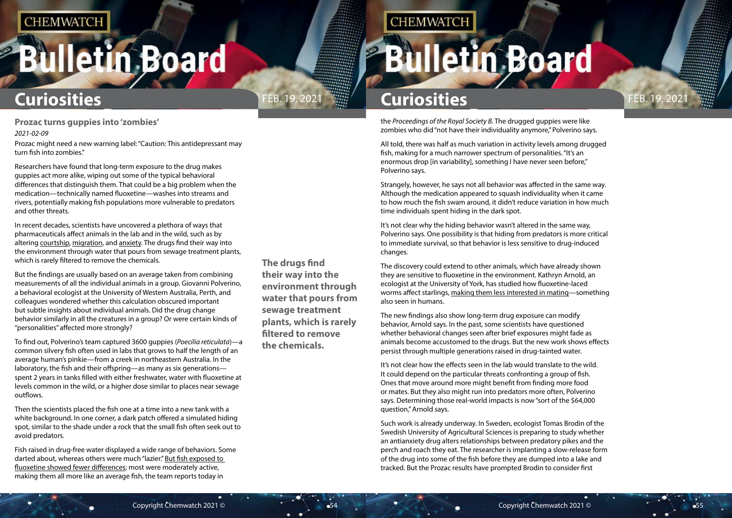# <span id="page-27-0"></span>**Bulletin Board**

**The drugs find** 

**their way into the** 

**environment through water that pours from** 



**sewage treatment** 

**plants, which is rarely** 

**filtered to remove** 

**the chemicals.**

the *Proceedings of the Royal Society B*. The drugged guppies were like zombies who did "not have their individuality anymore," Polverino says.

All told, there was half as much variation in activity levels among drugged fish, making for a much narrower spectrum of personalities. "It's an enormous drop [in variability], something I have never seen before," Polverino says.

Strangely, however, he says not all behavior was affected in the same way. Although the medication appeared to squash individuality when it came to how much the fish swam around, it didn't reduce variation in how much time individuals spent hiding in the dark spot.

It's not clear why the hiding behavior wasn't altered in the same way, Polverino says. One possibility is that hiding from predators is more critical to immediate survival, so that behavior is less sensitive to drug-induced changes.

The discovery could extend to other animals, which have already shown they are sensitive to fluoxetine in the environment. Kathryn Arnold, an ecologist at the University of York, has studied how fluoxetine-laced worms affect starlings, [making them less interested in mating](https://www.york.ac.uk/research/themes/prozac-and-starlings/)—something also seen in humans.

The new findings also show long-term drug exposure can modify behavior, Arnold says. In the past, some scientists have questioned whether behavioral changes seen after brief exposures might fade as animals become accustomed to the drugs. But the new work shows effects persist through multiple generations raised in drug-tainted water.

It's not clear how the effects seen in the lab would translate to the wild. It could depend on the particular threats confronting a group of fish. Ones that move around more might benefit from finding more food or mates. But they also might run into predators more often, Polverino says. Determining those real-world impacts is now "sort of the \$64,000 question," Arnold says.

Such work is already underway. In Sweden, ecologist Tomas Brodin of the Swedish University of Agricultural Sciences is preparing to study whether an antianxiety drug alters relationships between predatory pikes and the perch and roach they eat. The researcher is implanting a slow-release form of the drug into some of the fish before they are dumped into a lake and tracked. But the Prozac results have prompted Brodin to consider first

## **Prozac turns guppies into 'zombies'**

*2021-02-09*

Prozac might need a new warning label: "Caution: This antidepressant may turn fish into zombies."

Researchers have found that long-term exposure to the drug makes guppies act more alike, wiping out some of the typical behavioral differences that distinguish them. That could be a big problem when the medication—technically named fluoxetine—washes into streams and rivers, potentially making fish populations more vulnerable to predators and other threats.

In recent decades, scientists have uncovered a plethora of ways that pharmaceuticals affect animals in the lab and in the wild, such as by altering [courtship,](https://www.york.ac.uk/news-and-events/news/2018/research/male-birds-sing-less-to-females-on-antidepressants/) [migration,](https://www.nature.com/articles/ncomms13460) and [anxiety.](https://pubs.acs.org/doi/10.1021/acs.est.9b00944) The drugs find their way into the environment through water that pours from sewage treatment plants, which is rarely filtered to remove the chemicals.

But the findings are usually based on an average taken from combining measurements of all the individual animals in a group. Giovanni Polverino, a behavioral ecologist at the University of Western Australia, Perth, and colleagues wondered whether this calculation obscured important but subtle insights about individual animals. Did the drug change behavior similarly in all the creatures in a group? Or were certain kinds of "personalities" affected more strongly?

To find out, Polverino's team captured 3600 guppies (*Poecilia reticulata*)—a common silvery fish often used in labs that grows to half the length of an average human's pinkie—from a creek in northeastern Australia. In the laboratory, the fish and their offspring—as many as six generations spent 2 years in tanks filled with either freshwater, water with fluoxetine at levels common in the wild, or a higher dose similar to places near sewage outflows.

Then the scientists placed the fish one at a time into a new tank with a white background. In one corner, a dark patch offered a simulated hiding spot, similar to the shade under a rock that the small fish often seek out to avoid predators.

Fish raised in drug-free water displayed a wide range of behaviors. Some darted about, whereas others were much "lazier." [But fish exposed to](http://rspb.royalsocietypublishing.org/lookup/doi/10.1098/rspb.2020.2294)  [fluoxetine showed fewer differences](http://rspb.royalsocietypublishing.org/lookup/doi/10.1098/rspb.2020.2294); most were moderately active, making them all more like an average fish, the team reports today in

**CHEMWATCH** 

# **Curiosities**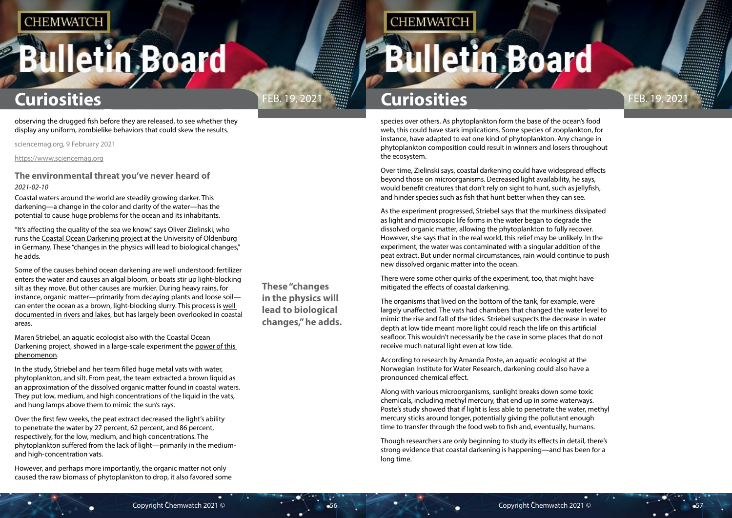# <span id="page-28-0"></span>**Bulletin Board**

**These "changes in the physics will lead to biological changes," he adds.**

# FEB. 19, 2021  $\frac{1}{2}$  Curiosities **Curiosities FEB. 19, 2021**

**CHEMWATCH** 

# **Curiosities Curiosities**

species over others. As phytoplankton form the base of the ocean's food web, this could have stark implications. Some species of zooplankton, for instance, have adapted to eat one kind of phytoplankton. Any change in phytoplankton composition could result in winners and losers throughout the ecosystem.

Over time, Zielinski says, coastal darkening could have widespread effects beyond those on microorganisms. Decreased light availability, he says, would benefit creatures that don't rely on sight to hunt, such as jellyfish, and hinder species such as fish that hunt better when they can see.

As the experiment progressed, Striebel says that the murkiness dissipated as light and microscopic life forms in the water began to degrade the dissolved organic matter, allowing the phytoplankton to fully recover. However, she says that in the real world, this relief may be unlikely. In the experiment, the water was contaminated with a singular addition of the peat extract. But under normal circumstances, rain would continue to push new dissolved organic matter into the ocean.

There were some other quirks of the experiment, too, that might have mitigated the effects of coastal darkening.

The organisms that lived on the bottom of the tank, for example, were largely unaffected. The vats had chambers that changed the water level to mimic the rise and fall of the tides. Striebel suspects the decrease in water depth at low tide meant more light could reach the life on this artificial seafloor. This wouldn't necessarily be the case in some places that do not receive much natural light even at low tide.

According to [research](https://pubs.acs.org/doi/10.1021/acs.est.9b03093) by Amanda Poste, an aquatic ecologist at the Norwegian Institute for Water Research, darkening could also have a pronounced chemical effect.

Along with various microorganisms, sunlight breaks down some toxic chemicals, including methyl mercury, that end up in some waterways. Poste's study showed that if light is less able to penetrate the water, methyl mercury sticks around longer, potentially giving the pollutant enough time to transfer through the food web to fish and, eventually, humans.

Though researchers are only beginning to study its effects in detail, there's strong evidence that coastal darkening is happening—and has been for a long time.

# **Illetin Board**

observing the drugged fish before they are released, to see whether they display any uniform, zombielike behaviors that could skew the results.

sciencemag.org, 9 February 2021

https://www.sciencemag.org

## **The environmental threat you've never heard of** *2021-02-10*

Coastal waters around the world are steadily growing darker. This darkening—a change in the color and clarity of the water—has the potential to cause huge problems for the ocean and its inhabitants.

"It's affecting the quality of the sea we know," says Oliver Zielinski, who runs the [Coastal Ocean Darkening project](https://uol.de/en/icbm/collaborative-projects/coastal-ocean-darkening) at the University of Oldenburg in Germany. These "changes in the physics will lead to biological changes," he adds.

Some of the causes behind ocean darkening are well understood: fertilizer enters the water and causes an algal bloom, or boats stir up light-blocking silt as they move. But other causes are murkier. During heavy rains, for instance, organic matter—primarily from decaying plants and loose soil can enter the ocean as a brown, light-blocking slurry. This process is [well](https://link.springer.com/article/10.1007/s13280-019-01227-5)  [documented in rivers and lakes,](https://link.springer.com/article/10.1007/s13280-019-01227-5) but has largely been overlooked in coastal areas.

Maren Striebel, an aquatic ecologist also with the Coastal Ocean Darkening project, showed in a large-scale experiment the [power of this](https://www.frontiersin.org/articles/10.3389/fmars.2020.547829/full)  [phenomenon.](https://www.frontiersin.org/articles/10.3389/fmars.2020.547829/full)

In the study, Striebel and her team filled huge metal vats with water, phytoplankton, and silt. From peat, the team extracted a brown liquid as an approximation of the dissolved organic matter found in coastal waters. They put low, medium, and high concentrations of the liquid in the vats, and hung lamps above them to mimic the sun's rays.

Over the first few weeks, the peat extract decreased the light's ability to penetrate the water by 27 percent, 62 percent, and 86 percent, respectively, for the low, medium, and high concentrations. The phytoplankton suffered from the lack of light—primarily in the mediumand high-concentration vats.

However, and perhaps more importantly, the organic matter not only caused the raw biomass of phytoplankton to drop, it also favored some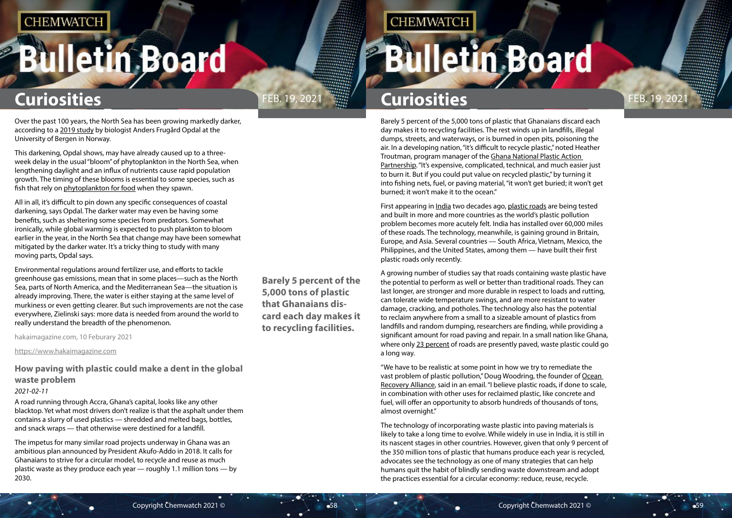# <span id="page-29-0"></span>**Bulletin Board**

**Barely 5 percent of the 5,000 tons of plastic that Ghanaians discard each day makes it to recycling facilities.**

# FEB. 19, 2021  $\frac{1}{2}$  Curiosities **Curiosities FEB. 19, 2021**

**CHEMWATCH** 

# **Curiosities Curiosities**

Barely 5 percent of the 5,000 tons of plastic that Ghanaians discard each day makes it to recycling facilities. The rest winds up in landfills, illegal dumps, streets, and waterways, or is burned in open pits, poisoning the air. In a developing nation, "it's difficult to recycle plastic," noted Heather Troutman, program manager of the [Ghana National Plastic Action](https://globalplasticaction.org/countries/ghana/)  [Partnership.](https://globalplasticaction.org/countries/ghana/) "It's expensive, complicated, technical, and much easier just to burn it. But if you could put value on recycled plastic," by turning it into fishing nets, fuel, or paving material, "it won't get buried; it won't get burned; it won't make it to the ocean."

First appearing in [India](https://www.sciencedirect.com/science/article/pii/S2214509520300838) two decades ago, [plastic roads](https://www.worldhighways.com/wh6/feature/bangalore-dumfries-plastic-waste-technology-reinforcing-our-roads) are being tested and built in more and more countries as the world's plastic pollution problem becomes more acutely felt. India has installed over 60,000 miles of these roads. The technology, meanwhile, is gaining ground in Britain, Europe, and Asia. Several countries — South Africa, Vietnam, Mexico, the Philippines, and the United States, among them — have built their first plastic roads only recently.

This darkening, Opdal shows, may have already caused up to a threeweek delay in the usual "bloom" of phytoplankton in the North Sea, when lengthening daylight and an influx of nutrients cause rapid population growth. The timing of these blooms is essential to some species, such as fish that rely on [phytoplankton for food](https://www.princeton.edu/news/2019/07/24/fewer-fish-may-reach-breeding-age-climate-change-skews-timing-reproduction-food) when they spawn.

> A growing number of studies say that roads containing waste plastic have the potential to perform as well or better than traditional roads. They can last longer, are stronger and more durable in respect to loads and rutting, can tolerate wide temperature swings, and are more resistant to water damage, cracking, and potholes. The technology also has the potential to reclaim anywhere from a small to a sizeable amount of plastics from landfills and random dumping, researchers are finding, while providing a significant amount for road paving and repair. In a small nation like Ghana, where only [23 percent](https://www.ghanaweb.com/GhanaHomePage/NewsArchive/It-s-a-shame-only-23-of-our-entire-road-network-is-paved-Roads-Minister-717991) of roads are presently paved, waste plastic could go a long way.

"We have to be realistic at some point in how we try to remediate the vast problem of plastic pollution," Doug Woodring, the founder of [Ocean](https://www.oceanrecov.org/)  [Recovery Alliance](https://www.oceanrecov.org/), said in an email. "I believe plastic roads, if done to scale, in combination with other uses for reclaimed plastic, like concrete and fuel, will offer an opportunity to absorb hundreds of thousands of tons, almost overnight."

The technology of incorporating waste plastic into paving materials is likely to take a long time to evolve. While widely in use in India, it is still in its nascent stages in other countries. However, given that only 9 percent of the 350 million tons of plastic that humans produce each year is recycled, advocates see the technology as one of many strategies that can help humans quit the habit of blindly sending waste downstream and adopt the practices essential for a circular economy: reduce, reuse, recycle.

# **Bulletin Board**

Over the past 100 years, the North Sea has been growing markedly darker, according to a [2019 study](https://onlinelibrary.wiley.com/doi/full/10.1111/gcb.14810) by biologist Anders Frugård Opdal at the University of Bergen in Norway.

All in all, it's difficult to pin down any specific consequences of coastal darkening, says Opdal. The darker water may even be having some benefits, such as sheltering some species from predators. Somewhat ironically, while global warming is expected to push plankton to bloom earlier in the year, in the North Sea that change may have been somewhat mitigated by the darker water. It's a tricky thing to study with many moving parts, Opdal says.

Environmental regulations around fertilizer use, and efforts to tackle greenhouse gas emissions, mean that in some places—such as the North Sea, parts of North America, and the Mediterranean Sea—the situation is already improving. There, the water is either staying at the same level of murkiness or even getting clearer. But such improvements are not the case everywhere, Zielinski says: more data is needed from around the world to really understand the breadth of the phenomenon.

hakaimagazine.com, 10 Feburary 2021

https://www.hakaimagazine.com

## **How paving with plastic could make a dent in the global waste problem**

### *2021-02-11*

A road running through Accra, Ghana's capital, looks like any other blacktop. Yet what most drivers don't realize is that the asphalt under them contains a slurry of used plastics — shredded and melted bags, bottles, and snack wraps — that otherwise were destined for a landfill.

The impetus for many similar road projects underway in Ghana was an ambitious plan announced by President Akufo-Addo in 2018. It calls for Ghanaians to strive for a circular model, to recycle and reuse as much plastic waste as they produce each year — roughly 1.1 million tons — by 2030.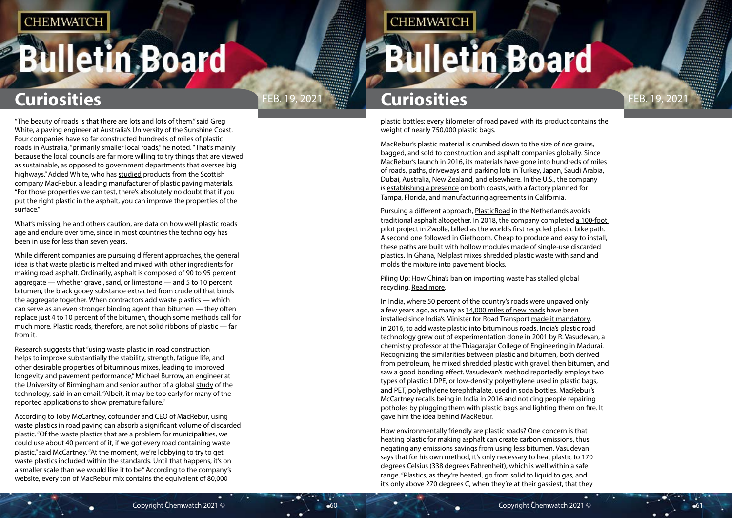# **Bulletin Board**



plastic bottles; every kilometer of road paved with its product contains the weight of nearly 750,000 plastic bags.

MacRebur's plastic material is crumbed down to the size of rice grains, bagged, and sold to construction and asphalt companies globally. Since MacRebur's launch in 2016, its materials have gone into hundreds of miles of roads, paths, driveways and parking lots in Turkey, Japan, Saudi Arabia, Dubai, Australia, New Zealand, and elsewhere. In the U.S., the company is [establishing a presence](https://www.dailyrecord.co.uk/news/local-news/lockerbie-firm-macrebur-announces-plans-23139521) on both coasts, with a factory planned for Tampa, Florida, and manufacturing agreements in California.

Pursuing a different approach, [PlasticRoad](https://plasticroad.com/en/) in the Netherlands avoids traditional asphalt altogether. In 2018, the company completed [a 100-foot](https://www.orbia.com/this-is-orbia/news-and-stories/plastic-road/)  [pilot project](https://www.orbia.com/this-is-orbia/news-and-stories/plastic-road/) in Zwolle, billed as the world's first recycled plastic bike path. A second one followed in Giethoorn. Cheap to produce and easy to install, these paths are built with hollow modules made of single-use discarded plastics. In Ghana, [Nelplast](http://www.nelplastgh.com/) mixes shredded plastic waste with sand and molds the mixture into pavement blocks.

Piling Up: How China's ban on importing waste has stalled global recycling. [Read more](https://e360.yale.edu/features/piling-up-how-chinas-ban-on-importing-waste-has-stalled-global-recycling).

In India, where 50 percent of the country's roads were unpaved only a few years ago, as many as [14,000 miles of new roads](https://www.adb.org/publications/upcycling-plastic-waste-rural-road-india) have been installed since India's Minister for Road Transport [made it mandatory](https://www.hindustantimes.com/india-news/1-lakh-km-of-road-built-using-plastic-waste-govt-aims-to-double-it/story-iwmkiKjlG86BYIDlg2aLtM.html), in 2016, to add waste plastic into bituminous roads. India's plastic road technology grew out of [experimentation](https://www.thehindu.com/features/kids/Plastic-man-of-India/article14397167.ece) done in 2001 by [R. Vasudevan](https://www.theguardian.com/world/2018/jul/09/the-man-who-paves-indias-roads-with-old-plastic), a chemistry professor at the Thiagarajar College of Engineering in Madurai. Recognizing the similarities between plastic and bitumen, both derived from petroleum, he mixed shredded plastic with gravel, then bitumen, and saw a good bonding effect. Vasudevan's method reportedly employs two types of plastic: LDPE, or low-density polyethylene used in plastic bags, and PET, polyethylene terephthalate, used in soda bottles. MacRebur's McCartney recalls being in India in 2016 and noticing people repairing potholes by plugging them with plastic bags and lighting them on fire. It gave him the idea behind MacRebur.

How environmentally friendly are plastic roads? One concern is that heating plastic for making asphalt can create carbon emissions, thus negating any emissions savings from using less bitumen. Vasudevan says that for his own method, it's only necessary to heat plastic to 170 degrees Celsius (338 degrees Fahrenheit), which is well within a safe range. "Plastics, as they're heated, go from solid to liquid to gas, and it's only above 270 degrees C, when they're at their gassiest, that they

"The beauty of roads is that there are lots and lots of them," said Greg White, a paving engineer at Australia's University of the Sunshine Coast. Four companies have so far constructed hundreds of miles of plastic roads in Australia, "primarily smaller local roads," he noted. "That's mainly because the local councils are far more willing to try things that are viewed as sustainable, as opposed to government departments that oversee big highways." Added White, who has [studied](https://www.mdpi.com/2071-1050/12/20/8594) products from the Scottish company MacRebur, a leading manufacturer of plastic paving materials, "For those properties we can test, there's absolutely no doubt that if you put the right plastic in the asphalt, you can improve the properties of the surface."

What's missing, he and others caution, are data on how well plastic roads age and endure over time, since in most countries the technology has been in use for less than seven years.

While different companies are pursuing different approaches, the general idea is that waste plastic is melted and mixed with other ingredients for making road asphalt. Ordinarily, asphalt is composed of 90 to 95 percent aggregate — whether gravel, sand, or limestone — and 5 to 10 percent bitumen, the black gooey substance extracted from crude oil that binds the aggregate together. When contractors add waste plastics — which can serve as an even stronger binding agent than bitumen — they often replace just 4 to 10 percent of the bitumen, though some methods call for much more. Plastic roads, therefore, are not solid ribbons of plastic — far from it.

Research suggests that "using waste plastic in road construction helps to improve substantially the stability, strength, fatigue life, and other desirable properties of bituminous mixes, leading to improved longevity and pavement performance," Michael Burrow, an engineer at the University of Birmingham and senior author of a global [study](https://assets.publishing.service.gov.uk/media/5d41b34040f0b60a86a5e5dc/595_Use_of_Waste_Plastics_in_Road_Construction.pdf) of the technology, said in an email. "Albeit, it may be too early for many of the reported applications to show premature failure."

According to Toby McCartney, cofounder and CEO of [MacRebur](https://www.macrebur.com/us), using waste plastics in road paving can absorb a significant volume of discarded plastic. "Of the waste plastics that are a problem for municipalities, we could use about 40 percent of it, if we got every road containing waste plastic," said McCartney. "At the moment, we're lobbying to try to get waste plastics included within the standards. Until that happens, it's on a smaller scale than we would like it to be." According to the company's website, every ton of MacRebur mix contains the equivalent of 80,000

**CHEMWATCH**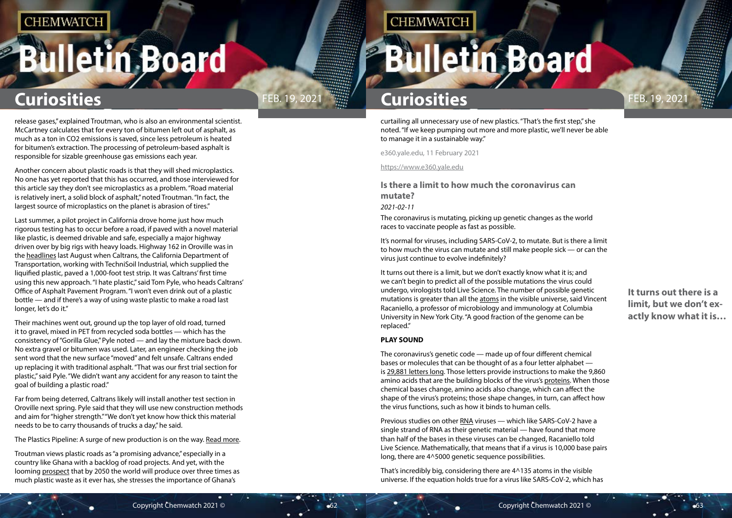# <span id="page-31-0"></span>**Bulletin Board**



**It turns out there is a limit, but we don't exactly know what it is…**

# **Curiosities Curiosities**

curtailing all unnecessary use of new plastics. "That's the first step," she noted. "If we keep pumping out more and more plastic, we'll never be able to manage it in a sustainable way."

e360.yale.edu, 11 February 2021

https://www.e360.yale.edu

## **Is there a limit to how much the coronavirus can mutate?**

### *2021-02-11*

The coronavirus is mutating, picking up genetic changes as the world races to vaccinate people as fast as possible.

It's normal for viruses, including SARS-CoV-2, to mutate. But is there a limit to how much the virus can mutate and still make people sick — or can the virus just continue to evolve indefinitely?

It turns out there is a limit, but we don't exactly know what it is; and we can't begin to predict all of the possible mutations the virus could undergo, virologists told Live Science. The number of possible genetic mutations is greater than all the [atoms](https://www.livescience.com/37206-atom-definition.html) in the visible universe, said Vincent Racaniello, a professor of microbiology and immunology at Columbia University in New York City. "A good fraction of the genome can be replaced."

### **PLAY SOUND**

The coronavirus's genetic code — made up of four different chemical bases or molecules that can be thought of as a four letter alphabet is [29,881 letters long.](https://go.redirectingat.com/?id=92X1590019&xcust=livescience_au_1339561640731665200&xs=1&url=https%3A%2F%2Fwww.nature.com%2Farticles%2Fs41401-020-0485-4&sref=https%3A%2F%2Fwww.livescience.com%2Fhow-much-can-coronavirus-mutate-variants.html%3Futm_source%3DSelligent%26utm_medium%3Demail%26utm_campaign%3DLVS_newsletter%26utm_content%3DLVS_newsletter%2B%26utm_term%3D5348150) Those letters provide instructions to make the 9,860 amino acids that are the building blocks of the virus's [proteins.](https://www.livescience.com/53044-protein.html) When those chemical bases change, amino acids also change, which can affect the shape of the virus's proteins; those shape changes, in turn, can affect how the virus functions, such as how it binds to human cells.

Previous studies on other [RNA](https://www.livescience.com/what-is-RNA.html) viruses — which like SARS-CoV-2 have a single strand of RNA as their genetic material — have found that more than half of the bases in these viruses can be changed, Racaniello told Live Science. Mathematically, that means that if a virus is 10,000 base pairs long, there are 4^5000 genetic sequence possibilities.

That's incredibly big, considering there are 4^135 atoms in the visible universe. If the equation holds true for a virus like SARS-CoV-2, which has

release gases," explained Troutman, who is also an environmental scientist. McCartney calculates that for every ton of bitumen left out of asphalt, as much as a ton in CO2 emissions is saved, since less petroleum is heated for bitumen's extraction. The processing of petroleum-based asphalt is responsible for sizable greenhouse gas emissions each year.

Another concern about plastic roads is that they will shed microplastics. No one has yet reported that this has occurred, and those interviewed for this article say they don't see microplastics as a problem. "Road material is relatively inert, a solid block of asphalt," noted Troutman. "In fact, the largest source of microplastics on the planet is abrasion of tires."

Last summer, a pilot project in California drove home just how much rigorous testing has to occur before a road, if paved with a novel material like plastic, is deemed drivable and safe, especially a major highway driven over by big rigs with heavy loads. Highway 162 in Oroville was in the headlines last August when Caltrans, the California Department of Transportation, working with TechniSoil Industrial, which supplied the liquified plastic, paved a 1,000-foot test strip. It was Caltrans' first time using this new approach. "I hate plastic," said Tom Pyle, who heads Caltrans' Office of Asphalt Pavement Program. "I won't even drink out of a plastic bottle — and if there's a way of using waste plastic to make a road last longer, let's do it."

Their machines went out, ground up the top layer of old road, turned it to gravel, mixed in PET from recycled soda bottles — which has the consistency of "Gorilla Glue," Pyle noted — and lay the mixture back down. No extra gravel or bitumen was used. Later, an engineer checking the job sent word that the new surface "moved" and felt unsafe. Caltrans ended up replacing it with traditional asphalt. "That was our first trial section for plastic," said Pyle. "We didn't want any accident for any reason to taint the goal of building a plastic road."

Far from being deterred, Caltrans likely will install another test section in Oroville next spring. Pyle said that they will use new construction methods and aim for "higher strength." "We don't yet know how thick this material needs to be to carry thousands of trucks a day," he said.

The Plastics Pipeline: A surge of new production is on the way. [Read more.](https://e360.yale.edu/features/the-plastics-pipeline-a-surge-of-new-production-is-on-the-way)

Troutman views plastic roads as "a promising advance," especially in a country like Ghana with a backlog of road projects. And yet, with the looming [prospect](https://www.sciencemag.org/news/2017/07/next-30-years-we-ll-make-four-times-more-plastic-waste-we-ever-have) that by 2050 the world will produce over three times as much plastic waste as it ever has, she stresses the importance of Ghana's

# **CHEMWATCH**

# **Bulletin Board**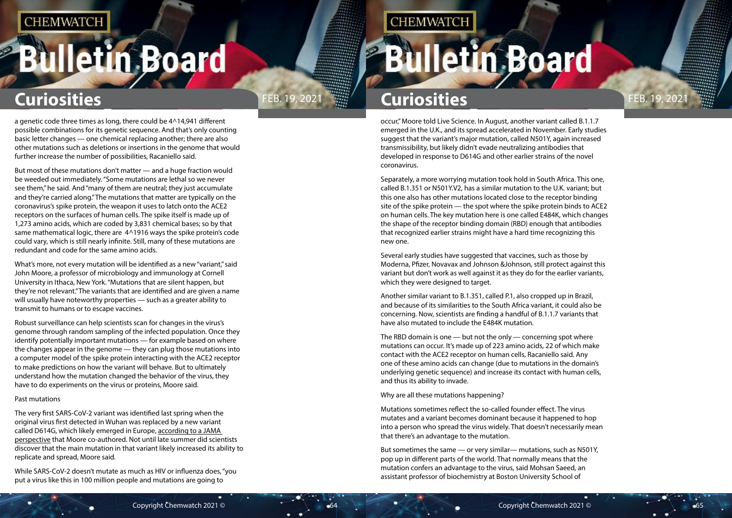# **Bulletin Board**

# **Curiosities** FEB. 19, 2021 **Curiosities** FEB. 19, 2021

occur," Moore told Live Science. In August, another variant called B.1.1.7 emerged in the U.K., and its spread accelerated in November. Early studies suggest that the variant's major mutation, called N501Y, again increased transmissibility, but likely didn't evade neutralizing antibodies that developed in response to D614G and other earlier strains of the novel coronavirus.

Separately, a more worrying mutation took hold in South Africa. This one, called B.1.351 or N501Y.V2, has a similar mutation to the U.K. variant; but this one also has other mutations located close to the receptor binding site of the spike protein — the spot where the spike protein binds to ACE2 on human cells. The key mutation here is one called E484K, which changes the shape of the receptor binding domain (RBD) enough that antibodies that recognized earlier strains might have a hard time recognizing this new one.

Several early studies have suggested that vaccines, such as those by Moderna, Pfizer, Novavax and Johnson &Johnson, still protect against this variant but don't work as well against it as they do for the earlier variants, which they were designed to target.

Another similar variant to B.1.351, called P.1, also cropped up in Brazil, and because of its similarities to the South Africa variant, it could also be concerning. Now, scientists are finding a handful of B.1.1.7 variants that have also mutated to include the E484K mutation.

The RBD domain is one — but not the only — concerning spot where mutations can occur. It's made up of 223 amino acids, 22 of which make contact with the ACE2 receptor on human cells, Racaniello said. Any one of these amino acids can change (due to mutations in the domain's underlying genetic sequence) and increase its contact with human cells, and thus its ability to invade.

Why are all these mutations happening?

**CHEMWATCH** 

Mutations sometimes reflect the so-called founder effect. The virus mutates and a variant becomes dominant because it happened to hop into a person who spread the virus widely. That doesn't necessarily mean that there's an advantage to the mutation.

But sometimes the same — or very similar— mutations, such as N501Y, pop up in different parts of the world. That normally means that the mutation confers an advantage to the virus, said Mohsan Saeed, an assistant professor of biochemistry at Boston University School of

# **Illetin Board**

a genetic code three times as long, there could be 4^14,941 different possible combinations for its genetic sequence. And that's only counting basic letter changes — one chemical replacing another; there are also other mutations such as deletions or insertions in the genome that would further increase the number of possibilities, Racaniello said.

But most of these mutations don't matter — and a huge fraction would be weeded out immediately. "Some mutations are lethal so we never see them," he said. And "many of them are neutral; they just accumulate and they're carried along." The mutations that matter are typically on the coronavirus's spike protein, the weapon it uses to latch onto the ACE2 receptors on the surfaces of human cells. The spike itself is made up of 1,273 amino acids, which are coded by 3,831 chemical bases; so by that same mathematical logic, there are 4^1916 ways the spike protein's code could vary, which is still nearly infinite. Still, many of these mutations are redundant and code for the same amino acids.

What's more, not every mutation will be identified as a new "variant," said John Moore, a professor of microbiology and immunology at Cornell University in Ithaca, New York. "Mutations that are silent happen, but they're not relevant." The variants that are identified and are given a name will usually have noteworthy properties — such as a greater ability to transmit to humans or to escape vaccines.

Robust surveillance can help scientists scan for changes in the virus's genome through random sampling of the infected population. Once they identify potentially important mutations — for example based on where the changes appear in the genome — they can plug those mutations into a computer model of the spike protein interacting with the ACE2 receptor to make predictions on how the variant will behave. But to ultimately understand how the mutation changed the behavior of the virus, they have to do experiments on the virus or proteins, Moore said.

### Past mutations

The very first SARS-CoV-2 variant was identified last spring when the original virus first detected in Wuhan was replaced by a new variant called D614G, which likely emerged in Europe, [according to a JAMA](https://jamanetwork.com/journals/jama/fullarticle/2776039)  [perspective](https://jamanetwork.com/journals/jama/fullarticle/2776039) that Moore co-authored. Not until late summer did scientists discover that the main mutation in that variant likely increased its ability to replicate and spread, Moore said.

While SARS-CoV-2 doesn't mutate as much as HIV or influenza does, "you put a virus like this in 100 million people and mutations are going to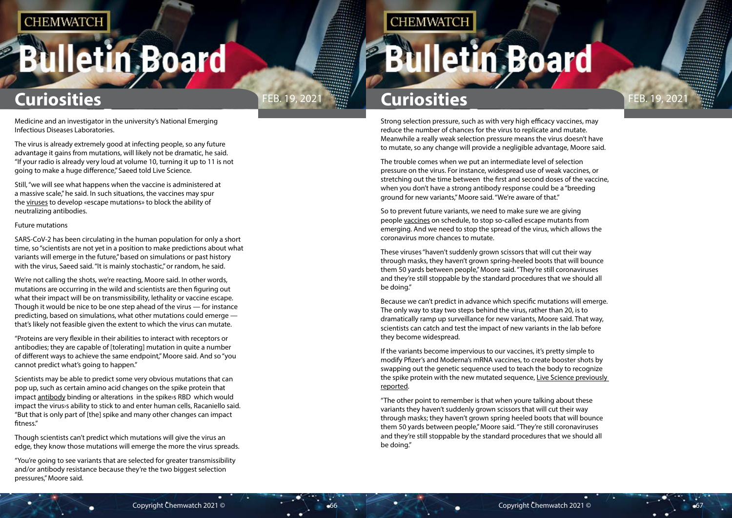# **Bulletin Board**

# **Curiosities** FEB. 19, 2021 **Curiosities** FEB. 19, 2021

Strong selection pressure, such as with very high efficacy vaccines, may reduce the number of chances for the virus to replicate and mutate. Meanwhile a really weak selection pressure means the virus doesn't have to mutate, so any change will provide a negligible advantage, Moore said.

The trouble comes when we put an intermediate level of selection pressure on the virus. For instance, widespread use of weak vaccines, or stretching out the time between the first and second doses of the vaccine, when you don't have a strong antibody response could be a "breeding ground for new variants," Moore said. "We're aware of that."

So to prevent future variants, we need to make sure we are giving people [vaccines](https://www.livescience.com/32617-how-do-vaccines-work.html) on schedule, to stop so-called escape mutants from emerging. And we need to stop the spread of the virus, which allows the coronavirus more chances to mutate.

These viruses "haven't suddenly grown scissors that will cut their way through masks, they haven't grown spring-heeled boots that will bounce them 50 yards between people," Moore said. "They're still coronaviruses and they're still stoppable by the standard procedures that we should all be doing."

Because we can't predict in advance which specific mutations will emerge. The only way to stay two steps behind the virus, rather than 20, is to dramatically ramp up surveillance for new variants, Moore said. That way, scientists can catch and test the impact of new variants in the lab before they become widespread.

SARS-CoV-2 has been circulating in the human population for only a short time, so "scientists are not yet in a position to make predictions about what variants will emerge in the future," based on simulations or past history with the virus, Saeed said. "It is mainly stochastic," or random, he said.

> If the variants become impervious to our vaccines, it's pretty simple to modify Pfizer's and Moderna's mRNA vaccines, to create booster shots by swapping out the genetic sequence used to teach the body to recognize the spike protein with the new mutated sequence, Live Science previously [reported](https://www.livescience.com/mrna-vaccines-future-vaccine-development.html).

"The other point to remember is that when youre talking about these variants they haven't suddenly grown scissors that will cut their way through masks; they haven't grown spring heeled boots that will bounce them 50 yards between people," Moore said. "They're still coronaviruses and they're still stoppable by the standard procedures that we should all be doing."

# **Illetin Board**

Medicine and an investigator in the university's National Emerging Infectious Diseases Laboratories.

The virus is already extremely good at infecting people, so any future advantage it gains from mutations, will likely not be dramatic, he said. "If your radio is already very loud at volume 10, turning it up to 11 is not going to make a huge difference," Saeed told Live Science.

Still, "we will see what happens when the vaccine is administered at a massive scale," he said. In such situations, the vaccines may spur the [viruses](https://www.livescience.com/53272-what-is-a-virus.html) to develop «escape mutations» to block the ability of neutralizing antibodies.

### Future mutations

We're not calling the shots, we're reacting, Moore said. In other words, mutations are occurring in the wild and scientists are then figuring out what their impact will be on transmissibility, lethality or vaccine escape. Though it would be nice to be one step ahead of the virus — for instance predicting, based on simulations, what other mutations could emerge that's likely not feasible given the extent to which the virus can mutate.

"Proteins are very flexible in their abilities to interact with receptors or antibodies; they are capable of [tolerating] mutation in quite a number of different ways to achieve the same endpoint," Moore said. And so "you cannot predict what's going to happen."

Scientists may be able to predict some very obvious mutations that can pop up, such as certain amino acid changes on the spike protein that impact [antibody](https://www.livescience.com/antibodies.html) binding or alterations in the spike›s RBD which would impact the virus›s ability to stick to and enter human cells, Racaniello said. "But that is only part of [the] spike and many other changes can impact fitness."

Though scientists can't predict which mutations will give the virus an edge, they know those mutations will emerge the more the virus spreads.

"You're going to see variants that are selected for greater transmissibility and/or antibody resistance because they're the two biggest selection pressures," Moore said.

**CHEMWATCH**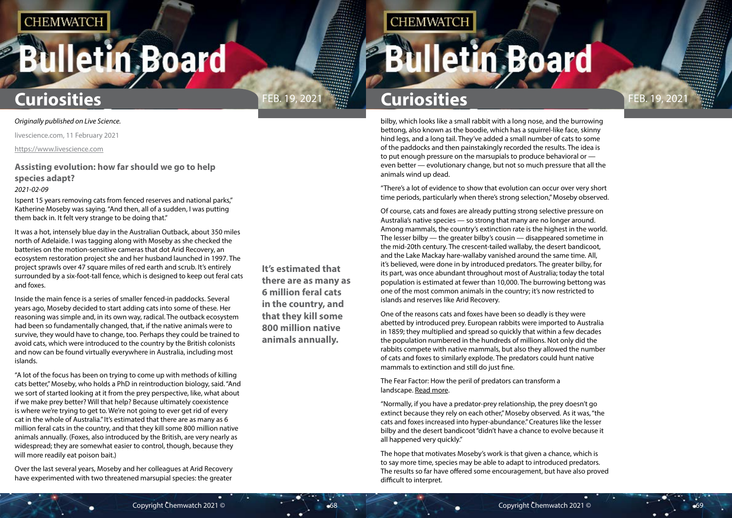# <span id="page-34-0"></span>**Bulletin Board**

**It's estimated that there are as many as 6 million feral cats in the country, and that they kill some 800 million native animals annually.**

# FEB. 19, 2021  $\frac{1}{2}$  Curiosities **Curiosities FEB. 19, 2021**

**CHEMWATCH** 

# **Curiosities Curiosities**

bilby, which looks like a small rabbit with a long nose, and the burrowing bettong, also known as the boodie, which has a squirrel-like face, skinny hind legs, and a long tail. They've added a small number of cats to some of the paddocks and then painstakingly recorded the results. The idea is to put enough pressure on the marsupials to produce behavioral or even better — evolutionary change, but not so much pressure that all the animals wind up dead.

"There's a lot of evidence to show that evolution can occur over very short time periods, particularly when there's strong selection," Moseby observed.

Of course, cats and foxes are already putting strong selective pressure on Australia's native species — so strong that many are no longer around. Among mammals, the country's extinction rate is the highest in the world. The lesser bilby — the greater bilby's cousin — disappeared sometime in the mid-20th century. The crescent-tailed wallaby, the desert bandicoot, and the Lake Mackay hare-wallaby vanished around the same time. All, it's believed, were done in by introduced predators. The greater bilby, for its part, was once abundant throughout most of Australia; today the total population is estimated at fewer than 10,000. The burrowing bettong was one of the most common animals in the country; it's now restricted to islands and reserves like Arid Recovery.

One of the reasons cats and foxes have been so deadly is they were abetted by introduced prey. European rabbits were imported to Australia in 1859; they multiplied and spread so quickly that within a few decades the population numbered in the hundreds of millions. Not only did the rabbits compete with native mammals, but also they allowed the number of cats and foxes to similarly explode. The predators could hunt native mammals to extinction and still do just fine.

The Fear Factor: How the peril of predators can transform a landscape. [Read more.](https://e360.yale.edu/features/the-fear-factor-how-the-peril-of-predators-can-transform-a-landscape)

"Normally, if you have a predator-prey relationship, the prey doesn't go extinct because they rely on each other," Moseby observed. As it was, "the cats and foxes increased into hyper-abundance." Creatures like the lesser bilby and the desert bandicoot "didn't have a chance to evolve because it all happened very quickly."

The hope that motivates Moseby's work is that given a chance, which is to say more time, species may be able to adapt to introduced predators. The results so far have offered some encouragement, but have also proved difficult to interpret.

# **Bulletin Board**

*Originally published on Live Science.*

livescience.com, 11 February 2021

https://www.livescience.com

## **Assisting evolution: how far should we go to help species adapt?**

## *2021-02-09*

Ispent 15 years removing cats from fenced reserves and national parks," Katherine Moseby was saying. "And then, all of a sudden, I was putting them back in. It felt very strange to be doing that."

It was a hot, intensely blue day in the Australian Outback, about 350 miles north of Adelaide. I was tagging along with Moseby as she checked the batteries on the motion-sensitive cameras that dot Arid Recovery, an ecosystem restoration project she and her husband launched in 1997. The project sprawls over 47 square miles of red earth and scrub. It's entirely surrounded by a six-foot-tall fence, which is designed to keep out feral cats and foxes.

Inside the main fence is a series of smaller fenced-in paddocks. Several years ago, Moseby decided to start adding cats into some of these. Her reasoning was simple and, in its own way, radical. The outback ecosystem had been so fundamentally changed, that, if the native animals were to survive, they would have to change, too. Perhaps they could be trained to avoid cats, which were introduced to the country by the British colonists and now can be found virtually everywhere in Australia, including most islands.

"A lot of the focus has been on trying to come up with methods of killing cats better," Moseby, who holds a PhD in reintroduction biology, said. "And we sort of started looking at it from the prey perspective, like, what about if we make prey better? Will that help? Because ultimately coexistence is where we're trying to get to. We're not going to ever get rid of every cat in the whole of Australia." It's estimated that there are as many as 6 million feral cats in the country, and that they kill some 800 million native animals annually. (Foxes, also introduced by the British, are very nearly as widespread; they are somewhat easier to control, though, because they will more readily eat poison bait.)

Over the last several years, Moseby and her colleagues at Arid Recovery have experimented with two threatened marsupial species: the greater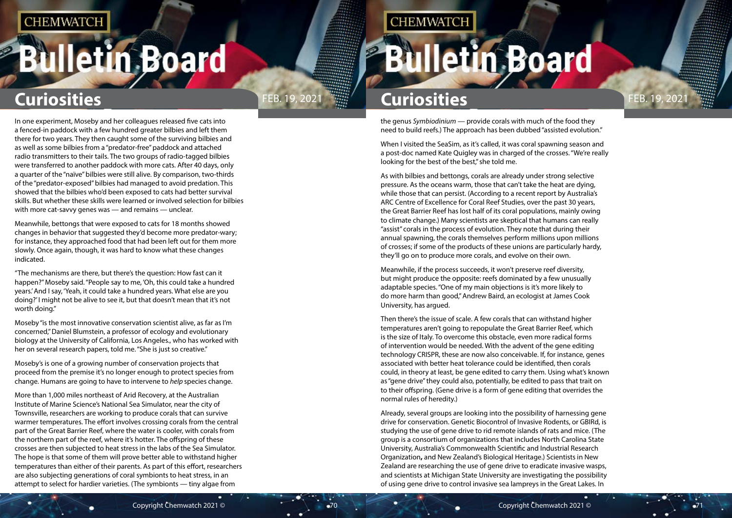# **Bulletin Board**

# **Curiosities** FEB. 19, 2021 **Curiosities** FEB. 19, 2021

the genus *Symbiodinium* — provide corals with much of the food they

need to build reefs.) The approach has been dubbed "assisted evolution."

When I visited the SeaSim, as it's called, it was coral spawning season and a post-doc named Kate Quigley was in charged of the crosses. "We're really looking for the best of the best," she told me.

As with bilbies and bettongs, corals are already under strong selective pressure. As the oceans warm, those that can't take the heat are dying, while those that can persist. (According to a recent report by Australia's ARC Centre of Excellence for Coral Reef Studies, over the past 30 years, the Great Barrier Reef has lost half of its coral populations, mainly owing to climate change.) Many scientists are skeptical that humans can really "assist" corals in the process of evolution. They note that during their annual spawning, the corals themselves perform millions upon millions of crosses; if some of the products of these unions are particularly hardy, they'll go on to produce more corals, and evolve on their own.

Meanwhile, if the process succeeds, it won't preserve reef diversity, but might produce the opposite: reefs dominated by a few unusually adaptable species. "One of my main objections is it's more likely to do more harm than good," Andrew Baird, an ecologist at James Cook University, has argued.

Then there's the issue of scale. A few corals that can withstand higher temperatures aren't going to repopulate the Great Barrier Reef, which is the size of Italy. To overcome this obstacle, even more radical forms of intervention would be needed. With the advent of the gene editing technology CRISPR, these are now also conceivable. If, for instance, genes associated with better heat tolerance could be identified, then corals could, in theory at least, be gene edited to carry them. Using what's known as "gene drive" they could also, potentially, be edited to pass that trait on to their offspring. (Gene drive is a form of gene editing that overrides the normal rules of heredity.)

Already, several groups are looking into the possibility of harnessing gene drive for conservation. Genetic Biocontrol of Invasive Rodents, or GBIRd, is studying the use of gene drive to rid remote islands of rats and mice. (The group is a consortium of organizations that includes North Carolina State University, Australia's Commonwealth Scientific and Industrial Research Organization**,** and New Zealand's Biological Heritage.) Scientists in New Zealand are researching the use of gene drive to eradicate invasive wasps, and scientists at Michigan State University are investigating the possibility of using gene drive to control invasive sea lampreys in the Great Lakes. In



In one experiment, Moseby and her colleagues released five cats into a fenced-in paddock with a few hundred greater bilbies and left them there for two years. They then caught some of the surviving bilbies and as well as some bilbies from a "predator-free" paddock and attached radio transmitters to their tails. The two groups of radio-tagged bilbies were transferred to another paddock with more cats. After 40 days, only a quarter of the "naïve" bilbies were still alive. By comparison, two-thirds of the "predator-exposed" bilbies had managed to avoid predation. This showed that the bilbies who'd been exposed to cats had better survival skills. But whether these skills were learned or involved selection for bilbies with more cat-savvy genes was — and remains — unclear.

Meanwhile, bettongs that were exposed to cats for 18 months showed changes in behavior that suggested they'd become more predator-wary; for instance, they approached food that had been left out for them more slowly. Once again, though, it was hard to know what these changes indicated.

"The mechanisms are there, but there's the question: How fast can it happen?" Moseby said. "People say to me, 'Oh, this could take a hundred years.' And I say, 'Yeah, it could take a hundred years. What else are you doing?' I might not be alive to see it, but that doesn't mean that it's not worth doing."

Moseby "is the most innovative conservation scientist alive, as far as I'm concerned," Daniel Blumstein, a professor of ecology and evolutionary biology at the University of California, Los Angeles., who has worked with her on several research papers, told me. "She is just so creative."

Moseby's is one of a growing number of conservation projects that proceed from the premise it's no longer enough to protect species from change. Humans are going to have to intervene to *help* species change.

More than 1,000 miles northeast of Arid Recovery, at the Australian Institute of Marine Science's National Sea Simulator, near the city of Townsville, researchers are working to produce corals that can survive warmer temperatures. The effort involves crossing corals from the central part of the Great Barrier Reef, where the water is cooler, with corals from the northern part of the reef, where it's hotter. The offspring of these crosses are then subjected to heat stress in the labs of the Sea Simulator. The hope is that some of them will prove better able to withstand higher temperatures than either of their parents. As part of this effort, researchers are also subjecting generations of coral symbionts to heat stress, in an attempt to select for hardier varieties. (The symbionts — tiny algae from

## **CHEMWATCH**

# **Bulletin Board**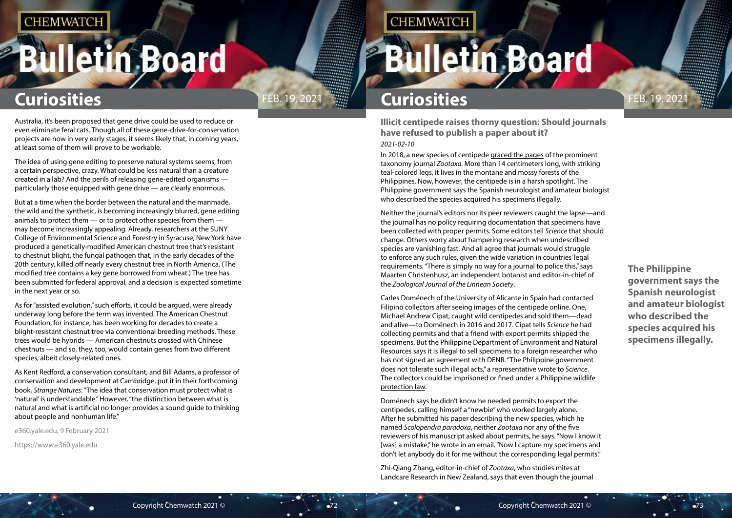# <span id="page-36-0"></span>**Bulletin Board**



## **The Philippine government says the Spanish neurologist and amateur biologist who described the species acquired his specimens illegally.**

# **Curiosities Curiosities**

**Illicit centipede raises thorny question: Should journals have refused to publish a paper about it?** *2021-02-10*

In 2018, a new species of centipede [graced the pages](https://www.biotaxa.org/Zootaxa/article/view/zootaxa.4483.3.1) of the prominent taxonomy journal *Zootaxa*. More than 14 centimeters long, with striking teal-colored legs, it lives in the montane and mossy forests of the Philippines. Now, however, the centipede is in a harsh spotlight. The Philippine government says the Spanish neurologist and amateur biologist who described the species acquired his specimens illegally.

Neither the journal's editors nor its peer reviewers caught the lapse—and the journal has no policy requiring documentation that specimens have been collected with proper permits. Some editors tell *Science* that should change. Others worry about hampering research when undescribed species are vanishing fast. And all agree that journals would struggle to enforce any such rules, given the wide variation in countries' legal requirements. "There is simply no way for a journal to police this," says Maarten Christenhusz, an independent botanist and editor-in-chief of the *Zoological Journal of the Linnean Society*.

Carles Doménech of the University of Alicante in Spain had contacted Filipino collectors after seeing images of the centipede online. One, Michael Andrew Cipat, caught wild centipedes and sold them—dead and alive—to Doménech in 2016 and 2017. Cipat tells *Science* he had collecting permits and that a friend with export permits shipped the specimens. But the Philippine Department of Environment and Natural Resources says it is illegal to sell specimens to a foreign researcher who has not signed an agreement with DENR. "The Philippine government does not tolerate such illegal acts," a representative wrote to *Science*. The collectors could be imprisoned or fined under a Philippine [wildlife](https://lawphil.net/statutes/repacts/ra2001/ra_9147_2001.html)  [protection law](https://lawphil.net/statutes/repacts/ra2001/ra_9147_2001.html).

Doménech says he didn't know he needed permits to export the centipedes, calling himself a "newbie" who worked largely alone. After he submitted his paper describing the new species, which he named *Scolopendra paradoxa*, neither *Zootaxa* nor any of the five reviewers of his manuscript asked about permits, he says. "Now I know it [was] a mistake," he wrote in an email. "Now I capture my specimens and don't let anybody do it for me without the corresponding legal permits."

Zhi-Qiang Zhang, editor-in-chief of *Zootaxa*, who studies mites at Landcare Research in New Zealand, says that even though the journal

Australia, it's been proposed that gene drive could be used to reduce or even eliminate feral cats. Though all of these gene-drive-for-conservation projects are now in very early stages, it seems likely that, in coming years, at least some of them will prove to be workable.

The idea of using gene editing to preserve natural systems seems, from a certain perspective, crazy. What could be less natural than a creature created in a lab? And the perils of releasing gene-edited organisms particularly those equipped with gene drive — are clearly enormous.

But at a time when the border between the natural and the manmade, the wild and the synthetic, is becoming increasingly blurred, gene editing animals to protect them — or to protect other species from them may become increasingly appealing. Already, researchers at the SUNY College of Environmental Science and Forestry in Syracuse, New York have produced a genetically-modified American chestnut tree that's resistant to chestnut blight, the fungal pathogen that, in the early decades of the 20th century, killed off nearly every chestnut tree in North America. (The modified tree contains a key gene borrowed from wheat.) The tree has been submitted for federal approval, and a decision is expected sometime in the next year or so.

As for "assisted evolution," such efforts, it could be argued, were already underway long before the term was invented. The American Chestnut Foundation, for instance, has been working for decades to create a blight-resistant chestnut tree via conventional breeding methods. These trees would be hybrids — American chestnuts crossed with Chinese chestnuts — and so, they, too, would contain genes from two different species, albeit closely-related ones.

As Kent Redford, a conservation consultant, and Bill Adams, a professor of conservation and development at Cambridge, put it in their forthcoming book, *Strange Natures*: "The idea that conservation must protect what is 'natural' is understandable." However, "the distinction between what is natural and what is artificial no longer provides a sound guide to thinking about people and nonhuman life."

e360.yale.edu, 9 February 2021

https://www.e360.yale.edu

**CHEMWATCH**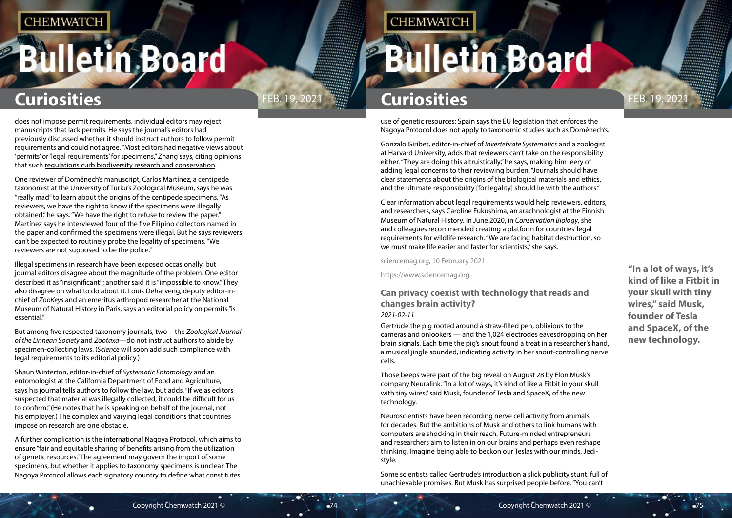# <span id="page-37-0"></span>**Bulletin Board**

**"In a lot of ways, it's kind of like a Fitbit in your skull with tiny wires," said Musk, founder of Tesla and SpaceX, of the new technology.**

# **Curiosities Curiosities**

use of genetic resources; Spain says the EU legislation that enforces the

Nagoya Protocol does not apply to taxonomic studies such as Doménech's.

Gonzalo Giribet, editor-in-chief of *Invertebrate Systematics* and a zoologist at Harvard University, adds that reviewers can't take on the responsibility either. "They are doing this altruistically," he says, making him leery of adding legal concerns to their reviewing burden. "Journals should have clear statements about the origins of the biological materials and ethics, and the ultimate responsibility [for legality] should lie with the authors."

Clear information about legal requirements would help reviewers, editors, and researchers, says Caroline Fukushima, an arachnologist at the Finnish Museum of Natural History. In June 2020, in *Conservation Biology*, she and colleagues [recommended creating a platform](https://conbio.onlinelibrary.wiley.com/doi/full/10.1111/cobi.13572) for countries' legal requirements for wildlife research. "We are facing habitat destruction, so we must make life easier and faster for scientists," she says.

sciencemag.org, 10 February 2021

https://www.sciencemag.org

### **Can privacy coexist with technology that reads and changes brain activity?** *2021-02-11*

Gertrude the pig rooted around a straw-filled pen, oblivious to the cameras and onlookers — and the 1,024 electrodes eavesdropping on her brain signals. Each time the pig's snout found a treat in a researcher's hand, a musical jingle sounded, indicating activity in her snout-controlling nerve cells.

Those beeps were part of the big reveal on August 28 by Elon Musk's company Neuralink. "In a lot of ways, it's kind of like a Fitbit in your skull with tiny wires," said Musk, founder of Tesla and SpaceX, of the new technology.

Neuroscientists have been recording nerve cell activity from animals for decades. But the ambitions of Musk and others to link humans with computers are shocking in their reach. Future-minded entrepreneurs and researchers aim to listen in on our brains and perhaps even reshape thinking. Imagine being able to beckon our Teslas with our minds, Jedistyle.

Some scientists called Gertrude's introduction a slick publicity stunt, full of unachievable promises. But Musk has surprised people before. "You can't



does not impose permit requirements, individual editors may reject manuscripts that lack permits. He says the journal's editors had previously discussed whether it should instruct authors to follow permit requirements and could not agree. "Most editors had negative views about 'permits' or 'legal requirements' for specimens," Zhang says, citing opinions that such [regulations curb biodiversity research and conservation.](https://science.sciencemag.org/content/360/6396/1405)

One reviewer of Doménech's manuscript, Carlos Martínez, a centipede taxonomist at the University of Turku's Zoological Museum, says he was "really mad" to learn about the origins of the centipede specimens. "As reviewers, we have the right to know if the specimens were illegally obtained," he says. "We have the right to refuse to review the paper." Martínez says he interviewed four of the five Filipino collectors named in the paper and confirmed the specimens were illegal. But he says reviewers can't be expected to routinely probe the legality of specimens. "We reviewers are not supposed to be the police."

Illegal specimens in research [have been exposed occasionally](https://www.sciencemag.org/news/2019/02/amazing-blue-tarantula-new-spider-species-did-researchers-break-law-when-they-studied), but journal editors disagree about the magnitude of the problem. One editor described it as "insignificant"; another said it is "impossible to know." They also disagree on what to do about it. Louis Deharveng, deputy editor-inchief of *ZooKeys* and an emeritus arthropod researcher at the National Museum of Natural History in Paris, says an editorial policy on permits "is essential."

But among five respected taxonomy journals, two—the *Zoological Journal of the Linnean Society* and *Zootaxa*—do not instruct authors to abide by specimen-collecting laws. (*Science* will soon add such compliance with legal requirements to its editorial policy.)

Shaun Winterton, editor-in-chief of *Systematic Entomology* and an entomologist at the California Department of Food and Agriculture, says his journal tells authors to follow the law, but adds, "If we as editors suspected that material was illegally collected, it could be difficult for us to confirm." (He notes that he is speaking on behalf of the journal, not his employer.) The complex and varying legal conditions that countries impose on research are one obstacle.

A further complication is the international Nagoya Protocol, which aims to ensure "fair and equitable sharing of benefits arising from the utilization of genetic resources." The agreement may govern the import of some specimens, but whether it applies to taxonomy specimens is unclear. The Nagoya Protocol allows each signatory country to define what constitutes

# **CHEMWATCH**

# **Bulletin Board**

# FEB. 19, 2021  $\frac{1}{2}$  Curiosities **Curiosities FEB. 19, 2021**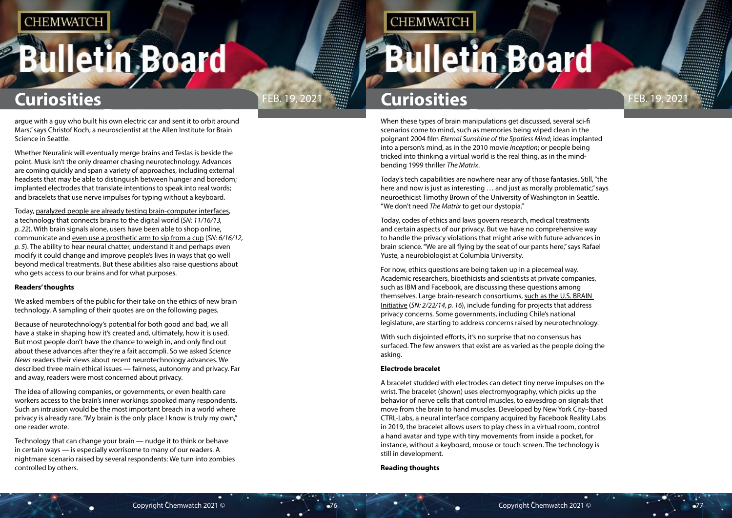# **Bulletin Board**

# **Curiosities** FEB. 19, 2021 **Curiosities** FEB. 19, 2021

When these types of brain manipulations get discussed, several sci-fi scenarios come to mind, such as memories being wiped clean in the poignant 2004 film *Eternal Sunshine of the Spotless Mind*; ideas implanted into a person's mind, as in the 2010 movie *Inception*; or people being tricked into thinking a virtual world is the real thing, as in the mindbending 1999 thriller *The Matrix*.

Today's tech capabilities are nowhere near any of those fantasies. Still, "the here and now is just as interesting ... and just as morally problematic," says neuroethicist Timothy Brown of the University of Washington in Seattle. "We don't need *The Matrix* to get our dystopia."

Today, codes of ethics and laws govern research, medical treatments and certain aspects of our privacy. But we have no comprehensive way to handle the privacy violations that might arise with future advances in brain science. "We are all flying by the seat of our pants here," says Rafael Yuste, a neurobiologist at Columbia University.

For now, ethics questions are being taken up in a piecemeal way. Academic researchers, bioethicists and scientists at private companies, such as IBM and Facebook, are discussing these questions among themselves. Large brain-research consortiums, [such as the U.S. BRAIN](https://www.sciencenews.org/article/brain-shot)  [Initiative](https://www.sciencenews.org/article/brain-shot) (*SN: 2/22/14, p. 16*), include funding for projects that address privacy concerns. Some governments, including Chile's national legislature, are starting to address concerns raised by neurotechnology.

With such disjointed efforts, it's no surprise that no consensus has surfaced. The few answers that exist are as varied as the people doing the asking.

### **Electrode bracelet**

A bracelet studded with electrodes can detect tiny nerve impulses on the wrist. The bracelet (shown) uses electromyography, which picks up the behavior of nerve cells that control muscles, to eavesdrop on signals that move from the brain to hand muscles. Developed by New York City–based CTRL-Labs, a neural interface company acquired by Facebook Reality Labs in 2019, the bracelet allows users to play chess in a virtual room, control a hand avatar and type with tiny movements from inside a pocket, for instance, without a keyboard, mouse or touch screen. The technology is still in development.

**Reading thoughts**

argue with a guy who built his own electric car and sent it to orbit around Mars," says Christof Koch, a neuroscientist at the Allen Institute for Brain Science in Seattle.

Whether Neuralink will eventually merge brains and Teslas is beside the point. Musk isn't the only dreamer chasing neurotechnology. Advances are coming quickly and span a variety of approaches, including external headsets that may be able to distinguish between hunger and boredom; implanted electrodes that translate intentions to speak into real words; and bracelets that use nerve impulses for typing without a keyboard.

Today, [paralyzed people are already testing brain-computer interfaces](https://www.sciencenews.org/article/mind-motion), a technology that connects brains to the digital world (*SN: 11/16/13, p. 22*). With brain signals alone, users have been able to shop online, communicate and [even use a prosthetic arm to sip from a cup](https://www.sciencenews.org/article/paralyzed-woman-grips-sips-coffee-robot-arm) (*SN: 6/16/12, p. 5*). The ability to hear neural chatter, understand it and perhaps even modify it could change and improve people's lives in ways that go well beyond medical treatments. But these abilities also raise questions about who gets access to our brains and for what purposes.

### **Readers' thoughts**

We asked members of the public for their take on the ethics of new brain technology. A sampling of their quotes are on the following pages.

Because of neurotechnology's potential for both good and bad, we all have a stake in shaping how it's created and, ultimately, how it is used. But most people don't have the chance to weigh in, and only find out about these advances after they're a fait accompli. So we asked *Science News* readers their views about recent neurotechnology advances. We described three main ethical issues — fairness, autonomy and privacy. Far and away, readers were most concerned about privacy.

The idea of allowing companies, or governments, or even health care workers access to the brain's inner workings spooked many respondents. Such an intrusion would be the most important breach in a world where privacy is already rare. "My brain is the only place I know is truly my own," one reader wrote.

Technology that can change your brain — nudge it to think or behave in certain ways — is especially worrisome to many of our readers. A nightmare scenario raised by several respondents: We turn into zombies controlled by others.

# **CHEMWATCH**

# **Illetin Board**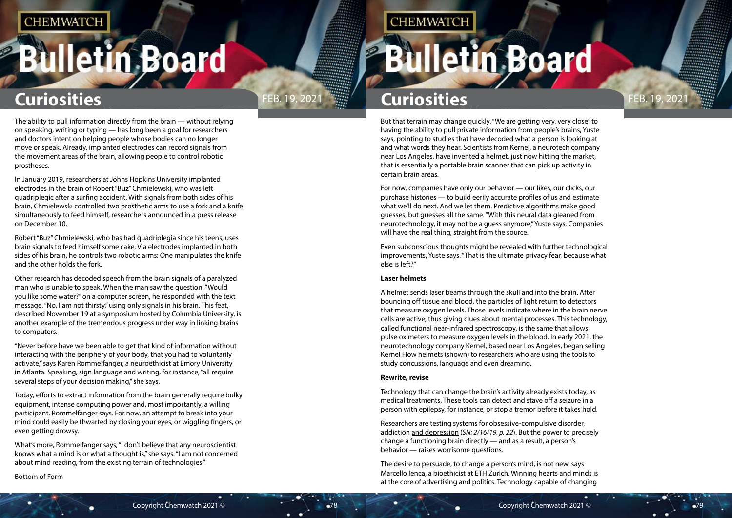# **Bulletin Board**

# **Curiosities** FEB. 19, 2021 **Curiosities** FEB. 19, 2021

But that terrain may change quickly. "We are getting very, very close" to having the ability to pull private information from people's brains, Yuste says, pointing to studies that have decoded what a person is looking at and what words they hear. Scientists from Kernel, a neurotech company near Los Angeles, have invented a helmet, just now hitting the market, that is essentially a portable brain scanner that can pick up activity in certain brain areas.

For now, companies have only our behavior — our likes, our clicks, our purchase histories — to build eerily accurate profiles of us and estimate what we'll do next. And we let them. Predictive algorithms make good guesses, but guesses all the same. "With this neural data gleaned from neurotechnology, it may not be a guess anymore," Yuste says. Companies will have the real thing, straight from the source.

Even subconscious thoughts might be revealed with further technological improvements, Yuste says. "That is the ultimate privacy fear, because what else is left?"

### **Laser helmets**

A helmet sends laser beams through the skull and into the brain. After bouncing off tissue and blood, the particles of light return to detectors that measure oxygen levels. Those levels indicate where in the brain nerve cells are active, thus giving clues about mental processes. This technology, called functional near-infrared spectroscopy, is the same that allows pulse oximeters to measure oxygen levels in the blood. In early 2021, the neurotechnology company Kernel, based near Los Angeles, began selling Kernel Flow helmets (shown) to researchers who are using the tools to study concussions, language and even dreaming.

### **Rewrite, revise**

Technology that can change the brain's activity already exists today, as medical treatments. These tools can detect and stave off a seizure in a person with epilepsy, for instance, or stop a tremor before it takes hold.

Researchers are testing systems for obsessive-compulsive disorder, addiction [and depression](https://www.sciencenews.org/article/brain-electric-implants-treat-depression-closer-reality) (*SN: 2/16/19, p. 22*). But the power to precisely change a functioning brain directly — and as a result, a person's behavior — raises worrisome questions.

The desire to persuade, to change a person's mind, is not new, says Marcello Ienca, a bioethicist at ETH Zurich. Winning hearts and minds is at the core of advertising and politics. Technology capable of changing

# **Illetin Board**

The ability to pull information directly from the brain — without relying on speaking, writing or typing — has long been a goal for researchers and doctors intent on helping people whose bodies can no longer move or speak. Already, implanted electrodes can record signals from the movement areas of the brain, allowing people to control robotic prostheses.

In January 2019, researchers at Johns Hopkins University implanted electrodes in the brain of Robert "Buz" Chmielewski, who was left quadriplegic after a surfing accident. With signals from both sides of his brain, Chmielewski controlled two prosthetic arms to use a fork and a knife simultaneously to feed himself, researchers announced in a press release on December 10.

Robert "Buz" Chmielewski, who has had quadriplegia since his teens, uses brain signals to feed himself some cake. Via electrodes implanted in both sides of his brain, he controls two robotic arms: One manipulates the knife and the other holds the fork.

Other research has decoded speech from the brain signals of a paralyzed man who is unable to speak. When the man saw the question, "Would you like some water?" on a computer screen, he responded with the text message, "No, I am not thirsty," using only signals in his brain. This feat, described November 19 at a symposium hosted by Columbia University, is another example of the tremendous progress under way in linking brains to computers.

"Never before have we been able to get that kind of information without interacting with the periphery of your body, that you had to voluntarily activate," says Karen Rommelfanger, a neuroethicist at Emory University in Atlanta. Speaking, sign language and writing, for instance, "all require several steps of your decision making," she says.

Today, efforts to extract information from the brain generally require bulky equipment, intense computing power and, most importantly, a willing participant, Rommelfanger says. For now, an attempt to break into your mind could easily be thwarted by closing your eyes, or wiggling fingers, or even getting drowsy.

What's more, Rommelfanger says, "I don't believe that any neuroscientist knows what a mind is or what a thought is," she says. "I am not concerned about mind reading, from the existing terrain of technologies."

Bottom of Form

**CHEMWATCH**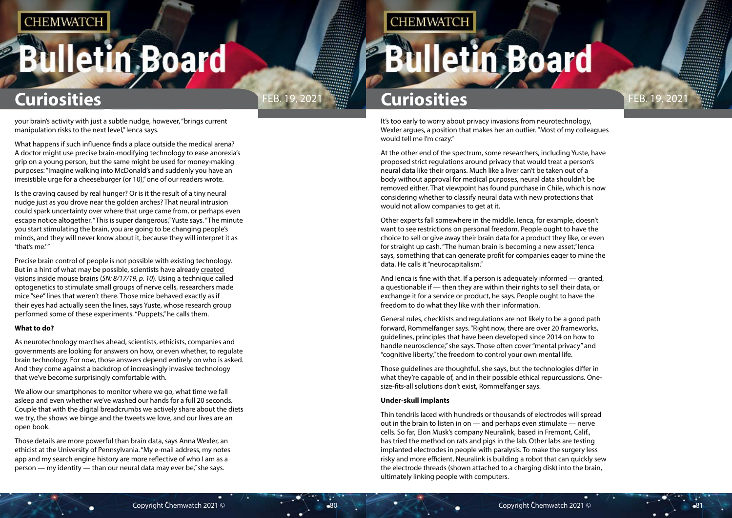# **Bulletin Board**



It's too early to worry about privacy invasions from neurotechnology, Wexler argues, a position that makes her an outlier. "Most of my colleagues would tell me I'm crazy."

At the other end of the spectrum, some researchers, including Yuste, have proposed strict regulations around privacy that would treat a person's neural data like their organs. Much like a liver can't be taken out of a body without approval for medical purposes, neural data shouldn't be removed either. That viewpoint has found purchase in Chile, which is now considering whether to classify neural data with new protections that would not allow companies to get at it.

Other experts fall somewhere in the middle. Ienca, for example, doesn't want to see restrictions on personal freedom. People ought to have the choice to sell or give away their brain data for a product they like, or even for straight up cash. "The human brain is becoming a new asset," lenca says, something that can generate profit for companies eager to mine the data. He calls it "neurocapitalism."

And Ienca is fine with that. If a person is adequately informed — granted, a questionable if — then they are within their rights to sell their data, or exchange it for a service or product, he says. People ought to have the freedom to do what they like with their information.

General rules, checklists and regulations are not likely to be a good path forward, Rommelfanger says. "Right now, there are over 20 frameworks, guidelines, principles that have been developed since 2014 on how to handle neuroscience," she says. Those often cover "mental privacy" and "cognitive liberty," the freedom to control your own mental life.

Those guidelines are thoughtful, she says, but the technologies differ in what they're capable of, and in their possible ethical repurcussions. Onesize-fits-all solutions don't exist, Rommelfanger says.

### **Under-skull implants**

Thin tendrils laced with hundreds or thousands of electrodes will spread out in the brain to listen in on — and perhaps even stimulate — nerve cells. So far, Elon Musk's company Neuralink, based in Fremont, Calif., has tried the method on rats and pigs in the lab. Other labs are testing implanted electrodes in people with paralysis. To make the surgery less risky and more efficient, Neuralink is building a robot that can quickly sew the electrode threads (shown attached to a charging disk) into the brain, ultimately linking people with computers.

your brain's activity with just a subtle nudge, however, "brings current manipulation risks to the next level," Ienca says.

What happens if such influence finds a place outside the medical arena? A doctor might use precise brain-modifying technology to ease anorexia's grip on a young person, but the same might be used for money-making purposes: "Imagine walking into McDonald's and suddenly you have an irresistible urge for a cheeseburger (or 10)," one of our readers wrote.

Is the craving caused by real hunger? Or is it the result of a tiny neural nudge just as you drove near the golden arches? That neural intrusion could spark uncertainty over where that urge came from, or perhaps even escape notice altogether. "This is super dangerous," Yuste says. "The minute you start stimulating the brain, you are going to be changing people's minds, and they will never know about it, because they will interpret it as 'that's me.' "

Precise brain control of people is not possible with existing technology. But in a hint of what may be possible, scientists have already [created](https://www.sciencenews.org/article/manipulating-nerve-cells-makes-mice-see-something-not-there)  [visions inside mouse brains](https://www.sciencenews.org/article/manipulating-nerve-cells-makes-mice-see-something-not-there) (*SN: 8/17/19, p. 10*). Using a technique called optogenetics to stimulate small groups of nerve cells, researchers made mice "see" lines that weren't there. Those mice behaved exactly as if their eyes had actually seen the lines, says Yuste, whose research group performed some of these experiments. "Puppets," he calls them.

### **What to do?**

As neurotechnology marches ahead, scientists, ethicists, companies and governments are looking for answers on how, or even whether, to regulate brain technology. For now, those answers depend entirely on who is asked. And they come against a backdrop of increasingly invasive technology that we've become surprisingly comfortable with.

We allow our smartphones to monitor where we go, what time we fall asleep and even whether we've washed our hands for a full 20 seconds. Couple that with the digital breadcrumbs we actively share about the diets we try, the shows we binge and the tweets we love, and our lives are an open book.

Those details are more powerful than brain data, says Anna Wexler, an ethicist at the University of Pennsylvania. "My e-mail address, my notes app and my search engine history are more reflective of who I am as a person — my identity — than our neural data may ever be," she says.

# **CHEMWATCH**

# **Illetin Board**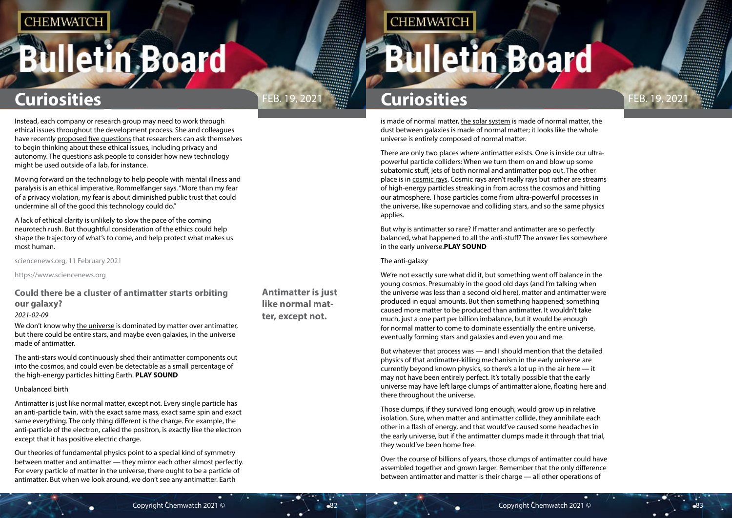# <span id="page-41-0"></span>**Bulletin Board**



## **Antimatter is just like normal matter, except not.**

# **Curiosities Curiosities**

is made of normal matter, [the solar system](https://www.space.com/56-our-solar-system-facts-formation-and-discovery.html) is made of normal matter, the dust between galaxies is made of normal matter; it looks like the whole universe is entirely composed of normal matter.

There are only two places where antimatter exists. One is inside our ultrapowerful particle colliders: When we turn them on and blow up some subatomic stuff, jets of both normal and antimatter pop out. The other place is in [cosmic rays.](https://www.space.com/32644-cosmic-rays.html) Cosmic rays aren't really rays but rather are streams of high-energy particles streaking in from across the cosmos and hitting our atmosphere. Those particles come from ultra-powerful processes in the universe, like supernovae and colliding stars, and so the same physics applies.

But why is antimatter so rare? If matter and antimatter are so perfectly balanced, what happened to all the anti-stuff? The answer lies somewhere in the early universe.**PLAY SOUND**

The anti-galaxy

**CHEMWATCH** 

We're not exactly sure what did it, but something went off balance in the young cosmos. Presumably in the good old days (and I'm talking when the universe was less than a second old here), matter and antimatter were produced in equal amounts. But then something happened; something caused more matter to be produced than antimatter. It wouldn't take much, just a one part per billion imbalance, but it would be enough for normal matter to come to dominate essentially the entire universe, eventually forming stars and galaxies and even you and me.

But whatever that process was — and I should mention that the detailed physics of that antimatter-killing mechanism in the early universe are currently beyond known physics, so there's a lot up in the air here — it may not have been entirely perfect. It's totally possible that the early universe may have left large clumps of antimatter alone, floating here and there throughout the universe.

We don't know why [the universe](https://www.space.com/52-the-expanding-universe-from-the-big-bang-to-today.html) is dominated by matter over antimatter, but there could be entire stars, and maybe even galaxies, in the universe made of antimatter.

> Those clumps, if they survived long enough, would grow up in relative isolation. Sure, when matter and antimatter collide, they annihilate each other in a flash of energy, and that would've caused some headaches in the early universe, but if the antimatter clumps made it through that trial, they would've been home free.

Over the course of billions of years, those clumps of antimatter could have assembled together and grown larger. Remember that the only difference between antimatter and matter is their charge — all other operations of

Instead, each company or research group may need to work through ethical issues throughout the development process. She and colleagues have recently [proposed five questions](https://www.cell.com/neuron/pdfExtended/S0896-6273(18)30823-7) that researchers can ask themselves to begin thinking about these ethical issues, including privacy and autonomy. The questions ask people to consider how new technology might be used outside of a lab, for instance.

Moving forward on the technology to help people with mental illness and paralysis is an ethical imperative, Rommelfanger says. "More than my fear of a privacy violation, my fear is about diminished public trust that could undermine all of the good this technology could do."

A lack of ethical clarity is unlikely to slow the pace of the coming neurotech rush. But thoughtful consideration of the ethics could help shape the trajectory of what's to come, and help protect what makes us most human.

sciencenews.org, 11 February 2021

https://www.sciencenews.org

## **Could there be a cluster of antimatter starts orbiting our galaxy?**

### *2021-02-09*

The anti-stars would continuously shed their [antimatter](https://www.space.com/antimatter.html) components out into the cosmos, and could even be detectable as a small percentage of the high-energy particles hitting Earth. **PLAY SOUND**

### Unbalanced birth

Antimatter is just like normal matter, except not. Every single particle has an anti-particle twin, with the exact same mass, exact same spin and exact same everything. The only thing different is the charge. For example, the anti-particle of the electron, called the positron, is exactly like the electron except that it has positive electric charge.

Our theories of fundamental physics point to a special kind of symmetry between matter and antimatter — they mirror each other almost perfectly. For every particle of matter in the universe, there ought to be a particle of antimatter. But when we look around, we don't see any antimatter. Earth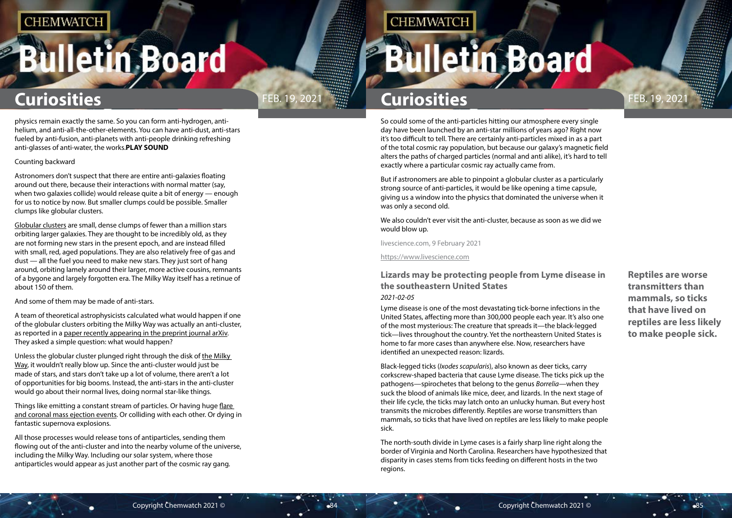# <span id="page-42-0"></span>**Bulletin Board**



**Reptiles are worse transmitters than mammals, so ticks that have lived on reptiles are less likely to make people sick.**

# **Curiosities Curiosities**

So could some of the anti-particles hitting our atmosphere every single day have been launched by an anti-star millions of years ago? Right now it's too difficult to tell. There are certainly anti-particles mixed in as a part of the total cosmic ray population, but because our galaxy's magnetic field alters the paths of charged particles (normal and anti alike), it's hard to tell exactly where a particular cosmic ray actually came from.

But if astronomers are able to pinpoint a globular cluster as a particularly strong source of anti-particles, it would be like opening a time capsule, giving us a window into the physics that dominated the universe when it was only a second old.

We also couldn't ever visit the anti-cluster, because as soon as we did we would blow up.

livescience.com, 9 February 2021

https://www.livescience.com

## **Lizards may be protecting people from Lyme disease in the southeastern United States**

*2021-02-05*

Lyme disease is one of the most devastating tick-borne infections in the United States, affecting more than 300,000 people each year. It's also one of the most mysterious: The creature that spreads it—the black-legged tick—lives throughout the country. Yet the northeastern United States is home to far more cases than anywhere else. Now, researchers have identified an unexpected reason: lizards.

Black-legged ticks (*Ixodes scapularis*), also known as deer ticks, carry corkscrew-shaped bacteria that cause Lyme disease. The ticks pick up the pathogens—spirochetes that belong to the genus *Borrelia*—when they suck the blood of animals like mice, deer, and lizards. In the next stage of their life cycle, the ticks may latch onto an unlucky human. But every host transmits the microbes differently. Reptiles are worse transmitters than mammals, so ticks that have lived on reptiles are less likely to make people sick.

Unless the globular cluster plunged right through the disk of the Milky [Way,](https://www.space.com/19915-milky-way-galaxy.html) it wouldn't really blow up. Since the anti-cluster would just be made of stars, and stars don't take up a lot of volume, there aren't a lot of opportunities for big booms. Instead, the anti-stars in the anti-cluster would go about their normal lives, doing normal star-like things.

> The north-south divide in Lyme cases is a fairly sharp line right along the border of Virginia and North Carolina. Researchers have hypothesized that disparity in cases stems from ticks feeding on different hosts in the two regions.

physics remain exactly the same. So you can form anti-hydrogen, antihelium, and anti-all-the-other-elements. You can have anti-dust, anti-stars fueled by anti-fusion, anti-planets with anti-people drinking refreshing anti-glasses of anti-water, the works.**PLAY SOUND**

### Counting backward

Astronomers don't suspect that there are entire anti-galaxies floating around out there, because their interactions with normal matter (say, when two galaxies collide) would release quite a bit of energy — enough for us to notice by now. But smaller clumps could be possible. Smaller clumps like globular clusters.

[Globular clusters](https://www.space.com/29717-globular-clusters.html) are small, dense clumps of fewer than a million stars orbiting larger galaxies. They are thought to be incredibly old, as they are not forming new stars in the present epoch, and are instead filled with small, red, aged populations. They are also relatively free of gas and dust — all the fuel you need to make new stars. They just sort of hang around, orbiting lamely around their larger, more active cousins, remnants of a bygone and largely forgotten era. The Milky Way itself has a retinue of about 150 of them.

And some of them may be made of anti-stars.

A team of theoretical astrophysicists calculated what would happen if one of the globular clusters orbiting the Milky Way was actually an anti-cluster, as reported in a [paper recently appearing in the preprint journal arXiv.](https://arxiv.org/abs/2011.06973) They asked a simple question: what would happen?

Things like emitting a constant stream of particles. Or having huge [flare](https://www.space.com/11506-space-weather-sunspots-solar-flares-coronal-mass-ejections.html)  [and coronal mass ejection events.](https://www.space.com/11506-space-weather-sunspots-solar-flares-coronal-mass-ejections.html) Or colliding with each other. Or dying in fantastic supernova explosions.

All those processes would release tons of antiparticles, sending them flowing out of the anti-cluster and into the nearby volume of the universe, including the Milky Way. Including our solar system, where those antiparticles would appear as just another part of the cosmic ray gang.

## **CHEMWATCH**

# **Bulletin Board**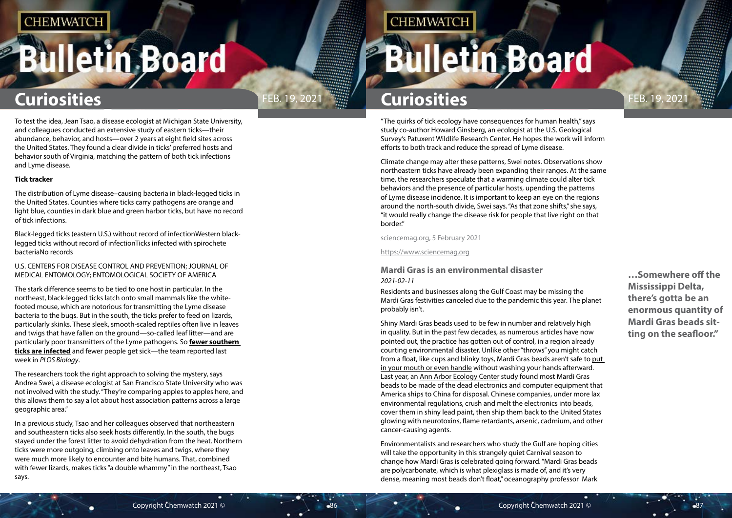# <span id="page-43-0"></span>**Bulletin Board**

**…Somewhere off the Mississippi Delta, there's gotta be an enormous quantity of Mardi Gras beads sitting on the seafloor."**

# **Curiosities Curiosities**

"The quirks of tick ecology have consequences for human health," says study co-author Howard Ginsberg, an ecologist at the U.S. Geological Survey's Patuxent Wildlife Research Center. He hopes the work will inform efforts to both track and reduce the spread of Lyme disease.

Climate change may alter these patterns, Swei notes. Observations show northeastern ticks have already been expanding their ranges. At the same time, the researchers speculate that a warming climate could alter tick behaviors and the presence of particular hosts, upending the patterns of Lyme disease incidence. It is important to keep an eye on the regions around the north-south divide, Swei says. "As that zone shifts," she says, "it would really change the disease risk for people that live right on that border."

sciencemag.org, 5 February 2021

https://www.sciencemag.org

## **Mardi Gras is an environmental disaster** *2021-02-11*

Residents and businesses along the Gulf Coast may be missing the Mardi Gras festivities canceled due to the pandemic this year. The planet probably isn't.

Shiny Mardi Gras beads used to be few in number and relatively high in quality. But in the past few decades, as numerous articles have now pointed out, the practice has gotten out of control, in a region already courting environmental disaster. Unlike other "throws" you might catch from a float, like cups and blinky toys, Mardi Gras beads aren't safe to put [in your mouth or even handle](https://www.becausehealth.org/mardi-gras-beads-toxic-2645184113.html) without washing your hands afterward. Last year, an [Ann Arbor Ecology Center](https://www.ecocenter.org/mardi-gras-beads-toxic-legacy) study found most Mardi Gras beads to be made of the dead electronics and computer equipment that America ships to China for disposal. Chinese companies, under more lax environmental regulations, crush and melt the electronics into beads, cover them in shiny lead paint, then ship them back to the United States glowing with neurotoxins, flame retardants, arsenic, cadmium, and other cancer-causing agents.

The researchers took the right approach to solving the mystery, says Andrea Swei, a disease ecologist at San Francisco State University who was not involved with the study. "They're comparing apples to apples here, and this allows them to say a lot about host association patterns across a large geographic area."

> Environmentalists and researchers who study the Gulf are hoping cities will take the opportunity in this strangely quiet Carnival season to change how Mardi Gras is celebrated going forward. "Mardi Gras beads are polycarbonate, which is what plexiglass is made of, and it's very dense, meaning most beads don't float," oceanography professor Mark



To test the idea, Jean Tsao, a disease ecologist at Michigan State University, and colleagues conducted an extensive study of eastern ticks—their abundance, behavior, and hosts—over 2 years at eight field sites across the United States. They found a clear divide in ticks' preferred hosts and behavior south of Virginia, matching the pattern of both tick infections and Lyme disease.

### **Tick tracker**

The distribution of Lyme disease–causing bacteria in black-legged ticks in the United States. Counties where ticks carry pathogens are orange and light blue, counties in dark blue and green harbor ticks, but have no record of tick infections.

Black-legged ticks (eastern U.S.) without record of infectionWestern blacklegged ticks without record of infectionTicks infected with spirochete bacteriaNo records

U.S. CENTERS FOR DISEASE CONTROL AND PREVENTION; JOURNAL OF MEDICAL ENTOMOLOGY; ENTOMOLOGICAL SOCIETY OF AMERICA

The stark difference seems to be tied to one host in particular. In the northeast, black-legged ticks latch onto small mammals like the whitefooted mouse, which are notorious for transmitting the Lyme disease bacteria to the bugs. But in the south, the ticks prefer to feed on lizards, particularly skinks. These sleek, smooth-scaled reptiles often live in leaves and twigs that have fallen on the ground—so-called leaf litter—and are particularly poor transmitters of the Lyme pathogens. So **[fewer southern](https://journals.plos.org/plosbiology/article?id=10.1371/journal.pbio.3001066%2523pbio-3001066-g002)  [ticks are infected](https://journals.plos.org/plosbiology/article?id=10.1371/journal.pbio.3001066%2523pbio-3001066-g002)** and fewer people get sick—the team reported last week in *PLOS Biology*.

In a previous study, Tsao and her colleagues observed that northeastern and southeastern ticks also seek hosts differently. In the south, the bugs stayed under the forest litter to avoid dehydration from the heat. Northern ticks were more outgoing, climbing onto leaves and twigs, where they were much more likely to encounter and bite humans. That, combined with fewer lizards, makes ticks "a double whammy" in the northeast, Tsao says.

# **CHEMWATCH**

# **Bulletin Board**

# FEB. 19, 2021  $\frac{1}{2}$  Curiosities **Curiosities FEB. 19, 2021**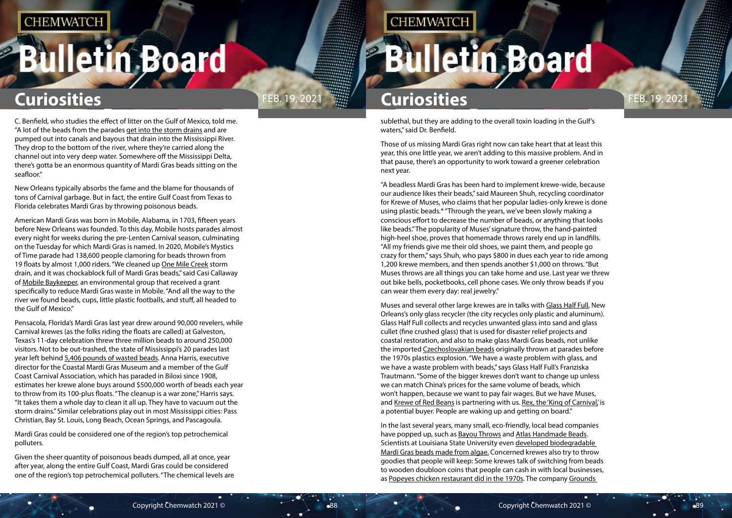# **Bulletin Board**



sublethal, but they are adding to the overall toxin loading in the Gulf's waters," said Dr. Benfield.

Those of us missing Mardi Gras right now can take heart that at least this year, this one little year, we aren't adding to this massive problem. And in that pause, there's an opportunity to work toward a greener celebration next year.

"A beadless Mardi Gras has been hard to implement krewe-wide, because our audience likes their beads," said Maureen Shuh, recycling coordinator for Krewe of Muses, who claims that her popular ladies-only krewe is done using plastic beads.\* "Through the years, we've been slowly making a conscious effort to decrease the number of beads, or anything that looks like beads." The popularity of Muses' signature throw, the hand-painted high-heel shoe, proves that homemade throws rarely end up in landfills. "All my friends give me their old shoes, we paint them, and people go crazy for them," says Shuh, who pays \$800 in dues each year to ride among 1,200 krewe members, and then spends another \$1,000 on throws. "But Muses throws are all things you can take home and use. Last year we threw out bike bells, pocketbooks, cell phone cases. We only throw beads if you can wear them every day: real jewelry."

Muses and several other large krewes are in talks with [Glass Half Full,](https://glasshalffullnola.org/) New Orleans's only glass recycler (the city recycles only plastic and aluminum). Glass Half Full collects and recycles unwanted glass into sand and glass cullet (fine crushed glass) that is used for disaster relief projects and coastal restoration, and also to make glass Mardi Gras beads, not unlike the imported [Czechoslovakian beads](https://www.mardigras.com/new_orleans_parades/article_0a176d32-67b5-5949-9c94-43f9b006ab16.html) originally thrown at parades before the 1970s plastics explosion. "We have a waste problem with glass, and we have a waste problem with beads," says Glass Half Full's Franziska Trautmann. "Some of the bigger krewes don't want to change up unless we can match China's prices for the same volume of beads, which won't happen, because we want to pay fair wages. But we have Muses, and [Krewe of Red Beans](https://www.redbeansparade.com/) is partnering with us. Rex, the 'King of Carnival' is a potential buyer. People are waking up and getting on board."

In the last several years, many small, eco-friendly, local bead companies have popped up, such as [Bayou Throws](https://www.bayouthrows.com/) and [Atlas Handmade Beads](https://www.atlasbeads.com/). Scientists at Louisiana State University even [developed biodegradable](https://futurism.com/the-byte/biodegradable-mardi-gras-beads)  [Mardi Gras beads made from algae.](https://futurism.com/the-byte/biodegradable-mardi-gras-beads) Concerned krewes also try to throw goodies that people will keep: Some krewes talk of switching from beads to wooden doubloon coins that people can cash in with local businesses, as [Popeyes chicken restaurant did in the 1970s.](https://www.ebay.com/itm/popeyes-chicken-popeyes-1976-Doubloon-token-coin-vintage-popeye/192845358927?_trkparms=aid%3D1110006%26algo%3DHOMESPLICE.SIM%26ao%3D1%26asc%3D20200818143230%26meid%3D37f073a272ee47da988a04ace4ed5681%26pid%3D101224%26rk%3D1%26rkt%3D5%26mehot%3Dnone%26sd%3D192845355748%26itm%3D192845358927%26pmt%3D0%26noa%3D1%26pg%3D2047675%26algv%3DDefaultOrganic&_trksid=p2047675.c101224.m-1) The company [Grounds](https://www.groundskrewe.org/) 

C. Benfield, who studies the effect of litter on the Gulf of Mexico, told me. "A lot of the beads from the parades get into the storm drains and are pumped out into canals and bayous that drain into the Mississippi River. They drop to the bottom of the river, where they're carried along the channel out into very deep water. Somewhere off the Mississippi Delta, there's gotta be an enormous quantity of Mardi Gras beads sitting on the seafloor."

New Orleans typically absorbs the fame and the blame for thousands of tons of Carnival garbage. But in fact, the entire Gulf Coast from Texas to Florida celebrates Mardi Gras by throwing poisonous beads.

American Mardi Gras was born in Mobile, Alabama, in 1703, fifteen years before New Orleans was founded. To this day, Mobile hosts parades almost every night for weeks during the pre-Lenten Carnival season, culminating on the Tuesday for which Mardi Gras is named. In 2020, Mobile's Mystics of Time parade had 138,600 people clamoring for beads thrown from 19 floats by almost 1,000 riders. "We cleaned up [One Mile Creek](https://www.mobilebaykeeper.org/bay-blog/2018/2/20/behind-the-scenes-on-one-mile-creek-7xfxy) storm drain, and it was chockablock full of Mardi Gras beads," said Casi Callaway of [Mobile Baykeeper,](https://www.mobilebaykeeper.org/) an environmental group that received a grant specifically to reduce Mardi Gras waste in Mobile. "And all the way to the river we found beads, cups, little plastic footballs, and stuff, all headed to the Gulf of Mexico."

Pensacola, Florida's Mardi Gras last year drew around 90,000 revelers, while Carnival krewes (as the folks riding the floats are called) at Galveston, Texas's 11-day celebration threw three million beads to around 250,000 visitors. Not to be out-trashed, the state of Mississippi's 20 parades last year left behind [5,406 pounds of wasted beads.](http://coastalcleanup.extension.msstate.edu/events/mardi-gras-cleanup-krewe) Anna Harris, executive director for the Coastal Mardi Gras Museum and a member of the Gulf Coast Carnival Association, which has paraded in Biloxi since 1908, estimates her krewe alone buys around \$500,000 worth of beads each year to throw from its 100-plus floats. "The cleanup is a war zone," Harris says. "It takes them a whole day to clean it all up. They have to vacuum out the storm drains." Similar celebrations play out in most Mississippi cities: Pass Christian, Bay St. Louis, Long Beach, Ocean Springs, and Pascagoula.

Mardi Gras could be considered one of the region's top petrochemical polluters.

Given the sheer quantity of poisonous beads dumped, all at once, year after year, along the entire Gulf Coast, Mardi Gras could be considered one of the region's top petrochemical polluters. "The chemical levels are

# **CHEMWATCH**

# **Illetin Board**